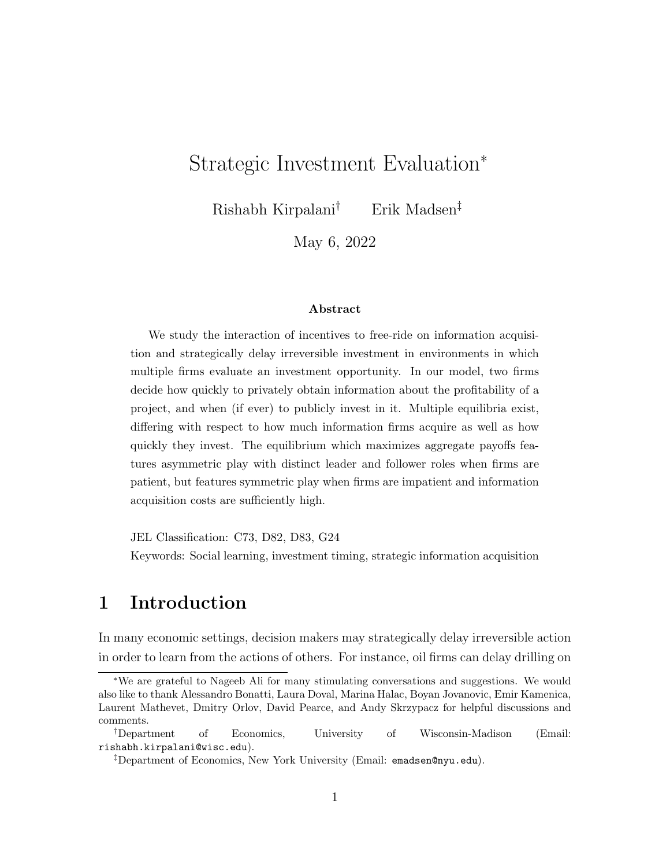# Strategic Investment Evaluation<sup>∗</sup>

Rishabh Kirpalani† Erik Madsen‡

May 6, 2022

#### Abstract

We study the interaction of incentives to free-ride on information acquisition and strategically delay irreversible investment in environments in which multiple firms evaluate an investment opportunity. In our model, two firms decide how quickly to privately obtain information about the profitability of a project, and when (if ever) to publicly invest in it. Multiple equilibria exist, differing with respect to how much information firms acquire as well as how quickly they invest. The equilibrium which maximizes aggregate payoffs features asymmetric play with distinct leader and follower roles when firms are patient, but features symmetric play when firms are impatient and information acquisition costs are sufficiently high.

JEL Classification: C73, D82, D83, G24

Keywords: Social learning, investment timing, strategic information acquisition

### 1 Introduction

In many economic settings, decision makers may strategically delay irreversible action in order to learn from the actions of others. For instance, oil firms can delay drilling on

<sup>∗</sup>We are grateful to Nageeb Ali for many stimulating conversations and suggestions. We would also like to thank Alessandro Bonatti, Laura Doval, Marina Halac, Boyan Jovanovic, Emir Kamenica, Laurent Mathevet, Dmitry Orlov, David Pearce, and Andy Skrzypacz for helpful discussions and comments.

<sup>†</sup>Department of Economics, University of Wisconsin-Madison (Email: rishabh.kirpalani@wisc.edu).

<sup>‡</sup>Department of Economics, New York University (Email: emadsen@nyu.edu).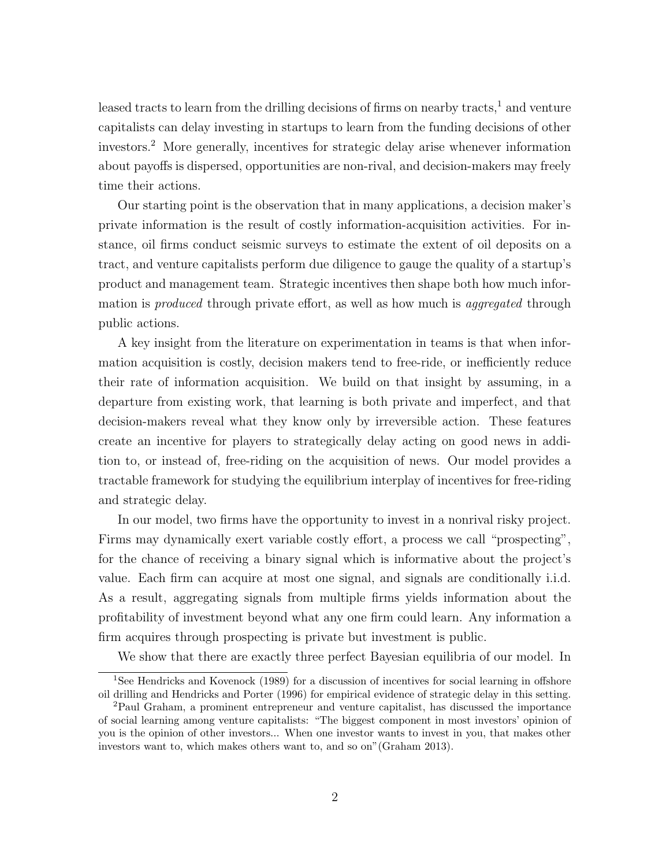leased tracts to learn from the drilling decisions of firms on nearby tracts, $<sup>1</sup>$  $<sup>1</sup>$  $<sup>1</sup>$  and venture</sup> capitalists can delay investing in startups to learn from the funding decisions of other investors.[2](#page-1-1) More generally, incentives for strategic delay arise whenever information about payoffs is dispersed, opportunities are non-rival, and decision-makers may freely time their actions.

Our starting point is the observation that in many applications, a decision maker's private information is the result of costly information-acquisition activities. For instance, oil firms conduct seismic surveys to estimate the extent of oil deposits on a tract, and venture capitalists perform due diligence to gauge the quality of a startup's product and management team. Strategic incentives then shape both how much information is *produced* through private effort, as well as how much is *aggregated* through public actions.

A key insight from the literature on experimentation in teams is that when information acquisition is costly, decision makers tend to free-ride, or inefficiently reduce their rate of information acquisition. We build on that insight by assuming, in a departure from existing work, that learning is both private and imperfect, and that decision-makers reveal what they know only by irreversible action. These features create an incentive for players to strategically delay acting on good news in addition to, or instead of, free-riding on the acquisition of news. Our model provides a tractable framework for studying the equilibrium interplay of incentives for free-riding and strategic delay.

In our model, two firms have the opportunity to invest in a nonrival risky project. Firms may dynamically exert variable costly effort, a process we call "prospecting", for the chance of receiving a binary signal which is informative about the project's value. Each firm can acquire at most one signal, and signals are conditionally i.i.d. As a result, aggregating signals from multiple firms yields information about the profitability of investment beyond what any one firm could learn. Any information a firm acquires through prospecting is private but investment is public.

<span id="page-1-0"></span>We show that there are exactly three perfect Bayesian equilibria of our model. In

<sup>&</sup>lt;sup>1</sup>See Hendricks and Kovenock [\(1989\)](#page-22-0) for a discussion of incentives for social learning in offshore oil drilling and Hendricks and Porter [\(1996\)](#page-22-1) for empirical evidence of strategic delay in this setting.

<span id="page-1-1"></span><sup>2</sup>Paul Graham, a prominent entrepreneur and venture capitalist, has discussed the importance of social learning among venture capitalists: "The biggest component in most investors' opinion of you is the opinion of other investors... When one investor wants to invest in you, that makes other investors want to, which makes others want to, and so on"(Graham [2013\)](#page-22-2).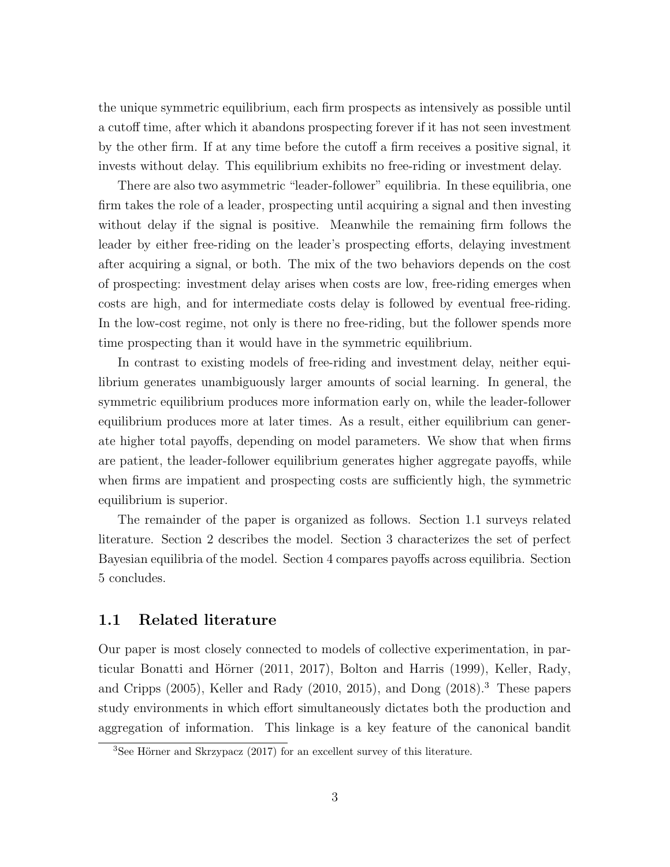the unique symmetric equilibrium, each firm prospects as intensively as possible until a cutoff time, after which it abandons prospecting forever if it has not seen investment by the other firm. If at any time before the cutoff a firm receives a positive signal, it invests without delay. This equilibrium exhibits no free-riding or investment delay.

There are also two asymmetric "leader-follower" equilibria. In these equilibria, one firm takes the role of a leader, prospecting until acquiring a signal and then investing without delay if the signal is positive. Meanwhile the remaining firm follows the leader by either free-riding on the leader's prospecting efforts, delaying investment after acquiring a signal, or both. The mix of the two behaviors depends on the cost of prospecting: investment delay arises when costs are low, free-riding emerges when costs are high, and for intermediate costs delay is followed by eventual free-riding. In the low-cost regime, not only is there no free-riding, but the follower spends more time prospecting than it would have in the symmetric equilibrium.

In contrast to existing models of free-riding and investment delay, neither equilibrium generates unambiguously larger amounts of social learning. In general, the symmetric equilibrium produces more information early on, while the leader-follower equilibrium produces more at later times. As a result, either equilibrium can generate higher total payoffs, depending on model parameters. We show that when firms are patient, the leader-follower equilibrium generates higher aggregate payoffs, while when firms are impatient and prospecting costs are sufficiently high, the symmetric equilibrium is superior.

The remainder of the paper is organized as follows. Section [1.1](#page-2-0) surveys related literature. Section [2](#page-4-0) describes the model. Section [3](#page-8-0) characterizes the set of perfect Bayesian equilibria of the model. Section [4](#page-18-0) compares payoffs across equilibria. Section [5](#page-20-0) concludes.

#### <span id="page-2-0"></span>1.1 Related literature

Our paper is most closely connected to models of collective experimentation, in par-ticular Bonatti and Hörner [\(2011,](#page-21-0) [2017\)](#page-21-1), Bolton and Harris [\(1999\)](#page-21-2), Keller, Rady, and Cripps [\(2005\)](#page-22-3), Keller and Rady [\(2010,](#page-22-4) [2015\)](#page-22-5), and Dong [\(2018\)](#page-22-6).[3](#page-2-1) These papers study environments in which effort simultaneously dictates both the production and aggregation of information. This linkage is a key feature of the canonical bandit

<span id="page-2-1"></span> ${}^{3}$ See Hörner and Skrzypacz [\(2017\)](#page-22-7) for an excellent survey of this literature.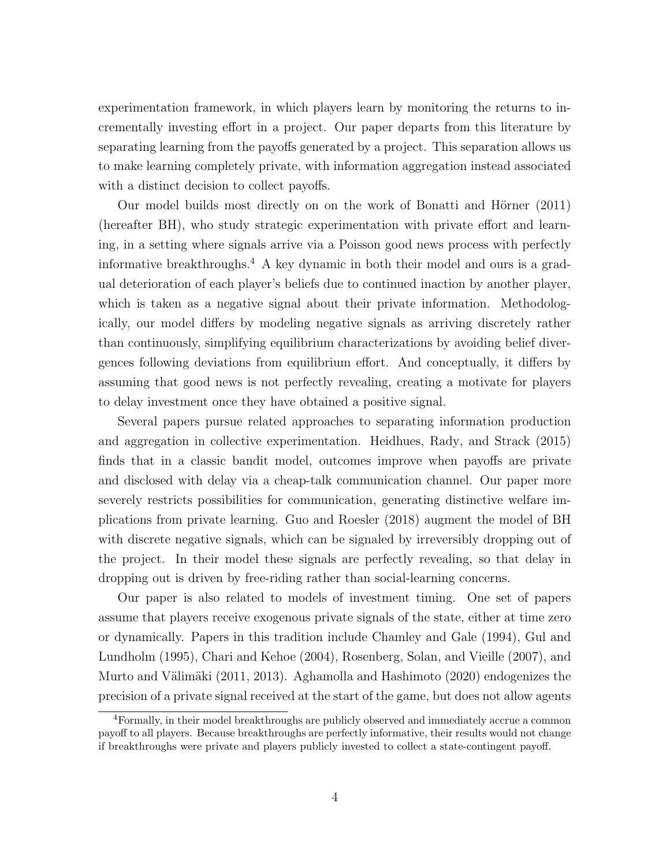experimentation framework, in which players learn by monitoring the returns to incrementally investing effort in a project. Our paper departs from this literature by separating learning from the payoffs generated by a project. This separation allows us to make learning completely private, with information aggregation instead associated with a distinct decision to collect payoffs.

Our model builds most directly on on the work of Bonatti and Hörner [\(2011\)](#page-21-0) (hereafter BH), who study strategic experimentation with private effort and learning, in a setting where signals arrive via a Poisson good news process with perfectly informative breakthroughs.[4](#page-3-0) A key dynamic in both their model and ours is a gradual deterioration of each player's beliefs due to continued inaction by another player, which is taken as a negative signal about their private information. Methodologically, our model differs by modeling negative signals as arriving discretely rather than continuously, simplifying equilibrium characterizations by avoiding belief divergences following deviations from equilibrium effort. And conceptually, it differs by assuming that good news is not perfectly revealing, creating a motivate for players to delay investment once they have obtained a positive signal.

Several papers pursue related approaches to separating information production and aggregation in collective experimentation. Heidhues, Rady, and Strack [\(2015\)](#page-22-8) finds that in a classic bandit model, outcomes improve when payoffs are private and disclosed with delay via a cheap-talk communication channel. Our paper more severely restricts possibilities for communication, generating distinctive welfare implications from private learning. Guo and Roesler [\(2018\)](#page-22-9) augment the model of BH with discrete negative signals, which can be signaled by irreversibly dropping out of the project. In their model these signals are perfectly revealing, so that delay in dropping out is driven by free-riding rather than social-learning concerns.

Our paper is also related to models of investment timing. One set of papers assume that players receive exogenous private signals of the state, either at time zero or dynamically. Papers in this tradition include Chamley and Gale [\(1994\)](#page-21-3), Gul and Lundholm [\(1995\)](#page-22-10), Chari and Kehoe [\(2004\)](#page-21-4), Rosenberg, Solan, and Vieille [\(2007\)](#page-23-0), and Murto and Välimäki [\(2011,](#page-22-11) [2013\)](#page-23-1). Aghamolla and Hashimoto [\(2020\)](#page-21-5) endogenizes the precision of a private signal received at the start of the game, but does not allow agents

<span id="page-3-0"></span><sup>4</sup>Formally, in their model breakthroughs are publicly observed and immediately accrue a common payoff to all players. Because breakthroughs are perfectly informative, their results would not change if breakthroughs were private and players publicly invested to collect a state-contingent payoff.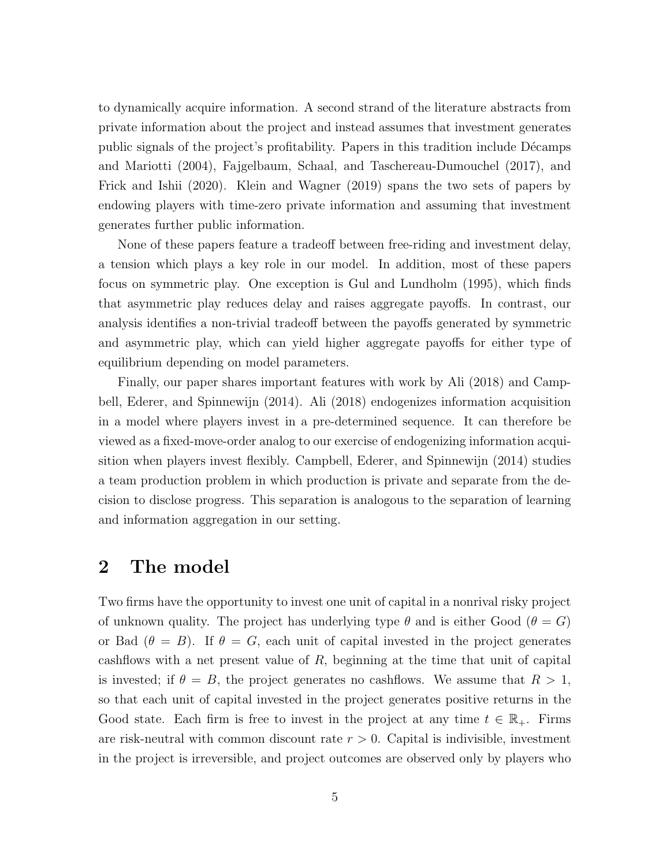to dynamically acquire information. A second strand of the literature abstracts from private information about the project and instead assumes that investment generates public signals of the project's profitability. Papers in this tradition include Décamps and Mariotti [\(2004\)](#page-21-6), Fajgelbaum, Schaal, and Taschereau-Dumouchel [\(2017\)](#page-22-12), and Frick and Ishii [\(2020\)](#page-22-13). Klein and Wagner [\(2019\)](#page-22-14) spans the two sets of papers by endowing players with time-zero private information and assuming that investment generates further public information.

None of these papers feature a tradeoff between free-riding and investment delay, a tension which plays a key role in our model. In addition, most of these papers focus on symmetric play. One exception is Gul and Lundholm [\(1995\)](#page-22-10), which finds that asymmetric play reduces delay and raises aggregate payoffs. In contrast, our analysis identifies a non-trivial tradeoff between the payoffs generated by symmetric and asymmetric play, which can yield higher aggregate payoffs for either type of equilibrium depending on model parameters.

Finally, our paper shares important features with work by Ali [\(2018\)](#page-21-7) and Campbell, Ederer, and Spinnewijn [\(2014\)](#page-21-8). Ali [\(2018\)](#page-21-7) endogenizes information acquisition in a model where players invest in a pre-determined sequence. It can therefore be viewed as a fixed-move-order analog to our exercise of endogenizing information acquisition when players invest flexibly. Campbell, Ederer, and Spinnewijn [\(2014\)](#page-21-8) studies a team production problem in which production is private and separate from the decision to disclose progress. This separation is analogous to the separation of learning and information aggregation in our setting.

### <span id="page-4-0"></span>2 The model

Two firms have the opportunity to invest one unit of capital in a nonrival risky project of unknown quality. The project has underlying type  $\theta$  and is either Good  $(\theta = G)$ or Bad  $(\theta = B)$ . If  $\theta = G$ , each unit of capital invested in the project generates cashflows with a net present value of  $R$ , beginning at the time that unit of capital is invested; if  $\theta = B$ , the project generates no cashflows. We assume that  $R > 1$ , so that each unit of capital invested in the project generates positive returns in the Good state. Each firm is free to invest in the project at any time  $t \in \mathbb{R}_{+}$ . Firms are risk-neutral with common discount rate  $r > 0$ . Capital is indivisible, investment in the project is irreversible, and project outcomes are observed only by players who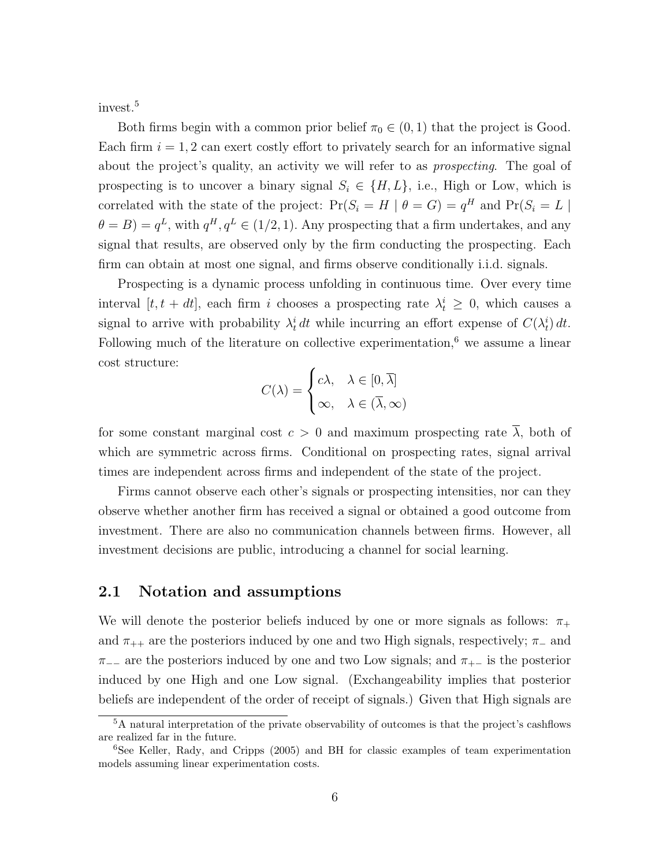invest.[5](#page-5-0)

Both firms begin with a common prior belief  $\pi_0 \in (0,1)$  that the project is Good. Each firm  $i = 1, 2$  can exert costly effort to privately search for an informative signal about the project's quality, an activity we will refer to as *prospecting*. The goal of prospecting is to uncover a binary signal  $S_i \in \{H, L\}$ , i.e., High or Low, which is correlated with the state of the project:  $Pr(S_i = H | \theta = G) = q^H$  and  $Pr(S_i = L |$  $\theta = B$ ) =  $q^L$ , with  $q^H, q^L \in (1/2, 1)$ . Any prospecting that a firm undertakes, and any signal that results, are observed only by the firm conducting the prospecting. Each firm can obtain at most one signal, and firms observe conditionally i.i.d. signals.

Prospecting is a dynamic process unfolding in continuous time. Over every time interval  $[t, t + dt]$ , each firm i chooses a prospecting rate  $\lambda_t^i \geq 0$ , which causes a signal to arrive with probability  $\lambda_t^i dt$  while incurring an effort expense of  $C(\lambda_t^i) dt$ . Following much of the literature on collective experimentation, $6$  we assume a linear cost structure:

$$
C(\lambda) = \begin{cases} c\lambda, & \lambda \in [0, \overline{\lambda}] \\ \infty, & \lambda \in (\overline{\lambda}, \infty) \end{cases}
$$

for some constant marginal cost  $c > 0$  and maximum prospecting rate  $\overline{\lambda}$ , both of which are symmetric across firms. Conditional on prospecting rates, signal arrival times are independent across firms and independent of the state of the project.

Firms cannot observe each other's signals or prospecting intensities, nor can they observe whether another firm has received a signal or obtained a good outcome from investment. There are also no communication channels between firms. However, all investment decisions are public, introducing a channel for social learning.

### 2.1 Notation and assumptions

We will denote the posterior beliefs induced by one or more signals as follows:  $\pi_+$ and  $\pi_{++}$  are the posteriors induced by one and two High signals, respectively;  $\pi_{-}$  and  $\pi_{-+}$  are the posteriors induced by one and two Low signals; and  $\pi_{+-}$  is the posterior induced by one High and one Low signal. (Exchangeability implies that posterior beliefs are independent of the order of receipt of signals.) Given that High signals are

<span id="page-5-0"></span><sup>&</sup>lt;sup>5</sup>A natural interpretation of the private observability of outcomes is that the project's cashflows are realized far in the future.

<span id="page-5-1"></span> $6$ See Keller, Rady, and Cripps [\(2005\)](#page-22-3) and BH for classic examples of team experimentation models assuming linear experimentation costs.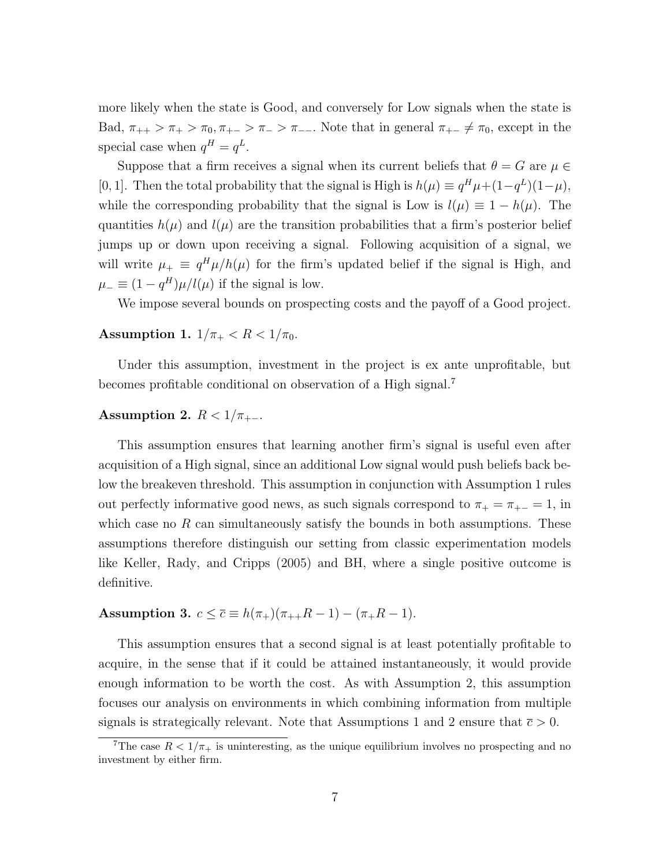more likely when the state is Good, and conversely for Low signals when the state is Bad,  $\pi_{++} > \pi_{+} > \pi_{0}, \pi_{+-} > \pi_{-} > \pi_{--}$ . Note that in general  $\pi_{+-} \neq \pi_{0}$ , except in the special case when  $q^H = q^L$ .

Suppose that a firm receives a signal when its current beliefs that  $\theta = G$  are  $\mu \in$ [0, 1]. Then the total probability that the signal is High is  $h(\mu) \equiv q^H \mu + (1 - q^L)(1 - \mu)$ , while the corresponding probability that the signal is Low is  $l(\mu) \equiv 1 - h(\mu)$ . The quantities  $h(\mu)$  and  $l(\mu)$  are the transition probabilities that a firm's posterior belief jumps up or down upon receiving a signal. Following acquisition of a signal, we will write  $\mu_+ \equiv q^H \mu / h(\mu)$  for the firm's updated belief if the signal is High, and  $\mu_{-} \equiv (1 - q^H)\mu/l(\mu)$  if the signal is low.

We impose several bounds on prospecting costs and the payoff of a Good project.

#### <span id="page-6-1"></span>Assumption 1.  $1/\pi_+ < R < 1/\pi_0$ .

Under this assumption, investment in the project is ex ante unprofitable, but becomes profitable conditional on observation of a High signal.[7](#page-6-0)

### <span id="page-6-2"></span>Assumption 2.  $R < 1/\pi_{+-}$ .

This assumption ensures that learning another firm's signal is useful even after acquisition of a High signal, since an additional Low signal would push beliefs back below the breakeven threshold. This assumption in conjunction with Assumption [1](#page-6-1) rules out perfectly informative good news, as such signals correspond to  $\pi_+ = \pi_{+-} = 1$ , in which case no  $R$  can simultaneously satisfy the bounds in both assumptions. These assumptions therefore distinguish our setting from classic experimentation models like Keller, Rady, and Cripps [\(2005\)](#page-22-3) and BH, where a single positive outcome is definitive.

# <span id="page-6-3"></span>Assumption 3.  $c \le \bar{c} \equiv h(\pi_+)(\pi_{++}R - 1) - (\pi_+R - 1)$ .

This assumption ensures that a second signal is at least potentially profitable to acquire, in the sense that if it could be attained instantaneously, it would provide enough information to be worth the cost. As with Assumption [2,](#page-6-2) this assumption focuses our analysis on environments in which combining information from multiple signals is strategically relevant. Note that Assumptions [1](#page-6-1) and [2](#page-6-2) ensure that  $\bar{c} > 0$ .

<span id="page-6-0"></span><sup>&</sup>lt;sup>7</sup>The case  $R < 1/\pi_{+}$  is uninteresting, as the unique equilibrium involves no prospecting and no investment by either firm.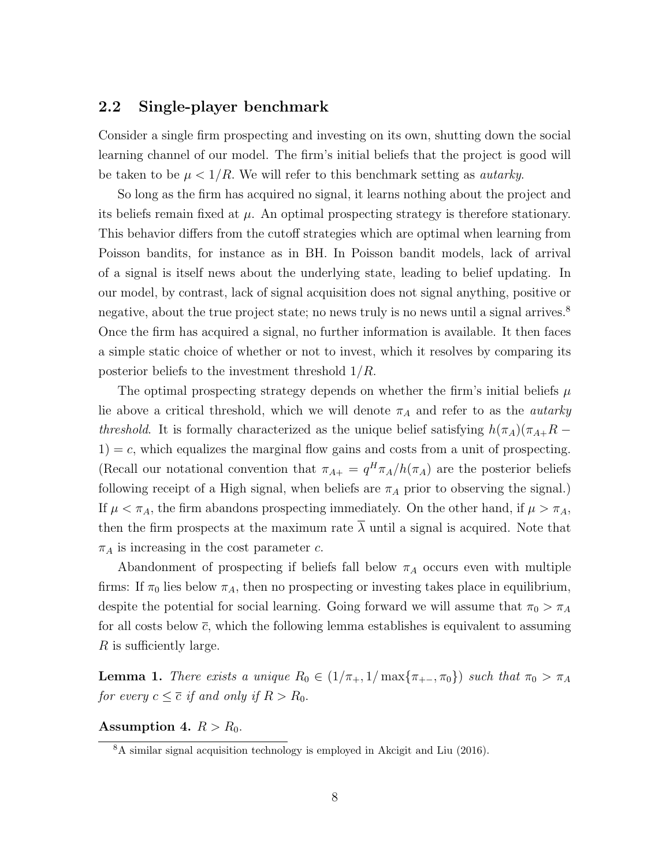### <span id="page-7-3"></span>2.2 Single-player benchmark

Consider a single firm prospecting and investing on its own, shutting down the social learning channel of our model. The firm's initial beliefs that the project is good will be taken to be  $\mu < 1/R$ . We will refer to this benchmark setting as *autarky*.

So long as the firm has acquired no signal, it learns nothing about the project and its beliefs remain fixed at  $\mu$ . An optimal prospecting strategy is therefore stationary. This behavior differs from the cutoff strategies which are optimal when learning from Poisson bandits, for instance as in BH. In Poisson bandit models, lack of arrival of a signal is itself news about the underlying state, leading to belief updating. In our model, by contrast, lack of signal acquisition does not signal anything, positive or negative, about the true project state; no news truly is no news until a signal arrives.<sup>[8](#page-7-0)</sup> Once the firm has acquired a signal, no further information is available. It then faces a simple static choice of whether or not to invest, which it resolves by comparing its posterior beliefs to the investment threshold  $1/R$ .

The optimal prospecting strategy depends on whether the firm's initial beliefs  $\mu$ lie above a critical threshold, which we will denote  $\pi_A$  and refer to as the *autarky* threshold. It is formally characterized as the unique belief satisfying  $h(\pi_A)(\pi_{A+}R 1$ ) = c, which equalizes the marginal flow gains and costs from a unit of prospecting. (Recall our notational convention that  $\pi_{A+} = q^H \pi_A/h(\pi_A)$  are the posterior beliefs following receipt of a High signal, when beliefs are  $\pi_A$  prior to observing the signal.) If  $\mu < \pi_A$ , the firm abandons prospecting immediately. On the other hand, if  $\mu > \pi_A$ , then the firm prospects at the maximum rate  $\overline{\lambda}$  until a signal is acquired. Note that  $\pi_A$  is increasing in the cost parameter c.

Abandonment of prospecting if beliefs fall below  $\pi_A$  occurs even with multiple firms: If  $\pi_0$  lies below  $\pi_A$ , then no prospecting or investing takes place in equilibrium, despite the potential for social learning. Going forward we will assume that  $\pi_0 > \pi_A$ for all costs below  $\bar{c}$ , which the following lemma establishes is equivalent to assuming R is sufficiently large.

<span id="page-7-1"></span>**Lemma 1.** There exists a unique  $R_0 \in (1/\pi_+, 1/\max{\pi_{+-}, \pi_0})$  such that  $\pi_0 > \pi_A$ for every  $c \leq \overline{c}$  if and only if  $R > R_0$ .

<span id="page-7-2"></span>Assumption 4.  $R > R_0$ .

<span id="page-7-0"></span><sup>8</sup>A similar signal acquisition technology is employed in Akcigit and Liu [\(2016\)](#page-21-9).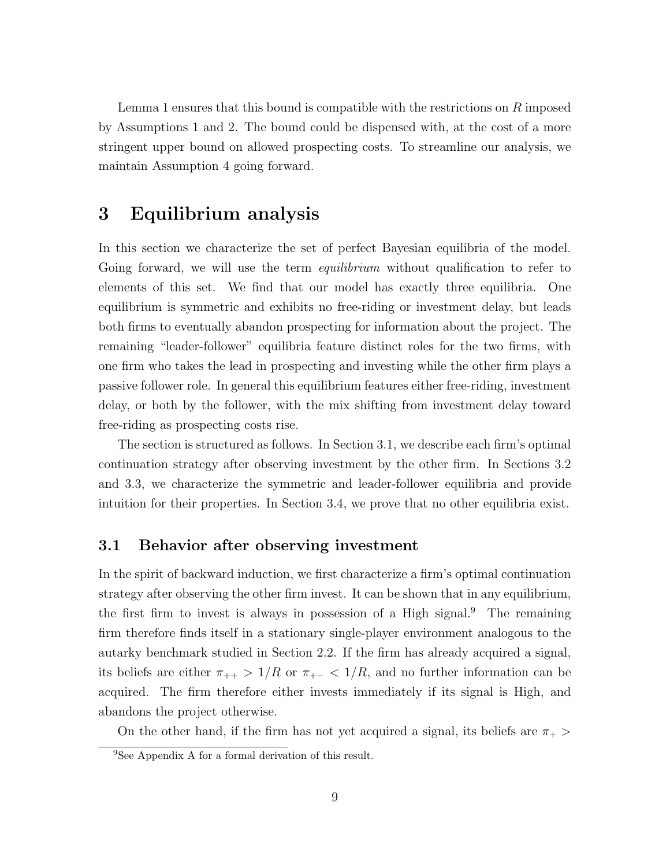Lemma [1](#page-7-1) ensures that this bound is compatible with the restrictions on  $R$  imposed by Assumptions [1](#page-6-1) and [2.](#page-6-2) The bound could be dispensed with, at the cost of a more stringent upper bound on allowed prospecting costs. To streamline our analysis, we maintain Assumption [4](#page-7-2) going forward.

### <span id="page-8-0"></span>3 Equilibrium analysis

In this section we characterize the set of perfect Bayesian equilibria of the model. Going forward, we will use the term *equilibrium* without qualification to refer to elements of this set. We find that our model has exactly three equilibria. One equilibrium is symmetric and exhibits no free-riding or investment delay, but leads both firms to eventually abandon prospecting for information about the project. The remaining "leader-follower" equilibria feature distinct roles for the two firms, with one firm who takes the lead in prospecting and investing while the other firm plays a passive follower role. In general this equilibrium features either free-riding, investment delay, or both by the follower, with the mix shifting from investment delay toward free-riding as prospecting costs rise.

The section is structured as follows. In Section [3.1,](#page-8-1) we describe each firm's optimal continuation strategy after observing investment by the other firm. In Sections [3.2](#page-9-0) and [3.3,](#page-12-0) we characterize the symmetric and leader-follower equilibria and provide intuition for their properties. In Section [3.4,](#page-16-0) we prove that no other equilibria exist.

#### <span id="page-8-1"></span>3.1 Behavior after observing investment

In the spirit of backward induction, we first characterize a firm's optimal continuation strategy after observing the other firm invest. It can be shown that in any equilibrium, the first firm to invest is always in possession of a High signal.<sup>[9](#page-8-2)</sup> The remaining firm therefore finds itself in a stationary single-player environment analogous to the autarky benchmark studied in Section [2.2.](#page-7-3) If the firm has already acquired a signal, its beliefs are either  $\pi_{++} > 1/R$  or  $\pi_{+-} < 1/R$ , and no further information can be acquired. The firm therefore either invests immediately if its signal is High, and abandons the project otherwise.

On the other hand, if the firm has not yet acquired a signal, its beliefs are  $\pi_{+}$ 

<span id="page-8-2"></span><sup>9</sup>See Appendix [A](#page-23-2) for a formal derivation of this result.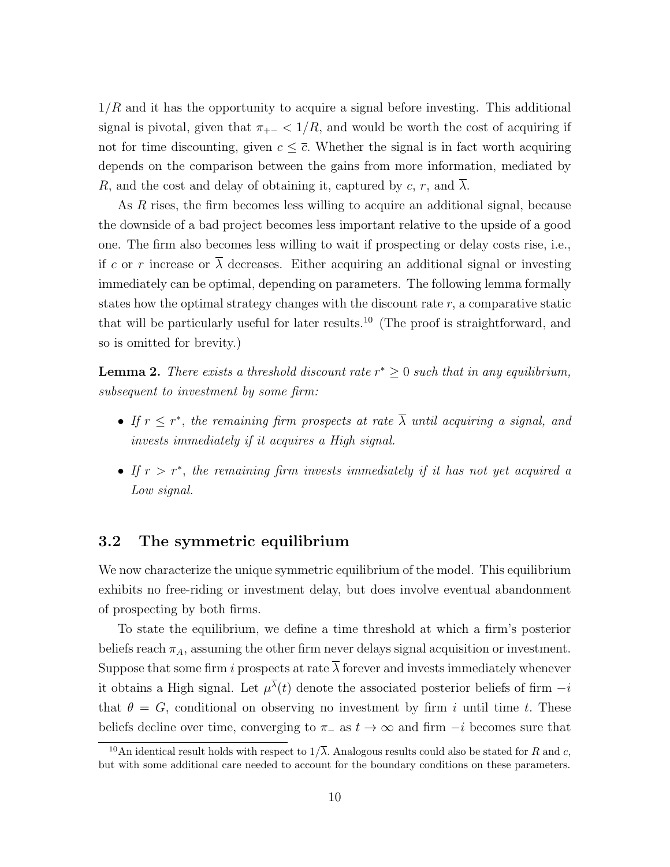$1/R$  and it has the opportunity to acquire a signal before investing. This additional signal is pivotal, given that  $\pi_{+-} < 1/R$ , and would be worth the cost of acquiring if not for time discounting, given  $c \leq \overline{c}$ . Whether the signal is in fact worth acquiring depends on the comparison between the gains from more information, mediated by R, and the cost and delay of obtaining it, captured by  $c, r$ , and  $\lambda$ .

As R rises, the firm becomes less willing to acquire an additional signal, because the downside of a bad project becomes less important relative to the upside of a good one. The firm also becomes less willing to wait if prospecting or delay costs rise, i.e., if c or r increase or  $\overline{\lambda}$  decreases. Either acquiring an additional signal or investing immediately can be optimal, depending on parameters. The following lemma formally states how the optimal strategy changes with the discount rate  $r$ , a comparative static that will be particularly useful for later results.<sup>[10](#page-9-1)</sup> (The proof is straightforward, and so is omitted for brevity.)

<span id="page-9-2"></span>**Lemma 2.** There exists a threshold discount rate  $r^* \geq 0$  such that in any equilibrium, subsequent to investment by some firm:

- If  $r \leq r^*$ , the remaining firm prospects at rate  $\overline{\lambda}$  until acquiring a signal, and invests immediately if it acquires a High signal.
- If  $r > r^*$ , the remaining firm invests immediately if it has not yet acquired a Low signal.

### <span id="page-9-0"></span>3.2 The symmetric equilibrium

We now characterize the unique symmetric equilibrium of the model. This equilibrium exhibits no free-riding or investment delay, but does involve eventual abandonment of prospecting by both firms.

To state the equilibrium, we define a time threshold at which a firm's posterior beliefs reach  $\pi_A$ , assuming the other firm never delays signal acquisition or investment. Suppose that some firm i prospects at rate  $\overline{\lambda}$  forever and invests immediately whenever it obtains a High signal. Let  $\mu^{\lambda}(t)$  denote the associated posterior beliefs of firm  $-i$ that  $\theta = G$ , conditional on observing no investment by firm i until time t. These beliefs decline over time, converging to  $\pi_-\text{ as } t \to \infty$  and firm  $-i$  becomes sure that

<span id="page-9-1"></span><sup>&</sup>lt;sup>10</sup>An identical result holds with respect to  $1/\overline{\lambda}$ . Analogous results could also be stated for R and c, but with some additional care needed to account for the boundary conditions on these parameters.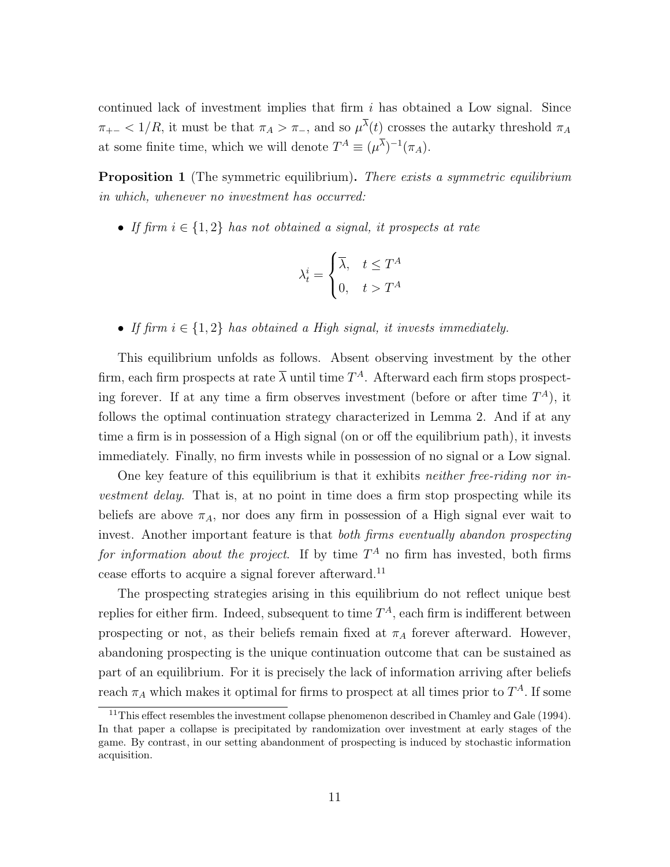continued lack of investment implies that firm  $i$  has obtained a Low signal. Since  $\pi_{+-}$  < 1/R, it must be that  $\pi_A > \pi_{-}$ , and so  $\mu^{\lambda}(t)$  crosses the autarky threshold  $\pi_A$ at some finite time, which we will denote  $T^A \equiv (\mu^{\lambda})^{-1} (\pi_A)$ .

<span id="page-10-1"></span>**Proposition 1** (The symmetric equilibrium). There exists a symmetric equilibrium in which, whenever no investment has occurred:

• If firm  $i \in \{1,2\}$  has not obtained a signal, it prospects at rate

$$
\lambda_t^i = \begin{cases} \overline{\lambda}, & t \le T^A \\ 0, & t > T^A \end{cases}
$$

• If firm  $i \in \{1,2\}$  has obtained a High signal, it invests immediately.

This equilibrium unfolds as follows. Absent observing investment by the other firm, each firm prospects at rate  $\overline{\lambda}$  until time  $T^A$ . Afterward each firm stops prospecting forever. If at any time a firm observes investment (before or after time  $T^A$ ), it follows the optimal continuation strategy characterized in Lemma [2.](#page-9-2) And if at any time a firm is in possession of a High signal (on or off the equilibrium path), it invests immediately. Finally, no firm invests while in possession of no signal or a Low signal.

One key feature of this equilibrium is that it exhibits *neither free-riding nor in*vestment delay. That is, at no point in time does a firm stop prospecting while its beliefs are above  $\pi_A$ , nor does any firm in possession of a High signal ever wait to invest. Another important feature is that both firms eventually abandon prospecting for information about the project. If by time  $T^A$  no firm has invested, both firms cease efforts to acquire a signal forever afterward.[11](#page-10-0)

The prospecting strategies arising in this equilibrium do not reflect unique best replies for either firm. Indeed, subsequent to time  $T^A$ , each firm is indifferent between prospecting or not, as their beliefs remain fixed at  $\pi_A$  forever afterward. However, abandoning prospecting is the unique continuation outcome that can be sustained as part of an equilibrium. For it is precisely the lack of information arriving after beliefs reach  $\pi_A$  which makes it optimal for firms to prospect at all times prior to  $T^A$ . If some

<span id="page-10-0"></span> $11$ This effect resembles the investment collapse phenomenon described in Chamley and Gale [\(1994\)](#page-21-3). In that paper a collapse is precipitated by randomization over investment at early stages of the game. By contrast, in our setting abandonment of prospecting is induced by stochastic information acquisition.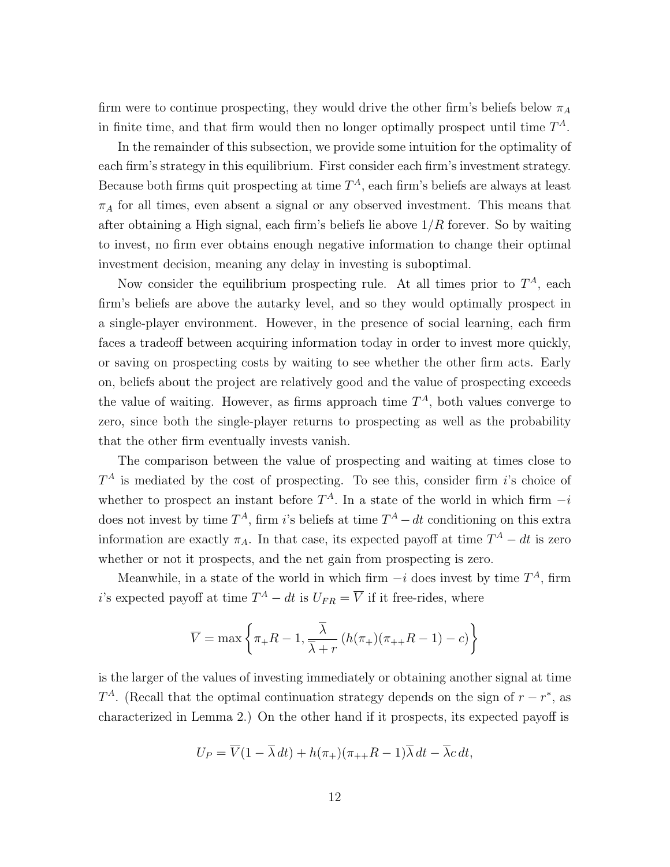firm were to continue prospecting, they would drive the other firm's beliefs below  $\pi_A$ in finite time, and that firm would then no longer optimally prospect until time  $T^A$ .

In the remainder of this subsection, we provide some intuition for the optimality of each firm's strategy in this equilibrium. First consider each firm's investment strategy. Because both firms quit prospecting at time  $T^A$ , each firm's beliefs are always at least  $\pi_A$  for all times, even absent a signal or any observed investment. This means that after obtaining a High signal, each firm's beliefs lie above  $1/R$  forever. So by waiting to invest, no firm ever obtains enough negative information to change their optimal investment decision, meaning any delay in investing is suboptimal.

Now consider the equilibrium prospecting rule. At all times prior to  $T^A$ , each firm's beliefs are above the autarky level, and so they would optimally prospect in a single-player environment. However, in the presence of social learning, each firm faces a tradeoff between acquiring information today in order to invest more quickly, or saving on prospecting costs by waiting to see whether the other firm acts. Early on, beliefs about the project are relatively good and the value of prospecting exceeds the value of waiting. However, as firms approach time  $T<sup>A</sup>$ , both values converge to zero, since both the single-player returns to prospecting as well as the probability that the other firm eventually invests vanish.

The comparison between the value of prospecting and waiting at times close to  $T^A$  is mediated by the cost of prospecting. To see this, consider firm i's choice of whether to prospect an instant before  $T^A$ . In a state of the world in which firm  $-i$ does not invest by time  $T^A$ , firm i's beliefs at time  $T^A - dt$  conditioning on this extra information are exactly  $\pi_A$ . In that case, its expected payoff at time  $T^A - dt$  is zero whether or not it prospects, and the net gain from prospecting is zero.

Meanwhile, in a state of the world in which firm  $-i$  does invest by time  $T^A$ , firm i's expected payoff at time  $T^A - dt$  is  $U_{FR} = \overline{V}$  if it free-rides, where

$$
\overline{V} = \max \left\{ \pi_{+}R - 1, \frac{\overline{\lambda}}{\overline{\lambda} + r} \left( h(\pi_{+})(\pi_{++}R - 1) - c \right) \right\}
$$

is the larger of the values of investing immediately or obtaining another signal at time  $T^A$ . (Recall that the optimal continuation strategy depends on the sign of  $r - r^*$ , as characterized in Lemma [2.](#page-9-2)) On the other hand if it prospects, its expected payoff is

$$
U_P = \overline{V}(1 - \overline{\lambda} dt) + h(\pi_+)(\pi_{++}R - 1)\overline{\lambda} dt - \overline{\lambda} c dt,
$$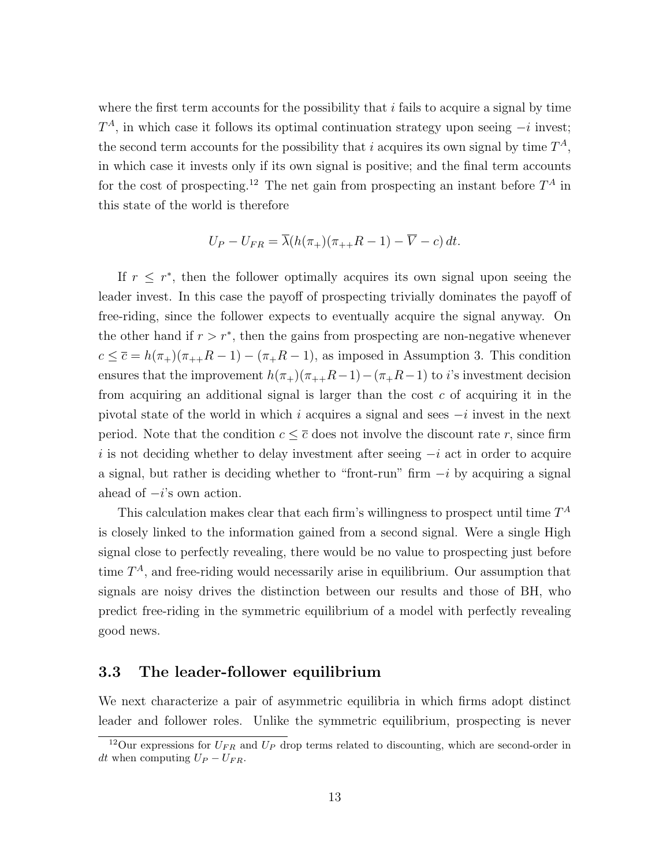where the first term accounts for the possibility that  $i$  fails to acquire a signal by time  $T<sup>A</sup>$ , in which case it follows its optimal continuation strategy upon seeing  $-i$  invest; the second term accounts for the possibility that i acquires its own signal by time  $T^A$ , in which case it invests only if its own signal is positive; and the final term accounts for the cost of prospecting.<sup>[12](#page-12-1)</sup> The net gain from prospecting an instant before  $T^A$  in this state of the world is therefore

$$
U_P - U_{FR} = \overline{\lambda}(h(\pi_+)(\pi_{++}R - 1) - \overline{V} - c) dt.
$$

If  $r \leq r^*$ , then the follower optimally acquires its own signal upon seeing the leader invest. In this case the payoff of prospecting trivially dominates the payoff of free-riding, since the follower expects to eventually acquire the signal anyway. On the other hand if  $r > r^*$ , then the gains from prospecting are non-negative whenever  $c \leq \overline{c} = h(\pi_+)(\pi_{++}R - 1) - (\pi_+R - 1)$ , as imposed in Assumption [3.](#page-6-3) This condition ensures that the improvement  $h(\pi_+)(\pi_{++}R-1)-(\pi_+R-1)$  to i's investment decision from acquiring an additional signal is larger than the cost  $c$  of acquiring it in the pivotal state of the world in which i acquires a signal and sees  $-i$  invest in the next period. Note that the condition  $c \leq \overline{c}$  does not involve the discount rate r, since firm i is not deciding whether to delay investment after seeing  $-i$  act in order to acquire a signal, but rather is deciding whether to "front-run" firm  $-i$  by acquiring a signal ahead of  $-i$ 's own action.

This calculation makes clear that each firm's willingness to prospect until time  $T^A$ is closely linked to the information gained from a second signal. Were a single High signal close to perfectly revealing, there would be no value to prospecting just before time  $T^A$ , and free-riding would necessarily arise in equilibrium. Our assumption that signals are noisy drives the distinction between our results and those of BH, who predict free-riding in the symmetric equilibrium of a model with perfectly revealing good news.

#### <span id="page-12-0"></span>3.3 The leader-follower equilibrium

We next characterize a pair of asymmetric equilibria in which firms adopt distinct leader and follower roles. Unlike the symmetric equilibrium, prospecting is never

<span id="page-12-1"></span><sup>&</sup>lt;sup>12</sup>Our expressions for  $U_{FR}$  and  $U_{P}$  drop terms related to discounting, which are second-order in dt when computing  $U_P - U_{FR}$ .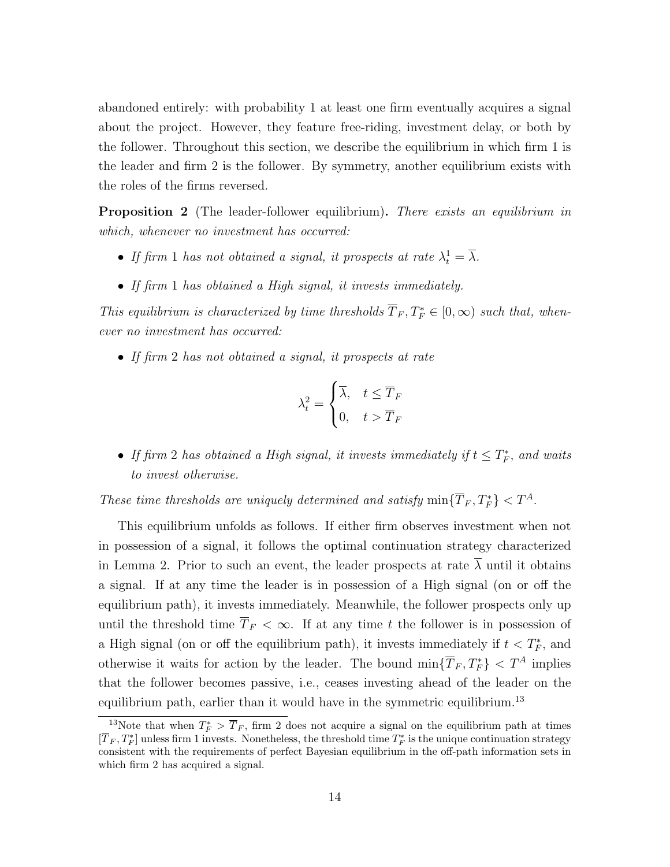abandoned entirely: with probability 1 at least one firm eventually acquires a signal about the project. However, they feature free-riding, investment delay, or both by the follower. Throughout this section, we describe the equilibrium in which firm 1 is the leader and firm 2 is the follower. By symmetry, another equilibrium exists with the roles of the firms reversed.

<span id="page-13-1"></span>**Proposition 2** (The leader-follower equilibrium). There exists an equilibrium in which, whenever no investment has occurred:

- If firm 1 has not obtained a signal, it prospects at rate  $\lambda_t^1 = \overline{\lambda}$ .
- If firm 1 has obtained a High signal, it invests immediately.

This equilibrium is characterized by time thresholds  $\overline{T}_F, T_F^* \in [0, \infty)$  such that, whenever no investment has occurred:

• If firm 2 has not obtained a signal, it prospects at rate

$$
\lambda_t^2 = \begin{cases} \overline{\lambda}, & t \le \overline{T}_F \\ 0, & t > \overline{T}_F \end{cases}
$$

• If firm 2 has obtained a High signal, it invests immediately if  $t \leq T_F^*$ , and waits to invest otherwise.

These time thresholds are uniquely determined and satisfy  $\min\{\overline{T}_F, T_F^*\} < T^A$ .

This equilibrium unfolds as follows. If either firm observes investment when not in possession of a signal, it follows the optimal continuation strategy characterized in Lemma [2.](#page-9-2) Prior to such an event, the leader prospects at rate  $\overline{\lambda}$  until it obtains a signal. If at any time the leader is in possession of a High signal (on or off the equilibrium path), it invests immediately. Meanwhile, the follower prospects only up until the threshold time  $\overline{T}_F < \infty$ . If at any time t the follower is in possession of a High signal (on or off the equilibrium path), it invests immediately if  $t < T_F^*$ , and otherwise it waits for action by the leader. The bound  $\min\{T_F, T_F^*\} < T^A$  implies that the follower becomes passive, i.e., ceases investing ahead of the leader on the equilibrium path, earlier than it would have in the symmetric equilibrium.<sup>[13](#page-13-0)</sup>

<span id="page-13-0"></span><sup>&</sup>lt;sup>13</sup>Note that when  $T_F^*$  >  $\overline{T}_F$ , firm 2 does not acquire a signal on the equilibrium path at times  $[\overline{T}_F, T_F^*]$  unless firm 1 invests. Nonetheless, the threshold time  $T_F^*$  is the unique continuation strategy consistent with the requirements of perfect Bayesian equilibrium in the off-path information sets in which firm 2 has acquired a signal.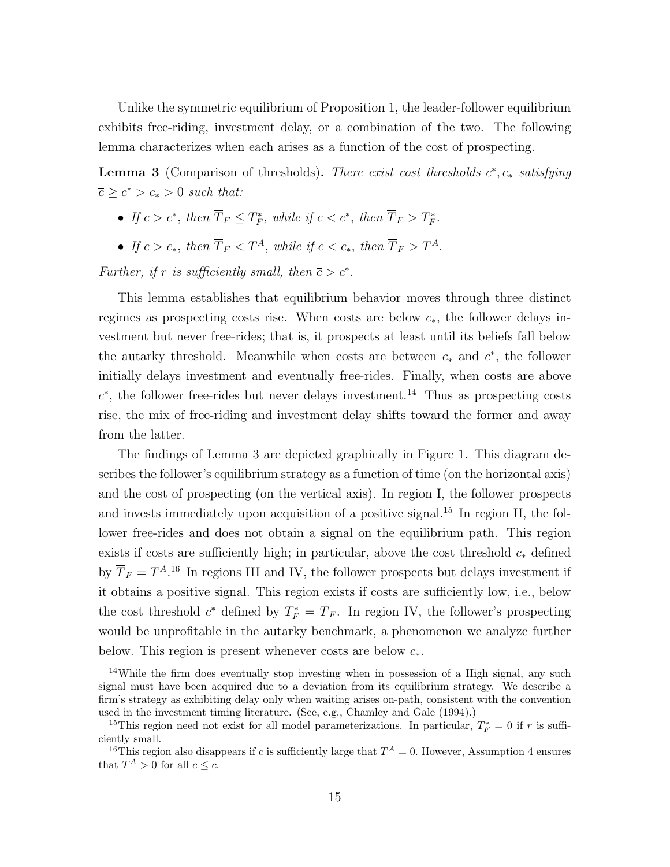Unlike the symmetric equilibrium of Proposition [1,](#page-10-1) the leader-follower equilibrium exhibits free-riding, investment delay, or a combination of the two. The following lemma characterizes when each arises as a function of the cost of prospecting.

<span id="page-14-1"></span>**Lemma 3** (Comparison of thresholds). There exist cost thresholds  $c^*$ ,  $c_*$  satisfying  $\overline{c} \geq c^* > c_* > 0$  such that:

- If  $c > c^*$ , then  $\overline{T}_F \leq T_F^*$ , while if  $c < c^*$ , then  $\overline{T}_F > T_F^*$ .
- If  $c > c_*$ , then  $\overline{T}_F < T^A$ , while if  $c < c_*$ , then  $\overline{T}_F > T^A$ .

Further, if r is sufficiently small, then  $\bar{c} > c^*$ .

This lemma establishes that equilibrium behavior moves through three distinct regimes as prospecting costs rise. When costs are below  $c_*,$  the follower delays investment but never free-rides; that is, it prospects at least until its beliefs fall below the autarky threshold. Meanwhile when costs are between  $c_*$  and  $c^*$ , the follower initially delays investment and eventually free-rides. Finally, when costs are above  $c^*$ , the follower free-rides but never delays investment.<sup>[14](#page-14-0)</sup> Thus as prospecting costs rise, the mix of free-riding and investment delay shifts toward the former and away from the latter.

The findings of Lemma [3](#page-14-1) are depicted graphically in Figure [1.](#page-15-0) This diagram describes the follower's equilibrium strategy as a function of time (on the horizontal axis) and the cost of prospecting (on the vertical axis). In region I, the follower prospects and invests immediately upon acquisition of a positive signal.<sup>[15](#page-14-2)</sup> In region II, the follower free-rides and does not obtain a signal on the equilibrium path. This region exists if costs are sufficiently high; in particular, above the cost threshold  $c_*$  defined by  $\overline{T}_F = T^{A,16}$  $\overline{T}_F = T^{A,16}$  $\overline{T}_F = T^{A,16}$  In regions III and IV, the follower prospects but delays investment if it obtains a positive signal. This region exists if costs are sufficiently low, i.e., below the cost threshold  $c^*$  defined by  $T_F^* = \overline{T}_F$ . In region IV, the follower's prospecting would be unprofitable in the autarky benchmark, a phenomenon we analyze further below. This region is present whenever costs are below  $c_*$ .

<span id="page-14-0"></span><sup>&</sup>lt;sup>14</sup>While the firm does eventually stop investing when in possession of a High signal, any such signal must have been acquired due to a deviation from its equilibrium strategy. We describe a firm's strategy as exhibiting delay only when waiting arises on-path, consistent with the convention used in the investment timing literature. (See, e.g., Chamley and Gale [\(1994\)](#page-21-3).)

<span id="page-14-2"></span><sup>&</sup>lt;sup>15</sup>This region need not exist for all model parameterizations. In particular,  $T_F^* = 0$  if r is sufficiently small.

<span id="page-14-3"></span><sup>&</sup>lt;sup>16</sup>This region also disappears if c is sufficiently large that  $T^A = 0$ . However, Assumption [4](#page-7-2) ensures that  $T^A > 0$  for all  $c \leq \overline{c}$ .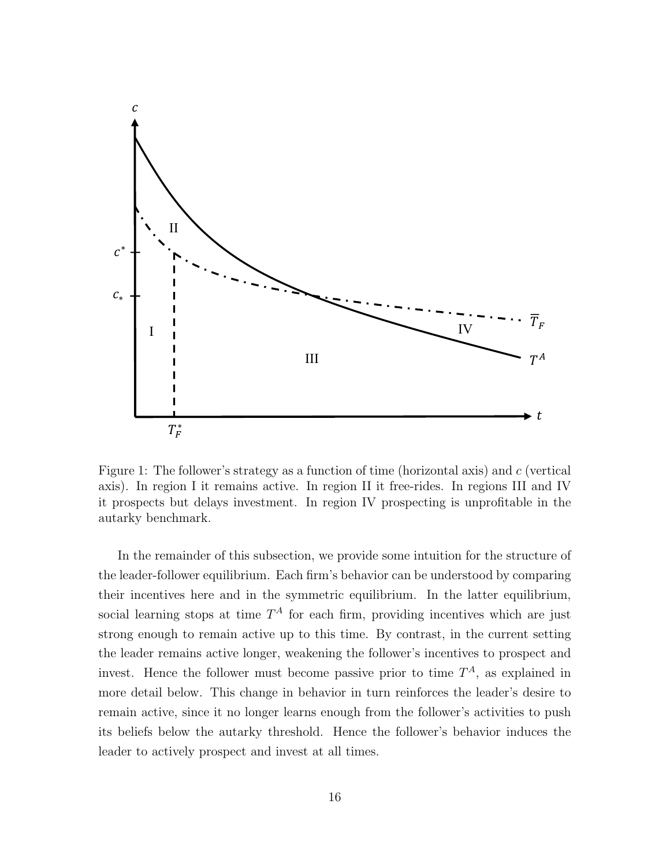

<span id="page-15-0"></span>Figure 1: The follower's strategy as a function of time (horizontal axis) and c (vertical axis). In region I it remains active. In region II it free-rides. In regions III and IV it prospects but delays investment. In region IV prospecting is unprofitable in the autarky benchmark.

In the remainder of this subsection, we provide some intuition for the structure of the leader-follower equilibrium. Each firm's behavior can be understood by comparing their incentives here and in the symmetric equilibrium. In the latter equilibrium, social learning stops at time  $T^A$  for each firm, providing incentives which are just strong enough to remain active up to this time. By contrast, in the current setting the leader remains active longer, weakening the follower's incentives to prospect and invest. Hence the follower must become passive prior to time  $T^A$ , as explained in more detail below. This change in behavior in turn reinforces the leader's desire to remain active, since it no longer learns enough from the follower's activities to push its beliefs below the autarky threshold. Hence the follower's behavior induces the leader to actively prospect and invest at all times.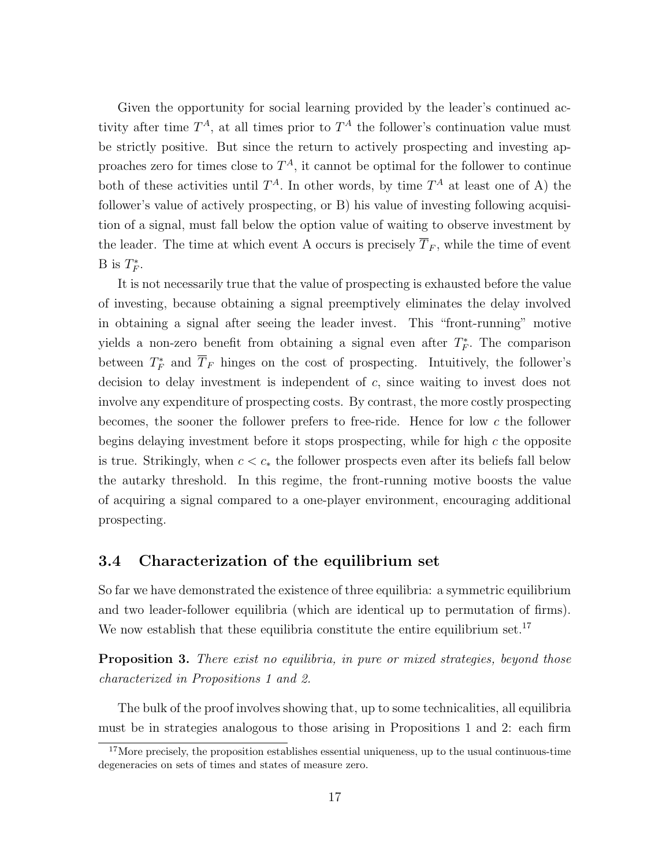Given the opportunity for social learning provided by the leader's continued activity after time  $T^A$ , at all times prior to  $T^A$  the follower's continuation value must be strictly positive. But since the return to actively prospecting and investing approaches zero for times close to  $T^A$ , it cannot be optimal for the follower to continue both of these activities until  $T^A$ . In other words, by time  $T^A$  at least one of A) the follower's value of actively prospecting, or B) his value of investing following acquisition of a signal, must fall below the option value of waiting to observe investment by the leader. The time at which event A occurs is precisely  $\overline{T}_F$ , while the time of event B is  $T_F^*$ .

It is not necessarily true that the value of prospecting is exhausted before the value of investing, because obtaining a signal preemptively eliminates the delay involved in obtaining a signal after seeing the leader invest. This "front-running" motive yields a non-zero benefit from obtaining a signal even after  $T_F^*$ . The comparison between  $T_F^*$  and  $\overline{T}_F$  hinges on the cost of prospecting. Intuitively, the follower's decision to delay investment is independent of c, since waiting to invest does not involve any expenditure of prospecting costs. By contrast, the more costly prospecting becomes, the sooner the follower prefers to free-ride. Hence for low c the follower begins delaying investment before it stops prospecting, while for high  $c$  the opposite is true. Strikingly, when  $c < c_*$  the follower prospects even after its beliefs fall below the autarky threshold. In this regime, the front-running motive boosts the value of acquiring a signal compared to a one-player environment, encouraging additional prospecting.

### <span id="page-16-0"></span>3.4 Characterization of the equilibrium set

So far we have demonstrated the existence of three equilibria: a symmetric equilibrium and two leader-follower equilibria (which are identical up to permutation of firms). We now establish that these equilibria constitute the entire equilibrium set.<sup>[17](#page-16-1)</sup>

<span id="page-16-2"></span>**Proposition 3.** There exist no equilibria, in pure or mixed strategies, beyond those characterized in Propositions [1](#page-10-1) and [2.](#page-13-1)

The bulk of the proof involves showing that, up to some technicalities, all equilibria must be in strategies analogous to those arising in Propositions [1](#page-10-1) and [2:](#page-13-1) each firm

<span id="page-16-1"></span><sup>&</sup>lt;sup>17</sup>More precisely, the proposition establishes essential uniqueness, up to the usual continuous-time degeneracies on sets of times and states of measure zero.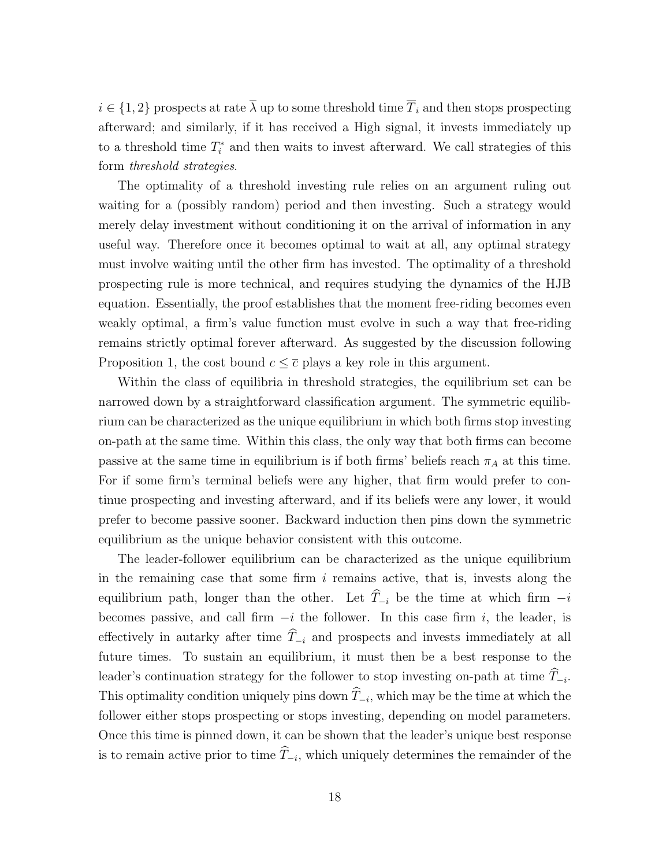$i \in \{1,2\}$  prospects at rate  $\overline{\lambda}$  up to some threshold time  $\overline{T}_i$  and then stops prospecting afterward; and similarly, if it has received a High signal, it invests immediately up to a threshold time  $T_i^*$  and then waits to invest afterward. We call strategies of this form threshold strategies.

The optimality of a threshold investing rule relies on an argument ruling out waiting for a (possibly random) period and then investing. Such a strategy would merely delay investment without conditioning it on the arrival of information in any useful way. Therefore once it becomes optimal to wait at all, any optimal strategy must involve waiting until the other firm has invested. The optimality of a threshold prospecting rule is more technical, and requires studying the dynamics of the HJB equation. Essentially, the proof establishes that the moment free-riding becomes even weakly optimal, a firm's value function must evolve in such a way that free-riding remains strictly optimal forever afterward. As suggested by the discussion following Proposition [1,](#page-10-1) the cost bound  $c \leq \overline{c}$  plays a key role in this argument.

Within the class of equilibria in threshold strategies, the equilibrium set can be narrowed down by a straightforward classification argument. The symmetric equilibrium can be characterized as the unique equilibrium in which both firms stop investing on-path at the same time. Within this class, the only way that both firms can become passive at the same time in equilibrium is if both firms' beliefs reach  $\pi_A$  at this time. For if some firm's terminal beliefs were any higher, that firm would prefer to continue prospecting and investing afterward, and if its beliefs were any lower, it would prefer to become passive sooner. Backward induction then pins down the symmetric equilibrium as the unique behavior consistent with this outcome.

The leader-follower equilibrium can be characterized as the unique equilibrium in the remaining case that some firm  $i$  remains active, that is, invests along the equilibrium path, longer than the other. Let  $\widehat{T}_{-i}$  be the time at which firm  $-i$ becomes passive, and call firm  $-i$  the follower. In this case firm i, the leader, is effectively in autarky after time  $\hat{T}_{-i}$  and prospects and invests immediately at all future times. To sustain an equilibrium, it must then be a best response to the leader's continuation strategy for the follower to stop investing on-path at time  $T_{-i}$ . This optimality condition uniquely pins down  $T_{-i}$ , which may be the time at which the follower either stops prospecting or stops investing, depending on model parameters. Once this time is pinned down, it can be shown that the leader's unique best response is to remain active prior to time  $T_{-i}$ , which uniquely determines the remainder of the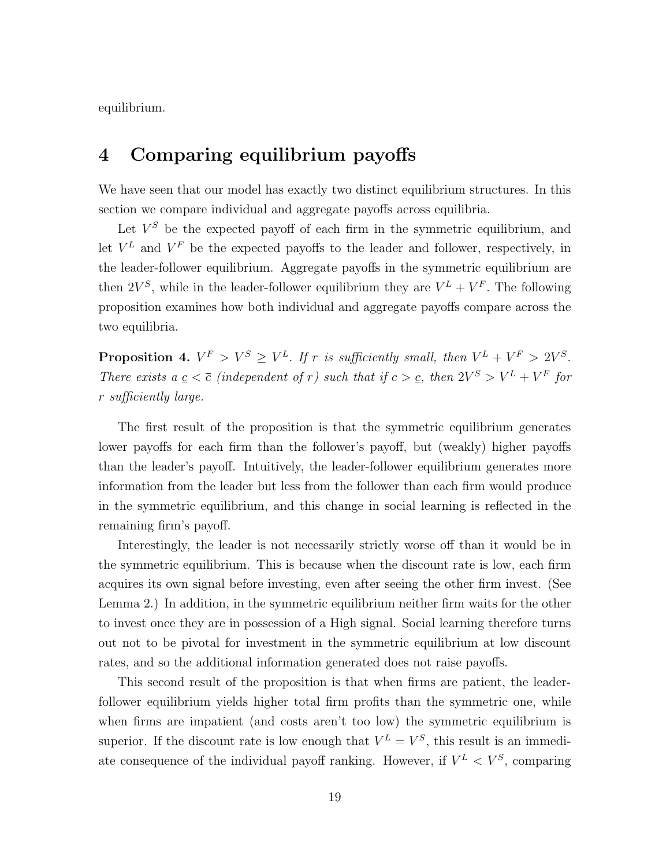equilibrium.

### <span id="page-18-0"></span>4 Comparing equilibrium payoffs

We have seen that our model has exactly two distinct equilibrium structures. In this section we compare individual and aggregate payoffs across equilibria.

Let  $V^S$  be the expected payoff of each firm in the symmetric equilibrium, and let  $V^L$  and  $V^F$  be the expected payoffs to the leader and follower, respectively, in the leader-follower equilibrium. Aggregate payoffs in the symmetric equilibrium are then  $2V^S$ , while in the leader-follower equilibrium they are  $V^L + V^F$ . The following proposition examines how both individual and aggregate payoffs compare across the two equilibria.

<span id="page-18-1"></span>**Proposition 4.**  $V^F > V^S \geq V^L$ . If r is sufficiently small, then  $V^L + V^F > 2V^S$ . There exists a  $\underline{c} < \overline{c}$  (independent of r) such that if  $c > \underline{c}$ , then  $2V^S > V^L + V^F$  for r sufficiently large.

The first result of the proposition is that the symmetric equilibrium generates lower payoffs for each firm than the follower's payoff, but (weakly) higher payoffs than the leader's payoff. Intuitively, the leader-follower equilibrium generates more information from the leader but less from the follower than each firm would produce in the symmetric equilibrium, and this change in social learning is reflected in the remaining firm's payoff.

Interestingly, the leader is not necessarily strictly worse off than it would be in the symmetric equilibrium. This is because when the discount rate is low, each firm acquires its own signal before investing, even after seeing the other firm invest. (See Lemma [2.](#page-9-2)) In addition, in the symmetric equilibrium neither firm waits for the other to invest once they are in possession of a High signal. Social learning therefore turns out not to be pivotal for investment in the symmetric equilibrium at low discount rates, and so the additional information generated does not raise payoffs.

This second result of the proposition is that when firms are patient, the leaderfollower equilibrium yields higher total firm profits than the symmetric one, while when firms are impatient (and costs aren't too low) the symmetric equilibrium is superior. If the discount rate is low enough that  $V^L = V^S$ , this result is an immediate consequence of the individual payoff ranking. However, if  $V^L < V^S$ , comparing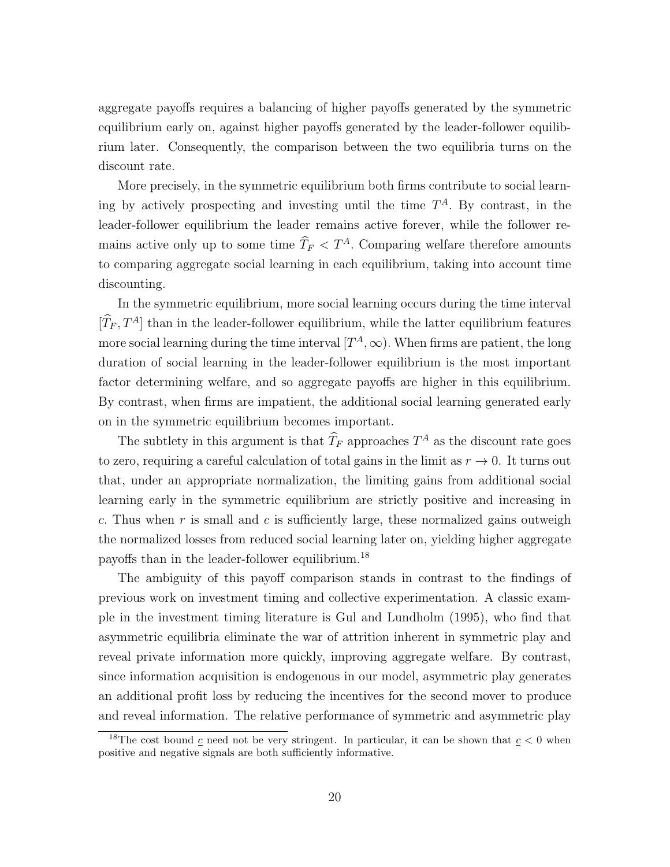aggregate payoffs requires a balancing of higher payoffs generated by the symmetric equilibrium early on, against higher payoffs generated by the leader-follower equilibrium later. Consequently, the comparison between the two equilibria turns on the discount rate.

More precisely, in the symmetric equilibrium both firms contribute to social learning by actively prospecting and investing until the time  $T^A$ . By contrast, in the leader-follower equilibrium the leader remains active forever, while the follower remains active only up to some time  $\widehat{T}_F < T^A$ . Comparing welfare therefore amounts to comparing aggregate social learning in each equilibrium, taking into account time discounting.

In the symmetric equilibrium, more social learning occurs during the time interval  $[\hat{T}_F, T^A]$  than in the leader-follower equilibrium, while the latter equilibrium features more social learning during the time interval  $[T^A,\infty)$ . When firms are patient, the long duration of social learning in the leader-follower equilibrium is the most important factor determining welfare, and so aggregate payoffs are higher in this equilibrium. By contrast, when firms are impatient, the additional social learning generated early on in the symmetric equilibrium becomes important.

The subtlety in this argument is that  $\hat{T}_F$  approaches  $T^A$  as the discount rate goes to zero, requiring a careful calculation of total gains in the limit as  $r \to 0$ . It turns out that, under an appropriate normalization, the limiting gains from additional social learning early in the symmetric equilibrium are strictly positive and increasing in c. Thus when r is small and c is sufficiently large, these normalized gains outweigh the normalized losses from reduced social learning later on, yielding higher aggregate payoffs than in the leader-follower equilibrium.[18](#page-19-0)

The ambiguity of this payoff comparison stands in contrast to the findings of previous work on investment timing and collective experimentation. A classic example in the investment timing literature is Gul and Lundholm [\(1995\)](#page-22-10), who find that asymmetric equilibria eliminate the war of attrition inherent in symmetric play and reveal private information more quickly, improving aggregate welfare. By contrast, since information acquisition is endogenous in our model, asymmetric play generates an additional profit loss by reducing the incentives for the second mover to produce and reveal information. The relative performance of symmetric and asymmetric play

<span id="page-19-0"></span><sup>&</sup>lt;sup>18</sup>The cost bound  $\underline{c}$  need not be very stringent. In particular, it can be shown that  $\underline{c} < 0$  when positive and negative signals are both sufficiently informative.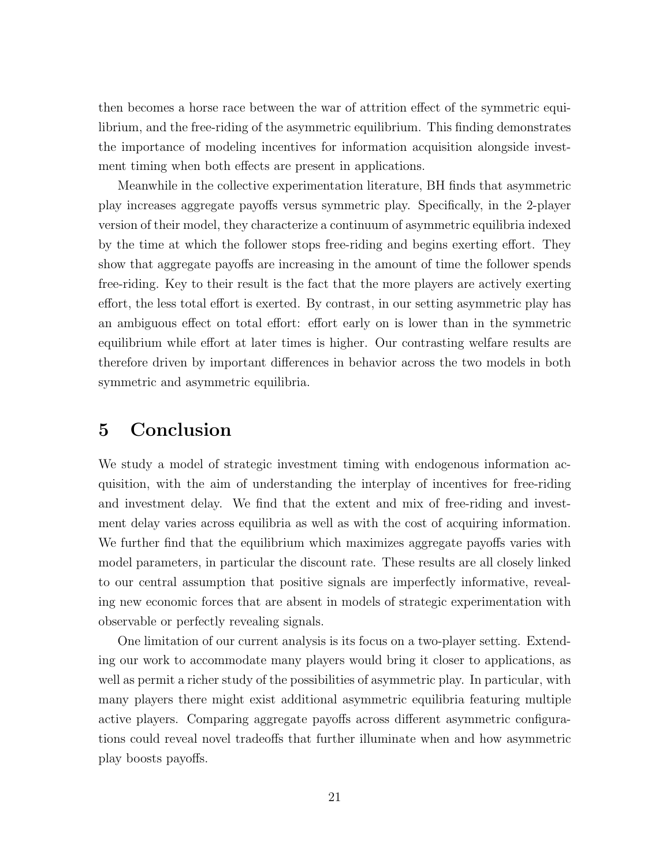then becomes a horse race between the war of attrition effect of the symmetric equilibrium, and the free-riding of the asymmetric equilibrium. This finding demonstrates the importance of modeling incentives for information acquisition alongside investment timing when both effects are present in applications.

Meanwhile in the collective experimentation literature, BH finds that asymmetric play increases aggregate payoffs versus symmetric play. Specifically, in the 2-player version of their model, they characterize a continuum of asymmetric equilibria indexed by the time at which the follower stops free-riding and begins exerting effort. They show that aggregate payoffs are increasing in the amount of time the follower spends free-riding. Key to their result is the fact that the more players are actively exerting effort, the less total effort is exerted. By contrast, in our setting asymmetric play has an ambiguous effect on total effort: effort early on is lower than in the symmetric equilibrium while effort at later times is higher. Our contrasting welfare results are therefore driven by important differences in behavior across the two models in both symmetric and asymmetric equilibria.

### <span id="page-20-0"></span>5 Conclusion

We study a model of strategic investment timing with endogenous information acquisition, with the aim of understanding the interplay of incentives for free-riding and investment delay. We find that the extent and mix of free-riding and investment delay varies across equilibria as well as with the cost of acquiring information. We further find that the equilibrium which maximizes aggregate payoffs varies with model parameters, in particular the discount rate. These results are all closely linked to our central assumption that positive signals are imperfectly informative, revealing new economic forces that are absent in models of strategic experimentation with observable or perfectly revealing signals.

One limitation of our current analysis is its focus on a two-player setting. Extending our work to accommodate many players would bring it closer to applications, as well as permit a richer study of the possibilities of asymmetric play. In particular, with many players there might exist additional asymmetric equilibria featuring multiple active players. Comparing aggregate payoffs across different asymmetric configurations could reveal novel tradeoffs that further illuminate when and how asymmetric play boosts payoffs.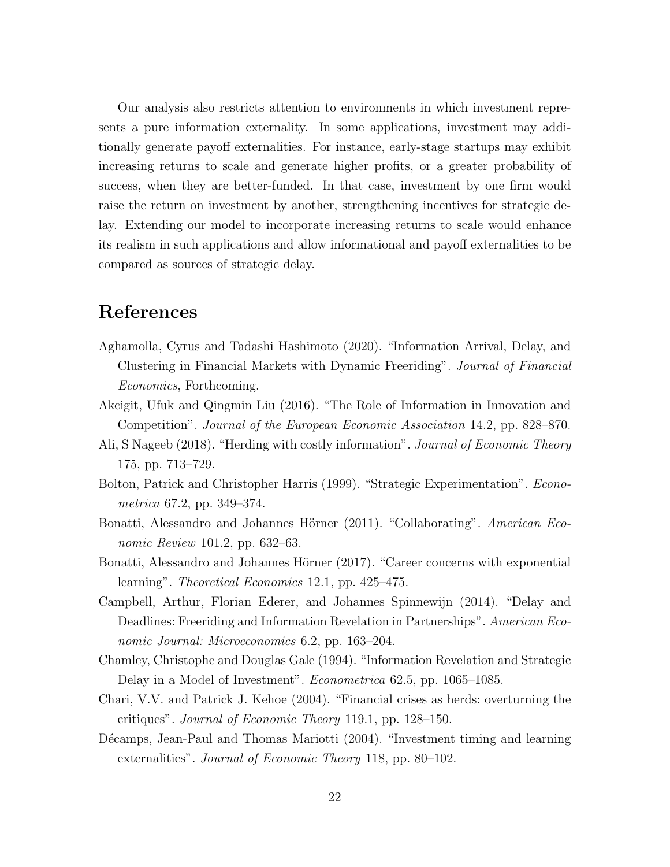Our analysis also restricts attention to environments in which investment represents a pure information externality. In some applications, investment may additionally generate payoff externalities. For instance, early-stage startups may exhibit increasing returns to scale and generate higher profits, or a greater probability of success, when they are better-funded. In that case, investment by one firm would raise the return on investment by another, strengthening incentives for strategic delay. Extending our model to incorporate increasing returns to scale would enhance its realism in such applications and allow informational and payoff externalities to be compared as sources of strategic delay.

## References

- <span id="page-21-5"></span>Aghamolla, Cyrus and Tadashi Hashimoto (2020). "Information Arrival, Delay, and Clustering in Financial Markets with Dynamic Freeriding". Journal of Financial Economics, Forthcoming.
- <span id="page-21-9"></span>Akcigit, Ufuk and Qingmin Liu (2016). "The Role of Information in Innovation and Competition". Journal of the European Economic Association 14.2, pp. 828–870.
- <span id="page-21-7"></span>Ali, S Nageeb (2018). "Herding with costly information". *Journal of Economic Theory* 175, pp. 713–729.
- <span id="page-21-2"></span>Bolton, Patrick and Christopher Harris (1999). "Strategic Experimentation". Econometrica 67.2, pp. 349–374.
- <span id="page-21-0"></span>Bonatti, Alessandro and Johannes Hörner (2011). "Collaborating". American Economic Review 101.2, pp. 632–63.
- <span id="page-21-1"></span>Bonatti, Alessandro and Johannes Hörner (2017). "Career concerns with exponential learning". Theoretical Economics 12.1, pp. 425–475.
- <span id="page-21-8"></span>Campbell, Arthur, Florian Ederer, and Johannes Spinnewijn (2014). "Delay and Deadlines: Freeriding and Information Revelation in Partnerships". American Economic Journal: Microeconomics 6.2, pp. 163–204.
- <span id="page-21-3"></span>Chamley, Christophe and Douglas Gale (1994). "Information Revelation and Strategic Delay in a Model of Investment". Econometrica 62.5, pp. 1065–1085.
- <span id="page-21-4"></span>Chari, V.V. and Patrick J. Kehoe (2004). "Financial crises as herds: overturning the critiques". Journal of Economic Theory 119.1, pp. 128–150.
- <span id="page-21-6"></span>Décamps, Jean-Paul and Thomas Mariotti (2004). "Investment timing and learning externalities". Journal of Economic Theory 118, pp. 80–102.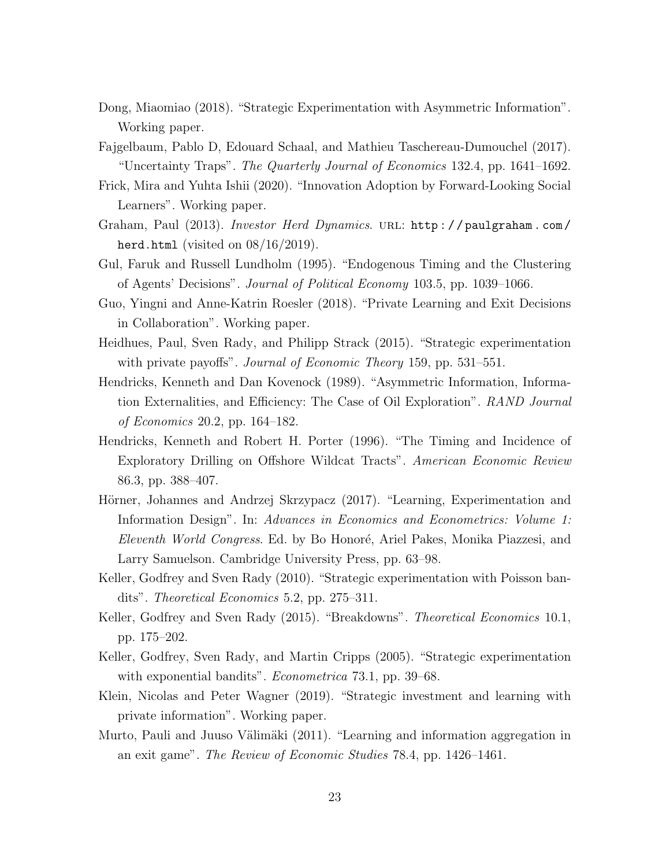- <span id="page-22-6"></span>Dong, Miaomiao (2018). "Strategic Experimentation with Asymmetric Information". Working paper.
- <span id="page-22-12"></span>Fajgelbaum, Pablo D, Edouard Schaal, and Mathieu Taschereau-Dumouchel (2017). "Uncertainty Traps". The Quarterly Journal of Economics 132.4, pp. 1641–1692.
- <span id="page-22-13"></span>Frick, Mira and Yuhta Ishii (2020). "Innovation Adoption by Forward-Looking Social Learners". Working paper.
- <span id="page-22-2"></span>Graham, Paul (2013). *Investor Herd Dynamics*. URL: http://paulgraham.com/ [herd.html](http://paulgraham.com/herd.html) (visited on  $08/16/2019$ ).
- <span id="page-22-10"></span>Gul, Faruk and Russell Lundholm (1995). "Endogenous Timing and the Clustering of Agents' Decisions". Journal of Political Economy 103.5, pp. 1039–1066.
- <span id="page-22-9"></span>Guo, Yingni and Anne-Katrin Roesler (2018). "Private Learning and Exit Decisions in Collaboration". Working paper.
- <span id="page-22-8"></span>Heidhues, Paul, Sven Rady, and Philipp Strack (2015). "Strategic experimentation with private payoffs". *Journal of Economic Theory* 159, pp. 531–551.
- <span id="page-22-0"></span>Hendricks, Kenneth and Dan Kovenock (1989). "Asymmetric Information, Information Externalities, and Efficiency: The Case of Oil Exploration". RAND Journal of Economics 20.2, pp. 164–182.
- <span id="page-22-1"></span>Hendricks, Kenneth and Robert H. Porter (1996). "The Timing and Incidence of Exploratory Drilling on Offshore Wildcat Tracts". American Economic Review 86.3, pp. 388–407.
- <span id="page-22-7"></span>Hörner, Johannes and Andrzej Skrzypacz (2017). "Learning, Experimentation and Information Design". In: Advances in Economics and Econometrics: Volume 1: Eleventh World Congress. Ed. by Bo Honoré, Ariel Pakes, Monika Piazzesi, and Larry Samuelson. Cambridge University Press, pp. 63–98.
- <span id="page-22-4"></span>Keller, Godfrey and Sven Rady (2010). "Strategic experimentation with Poisson bandits". Theoretical Economics 5.2, pp. 275–311.
- <span id="page-22-5"></span>Keller, Godfrey and Sven Rady (2015). "Breakdowns". Theoretical Economics 10.1, pp. 175–202.
- <span id="page-22-3"></span>Keller, Godfrey, Sven Rady, and Martin Cripps (2005). "Strategic experimentation with exponential bandits". *Econometrica* 73.1, pp. 39–68.
- <span id="page-22-14"></span>Klein, Nicolas and Peter Wagner (2019). "Strategic investment and learning with private information". Working paper.
- <span id="page-22-11"></span>Murto, Pauli and Juuso Välimäki (2011). "Learning and information aggregation in an exit game". The Review of Economic Studies 78.4, pp. 1426–1461.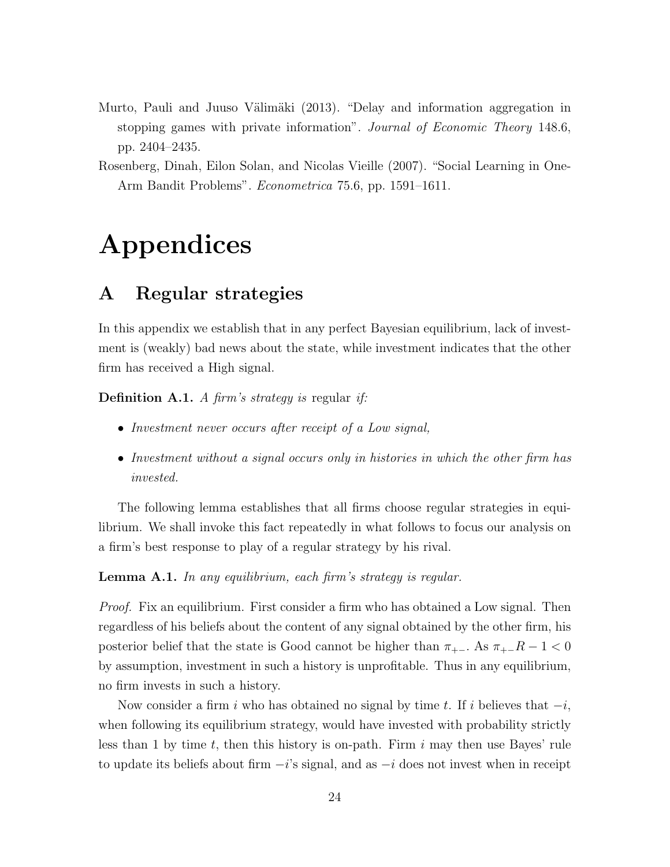- <span id="page-23-1"></span>Murto, Pauli and Juuso Välimäki (2013). "Delay and information aggregation in stopping games with private information". Journal of Economic Theory 148.6, pp. 2404–2435.
- <span id="page-23-0"></span>Rosenberg, Dinah, Eilon Solan, and Nicolas Vieille (2007). "Social Learning in One-Arm Bandit Problems". Econometrica 75.6, pp. 1591–1611.

# Appendices

### <span id="page-23-2"></span>A Regular strategies

In this appendix we establish that in any perfect Bayesian equilibrium, lack of investment is (weakly) bad news about the state, while investment indicates that the other firm has received a High signal.

**Definition A.1.** A firm's strategy is regular if:

- Investment never occurs after receipt of a Low signal,
- Investment without a signal occurs only in histories in which the other firm has invested.

The following lemma establishes that all firms choose regular strategies in equilibrium. We shall invoke this fact repeatedly in what follows to focus our analysis on a firm's best response to play of a regular strategy by his rival.

**Lemma A.1.** In any equilibrium, each firm's strategy is regular.

Proof. Fix an equilibrium. First consider a firm who has obtained a Low signal. Then regardless of his beliefs about the content of any signal obtained by the other firm, his posterior belief that the state is Good cannot be higher than  $\pi_{+-}$ . As  $\pi_{+-}R-1 < 0$ by assumption, investment in such a history is unprofitable. Thus in any equilibrium, no firm invests in such a history.

Now consider a firm i who has obtained no signal by time t. If i believes that  $-i$ , when following its equilibrium strategy, would have invested with probability strictly less than 1 by time t, then this history is on-path. Firm  $i$  may then use Bayes' rule to update its beliefs about firm  $-i$ 's signal, and as  $-i$  does not invest when in receipt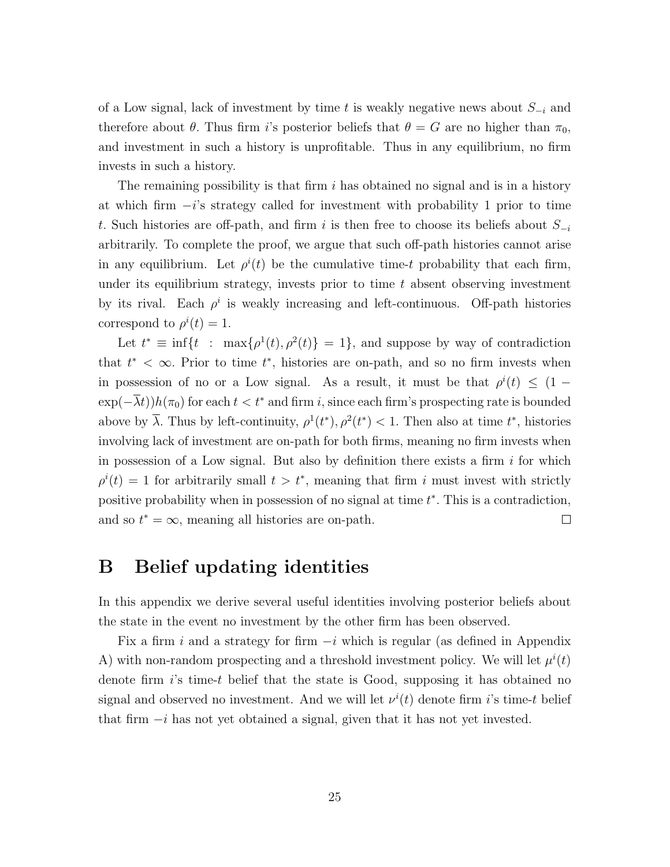of a Low signal, lack of investment by time t is weakly negative news about  $S_{-i}$  and therefore about  $\theta$ . Thus firm i's posterior beliefs that  $\theta = G$  are no higher than  $\pi_0$ , and investment in such a history is unprofitable. Thus in any equilibrium, no firm invests in such a history.

The remaining possibility is that firm  $i$  has obtained no signal and is in a history at which firm  $-i$ 's strategy called for investment with probability 1 prior to time t. Such histories are off-path, and firm i is then free to choose its beliefs about  $S_{-i}$ arbitrarily. To complete the proof, we argue that such off-path histories cannot arise in any equilibrium. Let  $\rho^{i}(t)$  be the cumulative time-t probability that each firm, under its equilibrium strategy, invests prior to time  $t$  absent observing investment by its rival. Each  $\rho^i$  is weakly increasing and left-continuous. Off-path histories correspond to  $\rho^{i}(t) = 1$ .

Let  $t^* \equiv \inf\{t : \max\{\rho^1(t), \rho^2(t)\} = 1\}$ , and suppose by way of contradiction that  $t^* < \infty$ . Prior to time  $t^*$ , histories are on-path, and so no firm invests when in possession of no or a Low signal. As a result, it must be that  $\rho^{i}(t) \leq (1 \exp(-\lambda t)h(\pi_0)$  for each  $t < t^*$  and firm i, since each firm's prospecting rate is bounded above by  $\overline{\lambda}$ . Thus by left-continuity,  $\rho^1(t^*)$ ,  $\rho^2(t^*)$  < 1. Then also at time  $t^*$ , histories involving lack of investment are on-path for both firms, meaning no firm invests when in possession of a Low signal. But also by definition there exists a firm  $i$  for which  $\rho^{i}(t) = 1$  for arbitrarily small  $t > t^*$ , meaning that firm i must invest with strictly positive probability when in possession of no signal at time  $t^*$ . This is a contradiction, and so  $t^* = \infty$ , meaning all histories are on-path.  $\Box$ 

### B Belief updating identities

In this appendix we derive several useful identities involving posterior beliefs about the state in the event no investment by the other firm has been observed.

Fix a firm i and a strategy for firm  $-i$  which is regular (as defined in Appendix [A\)](#page-23-2) with non-random prospecting and a threshold investment policy. We will let  $\mu^{i}(t)$ denote firm  $i$ 's time-t belief that the state is Good, supposing it has obtained no signal and observed no investment. And we will let  $\nu^{i}(t)$  denote firm i's time-t belief that firm  $-i$  has not yet obtained a signal, given that it has not yet invested.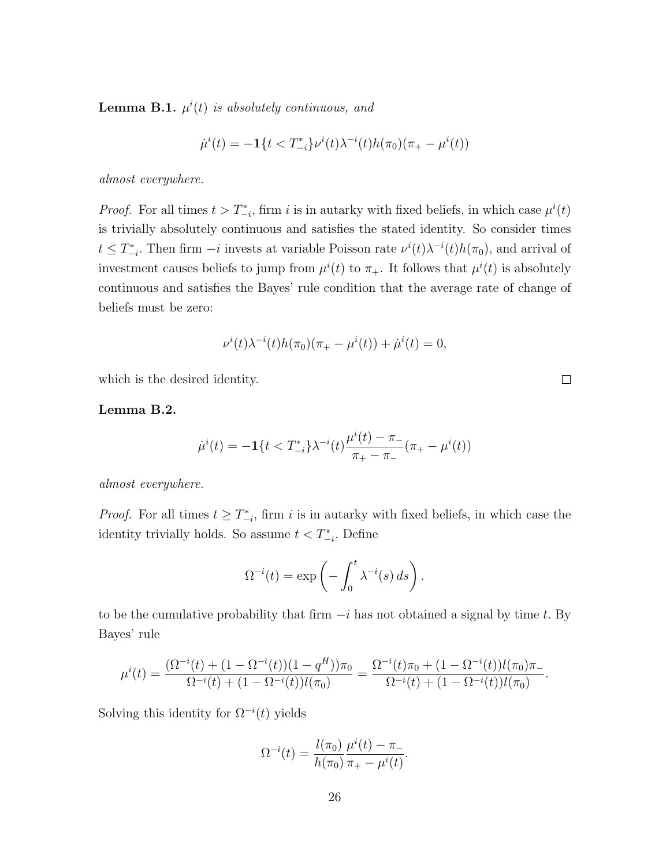<span id="page-25-0"></span>**Lemma B.1.**  $\mu^{i}(t)$  is absolutely continuous, and

$$
\dot{\mu}^i(t) = -\mathbf{1}\{t < T^*_{-i}\} \nu^i(t) \lambda^{-i}(t) h(\pi_0)(\pi_+ - \mu^i(t))
$$

almost everywhere.

*Proof.* For all times  $t > T_{-i}^*$ , firm i is in autarky with fixed beliefs, in which case  $\mu^i(t)$ is trivially absolutely continuous and satisfies the stated identity. So consider times  $t \leq T_{-i}^*$ . Then firm  $-i$  invests at variable Poisson rate  $\nu^{i}(t)\lambda^{-i}(t)h(\pi_0)$ , and arrival of investment causes beliefs to jump from  $\mu^{i}(t)$  to  $\pi_{+}$ . It follows that  $\mu^{i}(t)$  is absolutely continuous and satisfies the Bayes' rule condition that the average rate of change of beliefs must be zero:

$$
\nu^{i}(t)\lambda^{-i}(t)h(\pi_{0})(\pi_{+}-\mu^{i}(t))+\dot{\mu}^{i}(t)=0,
$$

which is the desired identity.

<span id="page-25-1"></span>Lemma B.2.

$$
\dot{\mu}^i(t) = -\mathbf{1}\{t < T_{-i}^*\}\lambda^{-i}(t)\frac{\mu^i(t) - \pi_{-}}{\pi_{+} - \pi_{-}}(\pi_{+} - \mu^i(t))
$$

almost everywhere.

*Proof.* For all times  $t \geq T_{-i}^*$ , firm i is in autarky with fixed beliefs, in which case the identity trivially holds. So assume  $t < T_{-i}^*$ . Define

$$
\Omega^{-i}(t) = \exp\left(-\int_0^t \lambda^{-i}(s) \, ds\right).
$$

to be the cumulative probability that firm  $-i$  has not obtained a signal by time t. By Bayes' rule

$$
\mu^{i}(t) = \frac{(\Omega^{-i}(t) + (1 - \Omega^{-i}(t))(1 - q^{H}))\pi_{0}}{\Omega^{-i}(t) + (1 - \Omega^{-i}(t))l(\pi_{0})} = \frac{\Omega^{-i}(t)\pi_{0} + (1 - \Omega^{-i}(t))l(\pi_{0})\pi_{-}}{\Omega^{-i}(t) + (1 - \Omega^{-i}(t))l(\pi_{0})}
$$

Solving this identity for  $\Omega^{-i}(t)$  yields

$$
\Omega^{-i}(t) = \frac{l(\pi_0)}{h(\pi_0)} \frac{\mu^{i}(t) - \pi_{-}}{\pi_{+} - \mu^{i}(t)}.
$$

 $\Box$ 

.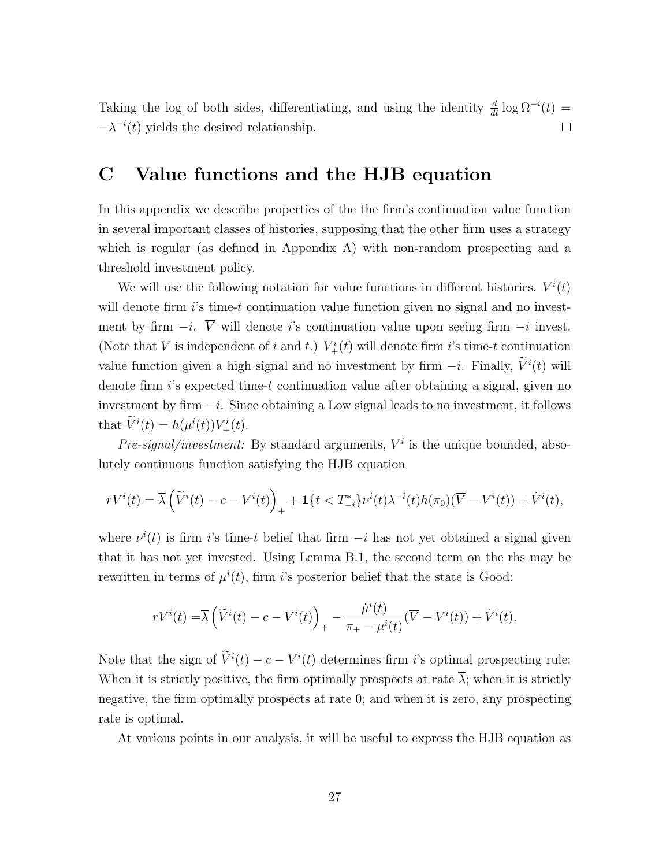Taking the log of both sides, differentiating, and using the identity  $\frac{d}{dt} \log \Omega^{-i}(t) =$  $-\lambda^{-i}(t)$  yields the desired relationship.  $\Box$ 

### <span id="page-26-0"></span>C Value functions and the HJB equation

In this appendix we describe properties of the the firm's continuation value function in several important classes of histories, supposing that the other firm uses a strategy which is regular (as defined in Appendix [A\)](#page-23-2) with non-random prospecting and a threshold investment policy.

We will use the following notation for value functions in different histories.  $V^{i}(t)$ will denote firm  $i$ 's time-t continuation value function given no signal and no investment by firm  $-i$ .  $\overline{V}$  will denote i's continuation value upon seeing firm  $-i$  invest. (Note that  $\overline{V}$  is independent of i and t.)  $V^i_+(t)$  will denote firm i's time-t continuation value function given a high signal and no investment by firm  $-i$ . Finally,  $\tilde{V}^i(t)$  will denote firm  $i$ 's expected time-t continuation value after obtaining a signal, given no investment by firm  $-i$ . Since obtaining a Low signal leads to no investment, it follows that  $\tilde{V}^{i}(t) = h(\mu^{i}(t))V_{+}^{i}(t)$ .

Pre-signal/investment: By standard arguments,  $V^i$  is the unique bounded, absolutely continuous function satisfying the HJB equation

$$
rV^{i}(t) = \overline{\lambda} \left( \widetilde{V}^{i}(t) - c - V^{i}(t) \right)_{+} + \mathbf{1} \{ t < T^{*}_{-i} \} v^{i}(t) \lambda^{-i}(t) h(\pi_{0}) (\overline{V} - V^{i}(t)) + \dot{V}^{i}(t),
$$

where  $\nu^{i}(t)$  is firm is time-t belief that firm  $-i$  has not yet obtained a signal given that it has not yet invested. Using Lemma [B.1,](#page-25-0) the second term on the rhs may be rewritten in terms of  $\mu^{i}(t)$ , firm *i*'s posterior belief that the state is Good:

$$
rV^{i}(t) = \overline{\lambda} \left( \widetilde{V}^{i}(t) - c - V^{i}(t) \right)_{+} - \frac{\dot{\mu}^{i}(t)}{\pi_{+} - \mu^{i}(t)} (\overline{V} - V^{i}(t)) + \dot{V}^{i}(t).
$$

Note that the sign of  $\tilde{V}^i(t) - c - V^i(t)$  determines firm i's optimal prospecting rule: When it is strictly positive, the firm optimally prospects at rate  $\overline{\lambda}$ ; when it is strictly negative, the firm optimally prospects at rate 0; and when it is zero, any prospecting rate is optimal.

At various points in our analysis, it will be useful to express the HJB equation as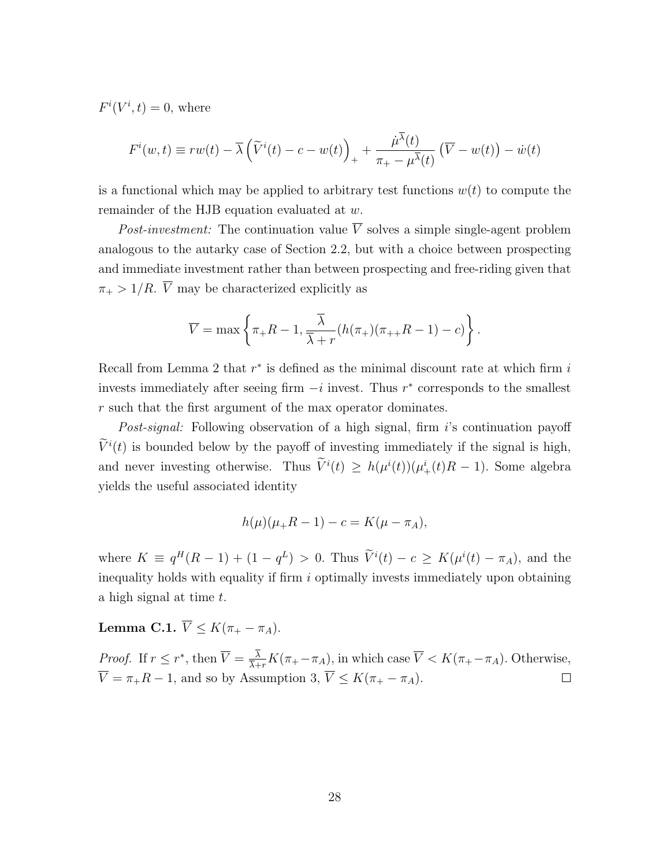$F^i(V^i,t) = 0$ , where

$$
F^{i}(w,t) \equiv rw(t) - \overline{\lambda} \left(\widetilde{V}^{i}(t) - c - w(t)\right)_{+} + \frac{\mu^{\overline{\lambda}}(t)}{\pi_{+} - \mu^{\overline{\lambda}}(t)} \left(\overline{V} - w(t)\right) - \dot{w}(t)
$$

is a functional which may be applied to arbitrary test functions  $w(t)$  to compute the remainder of the HJB equation evaluated at w.

Post-investment: The continuation value  $\overline{V}$  solves a simple single-agent problem analogous to the autarky case of Section [2.2,](#page-7-3) but with a choice between prospecting and immediate investment rather than between prospecting and free-riding given that  $\pi_+ > 1/R$ .  $\overline{V}$  may be characterized explicitly as

$$
\overline{V} = \max \left\{ \pi_+ R - 1, \frac{\overline{\lambda}}{\overline{\lambda} + r} (h(\pi_+)(\pi_{++} R - 1) - c) \right\}.
$$

Recall from Lemma [2](#page-9-2) that  $r^*$  is defined as the minimal discount rate at which firm  $i$ invests immediately after seeing firm  $-i$  invest. Thus  $r^*$  corresponds to the smallest r such that the first argument of the max operator dominates.

Post-signal: Following observation of a high signal, firm i's continuation payoff  $\overline{V}^{i}(t)$  is bounded below by the payoff of investing immediately if the signal is high, and never investing otherwise. Thus  $\tilde{V}^i(t) \ge h(\mu^i(t))(\mu^i_+(t)R-1)$ . Some algebra yields the useful associated identity

$$
h(\mu)(\mu_{+}R - 1) - c = K(\mu - \pi_{A}),
$$

where  $K \equiv q^H(R-1) + (1 - q^L) > 0$ . Thus  $\tilde{V}^i(t) - c \geq K(\mu^i(t) - \pi_A)$ , and the inequality holds with equality if firm  $i$  optimally invests immediately upon obtaining a high signal at time t.

<span id="page-27-0"></span>Lemma C.1.  $\overline{V} \leq K(\pi_+ - \pi_A)$ .

*Proof.* If  $r \leq r^*$ , then  $\overline{V} = \frac{\lambda}{\overline{V}}$  $\frac{\lambda}{\lambda+r}K(\pi_+ - \pi_A)$ , in which case  $\overline{V} < K(\pi_+ - \pi_A)$ . Otherwise,  $\overline{V} = \pi_+ R - 1$ , and so by Assumption [3,](#page-6-3)  $\overline{V} \leq K(\pi_+ - \pi_A)$ .  $\Box$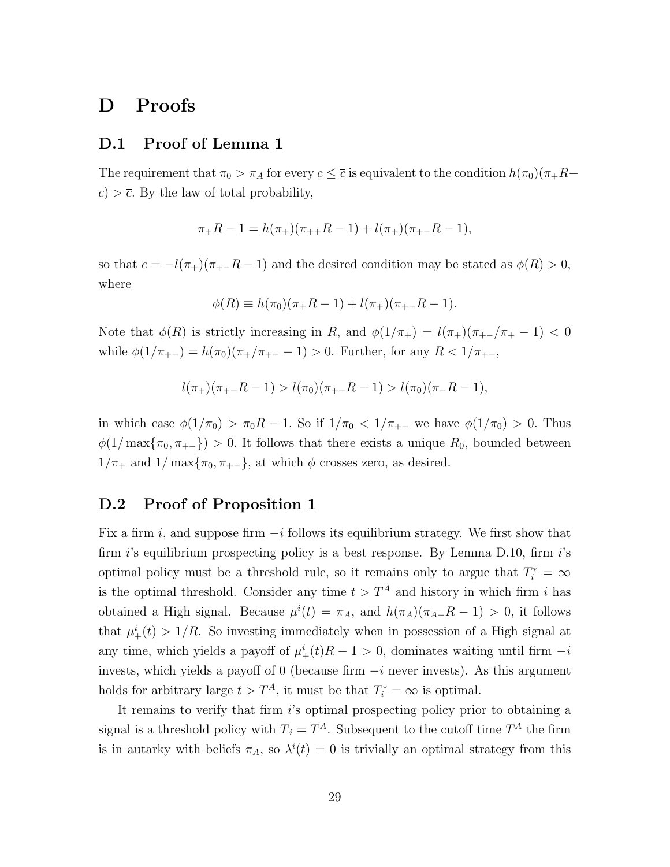### D Proofs

### D.1 Proof of Lemma [1](#page-7-1)

The requirement that  $\pi_0 > \pi_A$  for every  $c \leq \overline{c}$  is equivalent to the condition  $h(\pi_0)(\pi_+R$  $c$ )  $> \overline{c}$ . By the law of total probability,

$$
\pi_{+}R - 1 = h(\pi_{+})(\pi_{++}R - 1) + l(\pi_{+})(\pi_{+-}R - 1),
$$

so that  $\bar{c} = -l(\pi_+)(\pi_+ - R - 1)$  and the desired condition may be stated as  $\phi(R) > 0$ , where

$$
\phi(R) \equiv h(\pi_0)(\pi_+ R - 1) + l(\pi_+)(\pi_{+-} R - 1).
$$

Note that  $\phi(R)$  is strictly increasing in R, and  $\phi(1/\pi_{+}) = l(\pi_{+})(\pi_{+}-\pi_{+}-1) < 0$ while  $\phi(1/\pi_{+-}) = h(\pi_0)(\pi_+/\pi_{+-}-1) > 0$ . Further, for any  $R < 1/\pi_{+-}$ ,

$$
l(\pi_+)(\pi_+ - R - 1) > l(\pi_0)(\pi_+ - R - 1) > l(\pi_0)(\pi_- - R - 1),
$$

in which case  $\phi(1/\pi_0) > \pi_0 R - 1$ . So if  $1/\pi_0 < 1/\pi_{+-}$  we have  $\phi(1/\pi_0) > 0$ . Thus  $\phi(1/\max{\lbrace \pi_0, \pi_{+-} \rbrace}) > 0$ . It follows that there exists a unique  $R_0$ , bounded between  $1/\pi_+$  and  $1/\max{\pi_0, \pi_{+-}}$ , at which  $\phi$  crosses zero, as desired.

#### D.2 Proof of Proposition [1](#page-10-1)

Fix a firm i, and suppose firm  $-i$  follows its equilibrium strategy. We first show that firm  $i$ 's equilibrium prospecting policy is a best response. By Lemma [D.10,](#page-39-0) firm  $i$ 's optimal policy must be a threshold rule, so it remains only to argue that  $T_i^* = \infty$ is the optimal threshold. Consider any time  $t > T<sup>A</sup>$  and history in which firm i has obtained a High signal. Because  $\mu^{i}(t) = \pi_A$ , and  $h(\pi_A)(\pi_{A+}R-1) > 0$ , it follows that  $\mu^i_+(t) > 1/R$ . So investing immediately when in possession of a High signal at any time, which yields a payoff of  $\mu^i_+(t)R-1>0$ , dominates waiting until firm  $-i$ invests, which yields a payoff of 0 (because firm  $-i$  never invests). As this argument holds for arbitrary large  $t > T<sup>A</sup>$ , it must be that  $T<sub>i</sub><sup>*</sup> = \infty$  is optimal.

It remains to verify that firm i's optimal prospecting policy prior to obtaining a signal is a threshold policy with  $\overline{T}_i = T^A$ . Subsequent to the cutoff time  $T^A$  the firm is in autarky with beliefs  $\pi_A$ , so  $\lambda^i(t) = 0$  is trivially an optimal strategy from this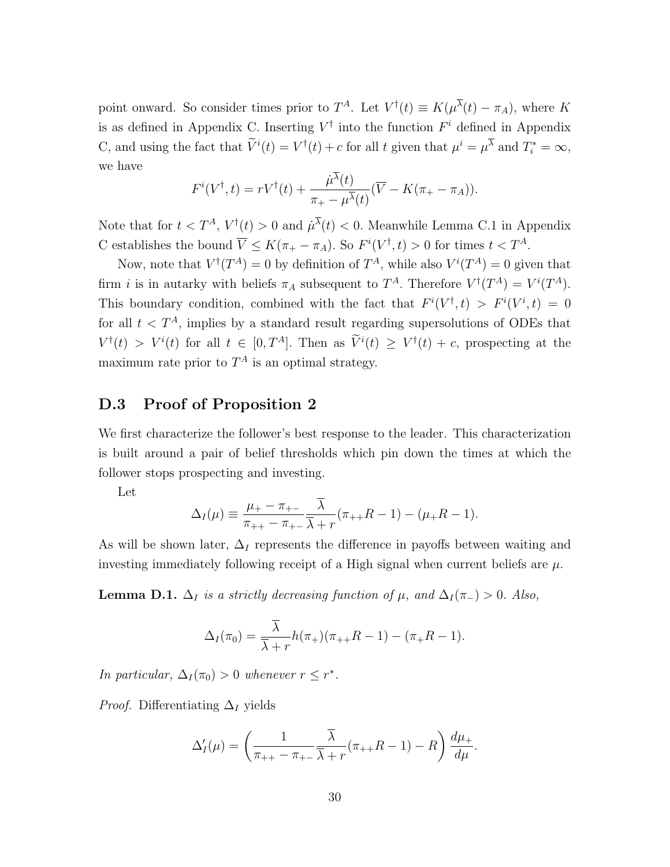point onward. So consider times prior to  $T^A$ . Let  $V^{\dagger}(t) \equiv K(\mu^{\lambda}(t) - \pi_A)$ , where K is as defined in Appendix [C.](#page-26-0) Inserting  $V^{\dagger}$  into the function  $F^i$  defined in Appendix [C,](#page-26-0) and using the fact that  $\tilde{V}^i(t) = V^{\dagger}(t) + c$  for all t given that  $\mu^i = \mu^{\lambda}$  and  $T_i^* = \infty$ , we have

$$
F^{i}(V^{\dagger},t) = rV^{\dagger}(t) + \frac{\dot{\mu}^{\lambda}(t)}{\pi_{+} - \mu^{\overline{\lambda}}(t)}(\overline{V} - K(\pi_{+} - \pi_{A})).
$$

Note that for  $t < T^A$ ,  $V^{\dagger}(t) > 0$  and  $\mu^{\lambda}(t) < 0$ . Meanwhile Lemma [C.1](#page-27-0) in Appendix [C](#page-26-0) establishes the bound  $\overline{V} \leq K(\pi_+ - \pi_A)$ . So  $F^i(V^{\dagger}, t) > 0$  for times  $t < T^A$ .

Now, note that  $V^{\dagger}(T^A) = 0$  by definition of  $T^A$ , while also  $V^i(T^A) = 0$  given that firm *i* is in autarky with beliefs  $\pi_A$  subsequent to  $T^A$ . Therefore  $V^{\dagger}(T^A) = V^i(T^A)$ . This boundary condition, combined with the fact that  $F^{i}(V^{\dagger},t) > F^{i}(V^{i},t) = 0$ for all  $t < T<sup>A</sup>$ , implies by a standard result regarding supersolutions of ODEs that  $V^{\dagger}(t) > V^{i}(t)$  for all  $t \in [0, T^{A}]$ . Then as  $\tilde{V}^{i}(t) \geq V^{\dagger}(t) + c$ , prospecting at the maximum rate prior to  $T^A$  is an optimal strategy.

### D.3 Proof of Proposition [2](#page-13-1)

We first characterize the follower's best response to the leader. This characterization is built around a pair of belief thresholds which pin down the times at which the follower stops prospecting and investing.

Let

$$
\Delta_I(\mu) \equiv \frac{\mu_+ - \pi_{+-}}{\pi_{++} - \pi_{+-}} \frac{\overline{\lambda}}{\overline{\lambda} + r} (\pi_{++}R - 1) - (\mu_+R - 1).
$$

As will be shown later,  $\Delta_I$  represents the difference in payoffs between waiting and investing immediately following receipt of a High signal when current beliefs are  $\mu$ .

<span id="page-29-0"></span>**Lemma D.1.**  $\Delta_I$  is a strictly decreasing function of  $\mu$ , and  $\Delta_I(\pi_{-}) > 0$ . Also,

$$
\Delta_I(\pi_0) = \frac{\overline{\lambda}}{\overline{\lambda} + r} h(\pi_+)(\pi_{++}R - 1) - (\pi_+R - 1).
$$

In particular,  $\Delta_I(\pi_0) > 0$  whenever  $r \leq r^*$ .

*Proof.* Differentiating  $\Delta_I$  yields

$$
\Delta'_I(\mu) = \left(\frac{1}{\pi_{++} - \pi_{+-}} \frac{\overline{\lambda}}{\overline{\lambda} + r} (\pi_{++}R - 1) - R\right) \frac{d\mu_+}{d\mu}.
$$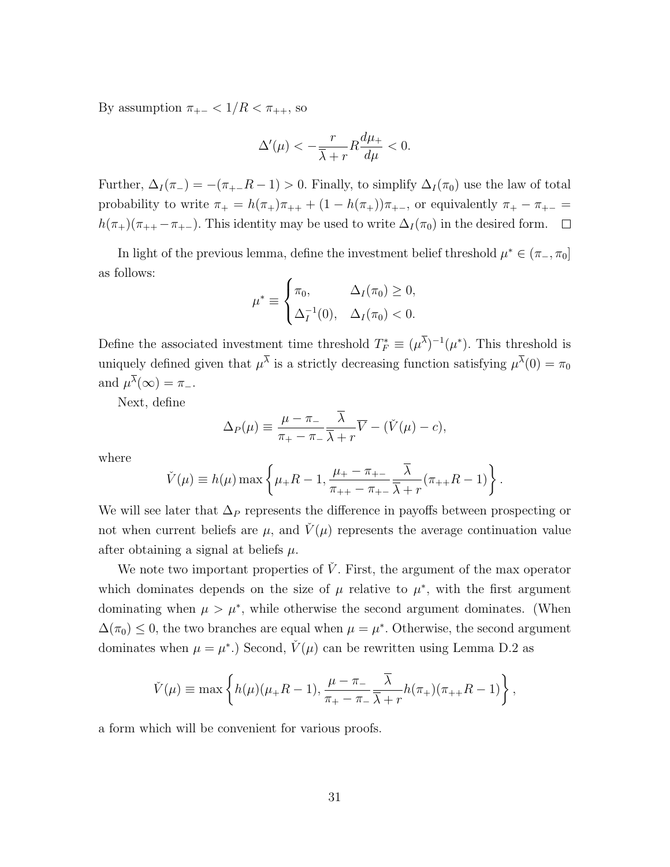By assumption  $\pi_{+-} < 1/R < \pi_{++}$ , so

$$
\Delta'(\mu) < -\frac{r}{\overline{\lambda} + r} R \frac{d\mu_+}{d\mu} < 0.
$$

Further,  $\Delta_I(\pi_{-}) = -(\pi_{+-}R - 1) > 0$ . Finally, to simplify  $\Delta_I(\pi_0)$  use the law of total probability to write  $\pi_+ = h(\pi_+) \pi_{++} + (1 - h(\pi_+)) \pi_{+-}$ , or equivalently  $\pi_+ - \pi_{+-} =$  $h(\pi_+)(\pi_{++} - \pi_{+-})$ . This identity may be used to write  $\Delta_I(\pi_0)$  in the desired form.  $\Box$ 

In light of the previous lemma, define the investment belief threshold  $\mu^* \in (\pi_-, \pi_0]$ as follows:

$$
\mu^* \equiv \begin{cases} \pi_0, & \Delta_I(\pi_0) \ge 0, \\ \Delta_I^{-1}(0), & \Delta_I(\pi_0) < 0. \end{cases}
$$

Define the associated investment time threshold  $T_F^* \equiv (\mu^{\lambda})^{-1}(\mu^*)$ . This threshold is uniquely defined given that  $\mu^{\lambda}$  is a strictly decreasing function satisfying  $\mu^{\lambda}(0) = \pi_0$ and  $\mu^{\lambda}(\infty) = \pi_{-}$ .

Next, define

$$
\Delta_P(\mu) \equiv \frac{\mu - \pi_-}{\pi_+ - \pi_-} \frac{\overline{\lambda}}{\overline{\lambda} + r} \overline{V} - (\check{V}(\mu) - c),
$$

where

$$
\check{V}(\mu) \equiv h(\mu) \max \left\{ \mu_{+} R - 1, \frac{\mu_{+} - \pi_{+-}}{\pi_{++} - \pi_{+-}} \frac{\overline{\lambda}}{\overline{\lambda} + r} (\pi_{++} R - 1) \right\}.
$$

We will see later that  $\Delta_P$  represents the difference in payoffs between prospecting or not when current beliefs are  $\mu$ , and  $\dot{V}(\mu)$  represents the average continuation value after obtaining a signal at beliefs  $\mu$ .

We note two important properties of  $\dot{V}$ . First, the argument of the max operator which dominates depends on the size of  $\mu$  relative to  $\mu^*$ , with the first argument dominating when  $\mu > \mu^*$ , while otherwise the second argument dominates. (When  $\Delta(\pi_0) \leq 0$ , the two branches are equal when  $\mu = \mu^*$ . Otherwise, the second argument dominates when  $\mu = \mu^*$ .) Second,  $\check{V}(\mu)$  can be rewritten using Lemma [D.2](#page-31-0) as

$$
\check{V}(\mu) \equiv \max \left\{ h(\mu)(\mu_+ R - 1), \frac{\mu - \pi_-}{\pi_+ - \pi_-} \frac{\overline{\lambda}}{\overline{\lambda} + r} h(\pi_+)(\pi_{++} R - 1) \right\},\,
$$

a form which will be convenient for various proofs.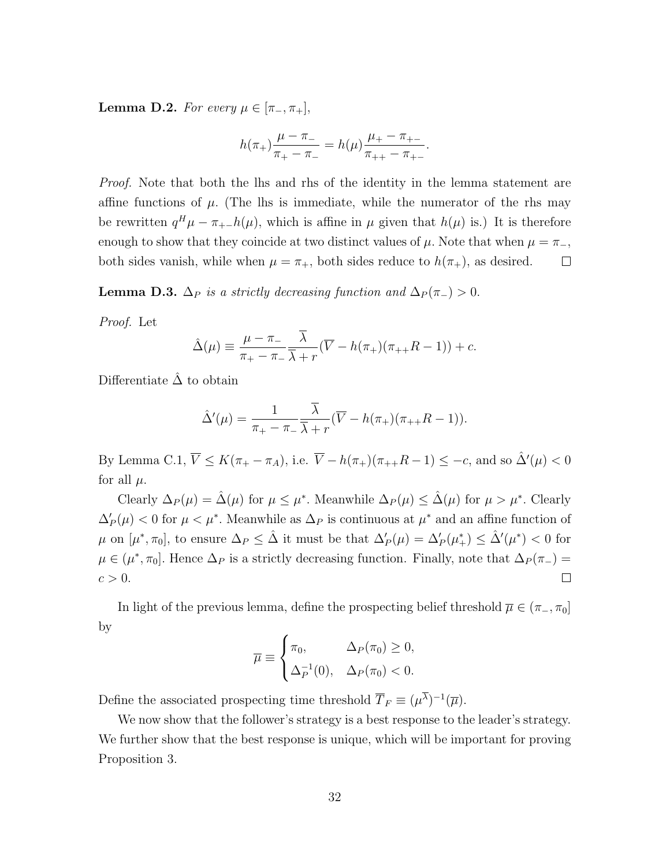<span id="page-31-0"></span>**Lemma D.2.** For every  $\mu \in [\pi_-, \pi_+]$ ,

$$
h(\pi_+) \frac{\mu - \pi_-}{\pi_+ - \pi_-} = h(\mu) \frac{\mu_+ - \pi_{+-}}{\pi_{++} - \pi_{+-}}.
$$

*Proof.* Note that both the lhs and rhs of the identity in the lemma statement are affine functions of  $\mu$ . (The lhs is immediate, while the numerator of the rhs may be rewritten  $q^H \mu - \pi_{+-}h(\mu)$ , which is affine in  $\mu$  given that  $h(\mu)$  is.) It is therefore enough to show that they coincide at two distinct values of  $\mu$ . Note that when  $\mu = \pi_{-}$ , both sides vanish, while when  $\mu = \pi_{+}$ , both sides reduce to  $h(\pi_{+})$ , as desired.  $\Box$ 

**Lemma D.3.**  $\Delta_P$  is a strictly decreasing function and  $\Delta_P(\pi_-) > 0$ .

Proof. Let

$$
\hat{\Delta}(\mu) \equiv \frac{\mu - \pi_-}{\pi_+ - \pi_-} \frac{\overline{\lambda}}{\overline{\lambda} + r} (\overline{V} - h(\pi_+)(\pi_{++}R - 1)) + c.
$$

Differentiate  $\hat{\Delta}$  to obtain

$$
\hat{\Delta}'(\mu) = \frac{1}{\pi_+ - \pi_-} \frac{\overline{\lambda}}{\overline{\lambda} + r} (\overline{V} - h(\pi_+)(\pi_{++}R - 1)).
$$

By Lemma [C.1,](#page-27-0)  $\overline{V} \leq K(\pi_+ - \pi_A)$ , i.e.  $\overline{V} - h(\pi_+)(\pi_{++}R - 1) \leq -c$ , and so  $\hat{\Delta}'(\mu) < 0$ for all  $\mu$ .

Clearly  $\Delta_P(\mu) = \hat{\Delta}(\mu)$  for  $\mu \leq \mu^*$ . Meanwhile  $\Delta_P(\mu) \leq \hat{\Delta}(\mu)$  for  $\mu > \mu^*$ . Clearly  $\Delta'_P(\mu) < 0$  for  $\mu < \mu^*$ . Meanwhile as  $\Delta_P$  is continuous at  $\mu^*$  and an affine function of  $\mu$  on  $[\mu^*, \pi_0]$ , to ensure  $\Delta_P \leq \hat{\Delta}$  it must be that  $\Delta_P'(\mu) = \Delta_P'(\mu^*) \leq \hat{\Delta}'(\mu^*) < 0$  for  $\mu \in (\mu^*, \pi_0].$  Hence  $\Delta_P$  is a strictly decreasing function. Finally, note that  $\Delta_P(\pi_-)$  $c > 0$ .  $\Box$ 

In light of the previous lemma, define the prospecting belief threshold  $\overline{\mu} \in (\pi_-, \pi_0]$ by

$$
\overline{\mu} \equiv \begin{cases} \pi_0, & \Delta_P(\pi_0) \ge 0, \\ \Delta_P^{-1}(0), & \Delta_P(\pi_0) < 0. \end{cases}
$$

Define the associated prospecting time threshold  $\overline{T}_F \equiv (\mu^{\overline{\lambda}})^{-1}(\overline{\mu}).$ 

We now show that the follower's strategy is a best response to the leader's strategy. We further show that the best response is unique, which will be important for proving Proposition [3.](#page-16-2)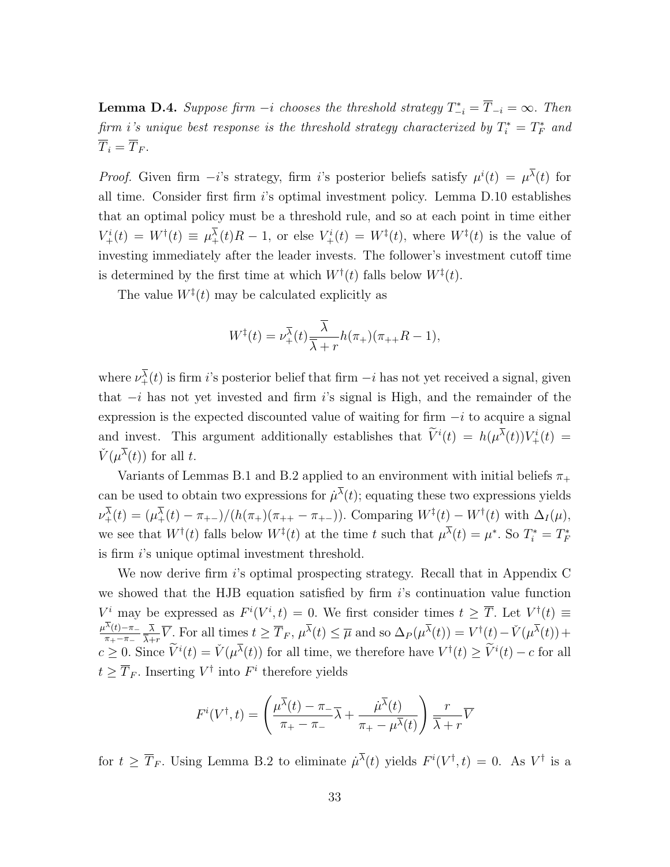<span id="page-32-0"></span>**Lemma D.4.** Suppose firm  $-i$  chooses the threshold strategy  $T_{-i}^* = \overline{T}_{-i} = \infty$ . Then firm i's unique best response is the threshold strategy characterized by  $T_i^* = T_F^*$  and  $\overline{T}_i = \overline{T}_F.$ 

*Proof.* Given firm  $-i$ 's strategy, firm i's posterior beliefs satisfy  $\mu^{i}(t) = \mu^{\lambda}(t)$  for all time. Consider first firm  $i$ 's optimal investment policy. Lemma [D.10](#page-39-0) establishes that an optimal policy must be a threshold rule, and so at each point in time either  $V^i_+(t) = W^{\dagger}(t) \equiv \mu^{\overline{\lambda}}_+(t)R - 1$ , or else  $V^i_+(t) = W^{\dagger}(t)$ , where  $W^{\dagger}(t)$  is the value of investing immediately after the leader invests. The follower's investment cutoff time is determined by the first time at which  $W^{\dagger}(t)$  falls below  $W^{\ddagger}(t)$ .

The value  $W^{\ddagger}(t)$  may be calculated explicitly as

$$
W^{\ddagger}(t)=\nu^{\overline{\lambda}}_{+}(t)\frac{\overline{\lambda}}{\overline{\lambda}+r}h(\pi_{+})(\pi_{++}R-1),
$$

where  $\nu^{\lambda}_{+}(t)$  is firm i's posterior belief that firm  $-i$  has not yet received a signal, given that  $-i$  has not yet invested and firm is signal is High, and the remainder of the expression is the expected discounted value of waiting for firm  $-i$  to acquire a signal and invest. This argument additionally establishes that  $\tilde{V}^i(t) = h(\mu^{\lambda}(t))V^i_+(t) =$  $\check{V}(\mu^{\overline{\lambda}}(t))$  for all t.

Variants of Lemmas [B.1](#page-25-0) and [B.2](#page-25-1) applied to an environment with initial beliefs  $\pi_+$ can be used to obtain two expressions for  $\mu^{\lambda}(t)$ ; equating these two expressions yields  $\nu^{\overline{\lambda}}_{+}(t) = (\mu^{\overline{\lambda}}_{+}(t) - \pi_{+-})/(\hbar(\pi_{+})(\pi_{++} - \pi_{+-}))$ . Comparing  $W^{\ddagger}(t) - W^{\dagger}(t)$  with  $\Delta_{I}(\mu)$ , we see that  $W^{\dagger}(t)$  falls below  $W^{\ddagger}(t)$  at the time t such that  $\mu^{\lambda}(t) = \mu^*$ . So  $T_i^* = T_F^*$ is firm i's unique optimal investment threshold.

We now derive firm i's optimal prospecting strategy. Recall that in Appendix [C](#page-26-0) we showed that the HJB equation satisfied by firm  $i$ 's continuation value function  $V^i$  may be expressed as  $F^i(V^i, t) = 0$ . We first consider times  $t \geq \overline{T}$ . Let  $V^{\dagger}(t) \equiv$  $\mu^{\lambda}(t)$ – $\pi_{-}$  $\pi_+$  $-\pi_ \lambda$  $\frac{\overline{\lambda}}{\overline{\lambda}+r}\overline{V}$ . For all times  $t \geq \overline{T}_F$ ,  $\mu^{\overline{\lambda}}(t) \leq \overline{\mu}$  and so  $\Delta_P(\mu^{\overline{\lambda}}(t)) = V^{\dagger}(t) - \check{V}(\mu^{\overline{\lambda}}(t)) +$  $c \geq 0$ . Since  $\widetilde{V}^i(t) = \check{V}(\mu^{\overline{\lambda}}(t))$  for all time, we therefore have  $V^{\dagger}(t) \geq \widetilde{V}^i(t) - c$  for all  $t \geq \overline{T}_F$ . Inserting  $V^{\dagger}$  into  $F^i$  therefore yields

$$
F^{i}(V^{\dagger},t) = \left(\frac{\mu^{\overline{\lambda}}(t) - \pi_{-}}{\pi_{+} - \pi_{-}}\overline{\lambda} + \frac{\mu^{\overline{\lambda}}(t)}{\pi_{+} - \mu^{\overline{\lambda}}(t)}\right)\frac{r}{\overline{\lambda} + r}\overline{V}
$$

for  $t \geq \overline{T}_F$ . Using Lemma [B.2](#page-25-1) to eliminate  $\mu^{\lambda}(t)$  yields  $F^i(V^{\dagger}, t) = 0$ . As  $V^{\dagger}$  is a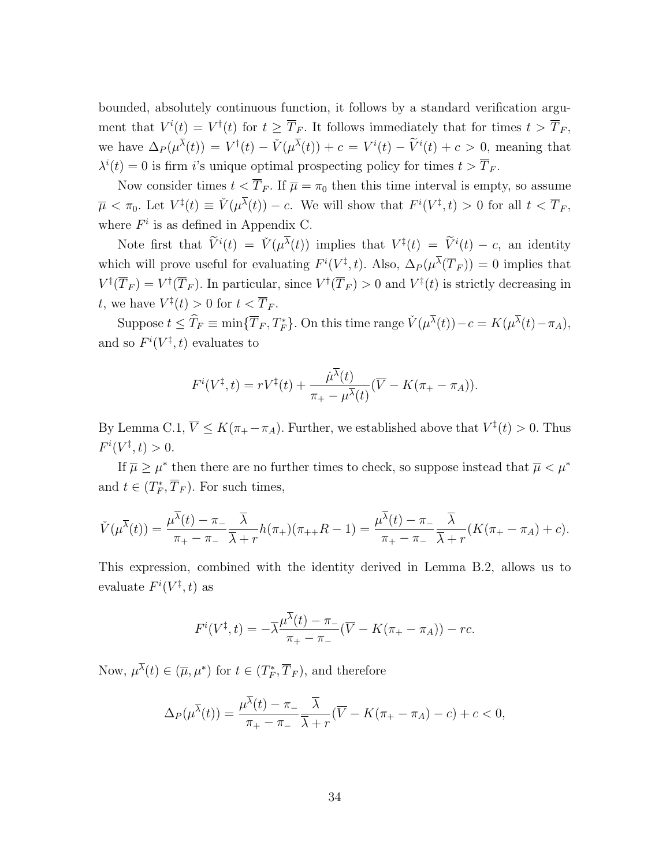bounded, absolutely continuous function, it follows by a standard verification argument that  $V^i(t) = V^{\dagger}(t)$  for  $t \geq \overline{T}_F$ . It follows immediately that for times  $t > \overline{T}_F$ , we have  $\Delta_P(\mu^{\overline{\lambda}}(t)) = V^{\dagger}(t) - \check{V}(\mu^{\overline{\lambda}}(t)) + c = V^i(t) - \widetilde{V}^i(t) + c > 0$ , meaning that  $\lambda^{i}(t) = 0$  is firm *i*'s unique optimal prospecting policy for times  $t > \overline{T}_{F}$ .

Now consider times  $t < \overline{T}_F$ . If  $\overline{\mu} = \pi_0$  then this time interval is empty, so assume  $\overline{\mu} \langle \pi_0, \Pi \rangle = \overline{\Psi}(\mu^{\overline{\lambda}}(t)) - c.$  We will show that  $F^i(V^{\ddagger}, t) > 0$  for all  $t \langle \overline{T}_F, \Pi \rangle$ where  $F^i$  is as defined in Appendix [C.](#page-26-0)

Note first that  $\widetilde{V}^i(t) = \widetilde{V}(\mu^{\overline{\lambda}}(t))$  implies that  $V^{\ddagger}(t) = \widetilde{V}^i(t) - c$ , an identity which will prove useful for evaluating  $F^i(V^{\ddagger}, t)$ . Also,  $\Delta_P(\mu^{\overline{\lambda}}(\overline{T}_F)) = 0$  implies that  $V^{\ddagger}(\overline{T}_F) = V^{\dagger}(\overline{T}_F)$ . In particular, since  $V^{\dagger}(\overline{T}_F) > 0$  and  $V^{\ddagger}(t)$  is strictly decreasing in t, we have  $V^{\ddagger}(t) > 0$  for  $t < \overline{T}_F$ .

Suppose  $t \leq \widehat{T}_F \equiv \min\{\overline{T}_F, T_F^*\}$ . On this time range  $\check{V}(\mu^{\overline{\lambda}}(t)) - c = K(\mu^{\overline{\lambda}}(t) - \pi_A)$ , and so  $F^i(V^{\ddagger}, t)$  evaluates to

$$
F^{i}(V^{\ddagger},t)=rV^{\ddagger}(t)+\frac{\dot{\mu}^{\overline{\lambda}}(t)}{\pi_{+}-\mu^{\overline{\lambda}}(t)}(\overline{V}-K(\pi_{+}-\pi_{A})).
$$

By Lemma [C.1,](#page-27-0)  $\overline{V} \leq K(\pi_+ - \pi_A)$ . Further, we established above that  $V^{\ddagger}(t) > 0$ . Thus  $F^{i}(V^{\ddagger}, t) > 0.$ 

If  $\overline{\mu} \geq \mu^*$  then there are no further times to check, so suppose instead that  $\overline{\mu} < \mu^*$ and  $t \in (T_F^*, \overline{T}_F)$ . For such times,

$$
\check{V}(\mu^{\overline{\lambda}}(t)) = \frac{\mu^{\overline{\lambda}}(t) - \pi_{-}}{\pi_{+} - \pi_{-}} \frac{\overline{\lambda}}{\overline{\lambda} + r} h(\pi_{+}) (\pi_{++}R - 1) = \frac{\mu^{\overline{\lambda}}(t) - \pi_{-}}{\pi_{+} - \pi_{-}} \frac{\overline{\lambda}}{\overline{\lambda} + r} (K(\pi_{+} - \pi_{A}) + c).
$$

This expression, combined with the identity derived in Lemma [B.2,](#page-25-1) allows us to evaluate  $F^i(V^{\ddagger}, t)$  as

$$
F^{i}(V^{\dagger},t) = -\overline{\lambda} \frac{\mu^{\lambda}(t) - \pi_{-}}{\pi_{+} - \pi_{-}} (\overline{V} - K(\pi_{+} - \pi_{A})) - rc.
$$

Now,  $\mu^{\lambda}(t) \in (\overline{\mu}, \mu^*)$  for  $t \in (T_F^*, \overline{T}_F)$ , and therefore

$$
\Delta_P(\mu^{\overline{\lambda}}(t)) = \frac{\mu^{\overline{\lambda}}(t) - \pi_{-}}{\pi_{+} - \pi_{-}} \frac{\overline{\lambda}}{\overline{\lambda} + r} (\overline{V} - K(\pi_{+} - \pi_{A}) - c) + c < 0,
$$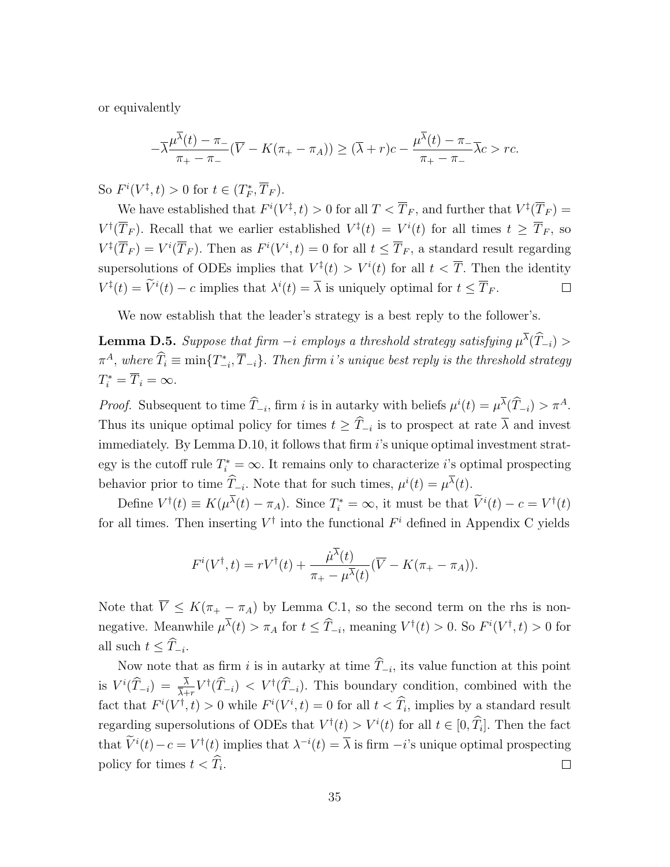or equivalently

$$
-\overline{\lambda} \frac{\mu^{\overline{\lambda}}(t) - \pi_{-}}{\pi_{+} - \pi_{-}} (\overline{V} - K(\pi_{+} - \pi_{A})) \geq (\overline{\lambda} + r)c - \frac{\mu^{\overline{\lambda}}(t) - \pi_{-}}{\pi_{+} - \pi_{-}} \overline{\lambda}c > rc.
$$

So  $F^i(V^{\ddagger}, t) > 0$  for  $t \in (T_F^*, \overline{T}_F)$ .

We have established that  $F^i(V^{\ddagger}, t) > 0$  for all  $T < \overline{T}_F$ , and further that  $V^{\ddagger}(\overline{T}_F) =$  $V^{\dagger}(\overline{T}_F)$ . Recall that we earlier established  $V^{\ddagger}(t) = V^i(t)$  for all times  $t \geq \overline{T}_F$ , so  $V^{\ddagger}(\overline{T}_F) = V^i(\overline{T}_F)$ . Then as  $F^i(V^i, t) = 0$  for all  $t \leq \overline{T}_F$ , a standard result regarding supersolutions of ODEs implies that  $V^{\ddagger}(t) > V^i(t)$  for all  $t < \overline{T}$ . Then the identity  $V^{\ddagger}(t) = \tilde{V}^{i}(t) - c$  implies that  $\lambda^{i}(t) = \overline{\lambda}$  is uniquely optimal for  $t \leq \overline{T}_{F}$ .  $\Box$ 

We now establish that the leader's strategy is a best reply to the follower's.

**Lemma D.5.** Suppose that firm  $-i$  employs a threshold strategy satisfying  $\mu^{\lambda}(\hat{T}_{-i})$  >  $\pi^A$ , where  $\widehat{T}_i \equiv \min\{T_{-i}^*, \overline{T}_{-i}\}$ . Then firm i's unique best reply is the threshold strategy  $T_i^* = \overline{T}_i = \infty.$ 

*Proof.* Subsequent to time  $\hat{T}_{-i}$ , firm i is in autarky with beliefs  $\mu^{i}(t) = \mu^{\lambda}(\hat{T}_{-i}) > \pi^{A}$ . Thus its unique optimal policy for times  $t \geq T_{-i}$  is to prospect at rate  $\lambda$  and invest immediately. By Lemma [D.10,](#page-39-0) it follows that firm  $i$ 's unique optimal investment strategy is the cutoff rule  $T_i^* = \infty$ . It remains only to characterize *i*'s optimal prospecting behavior prior to time  $\hat{T}_{-i}$ . Note that for such times,  $\mu^{i}(t) = \mu^{\lambda}(t)$ .

Define  $V^{\dagger}(t) \equiv K(\mu^{\lambda}(t) - \pi_A)$ . Since  $T_i^* = \infty$ , it must be that  $\tilde{V}^i(t) - c = V^{\dagger}(t)$ for all times. Then inserting  $V^{\dagger}$  into the functional  $F^i$  defined in Appendix [C](#page-26-0) yields

$$
F^{i}(V^{\dagger},t) = rV^{\dagger}(t) + \frac{\dot{\mu}^{\overline{\lambda}}(t)}{\pi_{+} - \mu^{\overline{\lambda}}(t)}(\overline{V} - K(\pi_{+} - \pi_{A})).
$$

Note that  $\overline{V} \leq K(\pi_+ - \pi_A)$  by Lemma [C.1,](#page-27-0) so the second term on the rhs is nonnegative. Meanwhile  $\mu^{\overline{\lambda}}(t) > \pi_A$  for  $t \leq \widehat{T}_{-i}$ , meaning  $V^{\dagger}(t) > 0$ . So  $F^i(V^{\dagger}, t) > 0$  for all such  $t \leq T_{-i}$ .

Now note that as firm i is in autarky at time  $T_{-i}$ , its value function at this point is  $V^{i}(\widehat{T}_{-i}) = \frac{\lambda}{\lambda+r} V^{\dagger}(\widehat{T}_{-i}) < V^{\dagger}(\widehat{T}_{-i})$ . This boundary condition, combined with the fact that  $F^i(V^{\dagger}, t) > 0$  while  $F^i(V^i, t) = 0$  for all  $t < \widehat{T}_i$ , implies by a standard result regarding supersolutions of ODEs that  $V^{\dagger}(t) > V^{i}(t)$  for all  $t \in [0, \hat{T}_i]$ . Then the fact that  $\tilde{V}^i(t) - c = V^{\dagger}(t)$  implies that  $\lambda^{-i}(t) = \overline{\lambda}$  is firm  $-i$ 's unique optimal prospecting policy for times  $t < T_i$ .  $\Box$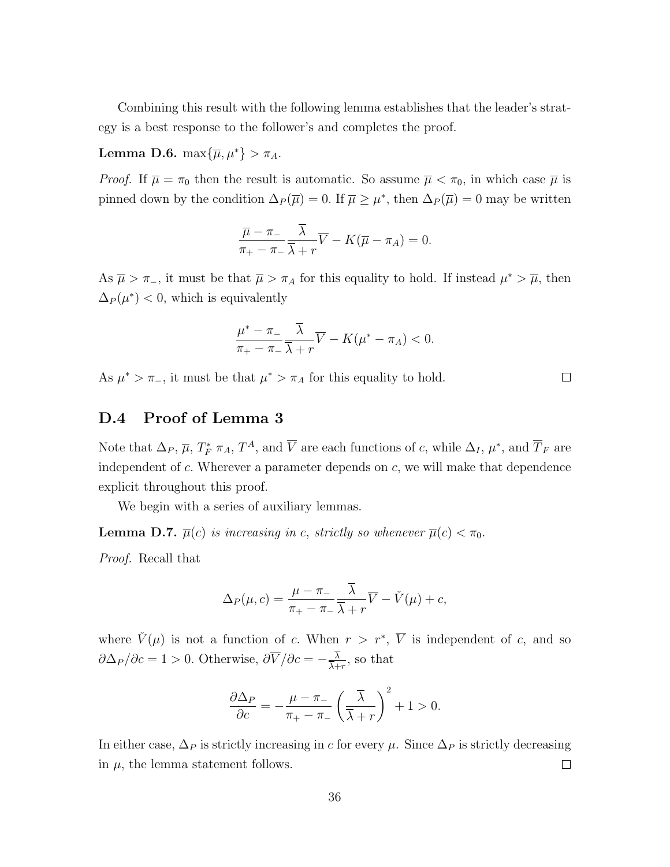Combining this result with the following lemma establishes that the leader's strategy is a best response to the follower's and completes the proof.

#### <span id="page-35-1"></span>Lemma D.6.  $\max{\{\overline{\mu}, \mu^*\}} > \pi_A$ .

*Proof.* If  $\overline{\mu} = \pi_0$  then the result is automatic. So assume  $\overline{\mu} < \pi_0$ , in which case  $\overline{\mu}$  is pinned down by the condition  $\Delta_P(\overline{\mu}) = 0$ . If  $\overline{\mu} \geq \mu^*$ , then  $\Delta_P(\overline{\mu}) = 0$  may be written

$$
\frac{\overline{\mu} - \pi_{-}}{\pi_{+} - \pi_{-}} \frac{\overline{\lambda}}{\overline{\lambda} + r} \overline{V} - K(\overline{\mu} - \pi_{A}) = 0.
$$

As  $\overline{\mu} > \pi_{-}$ , it must be that  $\overline{\mu} > \pi_{A}$  for this equality to hold. If instead  $\mu^* > \overline{\mu}$ , then  $\Delta_P(\mu^*)$  < 0, which is equivalently

$$
\frac{\mu^* - \pi_-}{\pi_+ - \pi_-} \frac{\overline{\lambda}}{\overline{\lambda} + r} \overline{V} - K(\mu^* - \pi_A) < 0.
$$

As  $\mu^* > \pi_{-}$ , it must be that  $\mu^* > \pi_A$  for this equality to hold.

### D.4 Proof of Lemma [3](#page-14-1)

Note that  $\Delta_P$ ,  $\overline{\mu}$ ,  $T_F^*$   $\pi_A$ ,  $T^A$ , and  $\overline{V}$  are each functions of c, while  $\Delta_I$ ,  $\mu^*$ , and  $\overline{T}_F$  are independent of  $c$ . Wherever a parameter depends on  $c$ , we will make that dependence explicit throughout this proof.

We begin with a series of auxiliary lemmas.

<span id="page-35-0"></span>**Lemma D.7.**  $\bar{\mu}(c)$  is increasing in c, strictly so whenever  $\bar{\mu}(c) < \pi_0$ .

Proof. Recall that

$$
\Delta_P(\mu, c) = \frac{\mu - \pi}{\pi_+ - \pi_-} \frac{\overline{\lambda}}{\overline{\lambda} + r} \overline{V} - \check{V}(\mu) + c,
$$

where  $\check{V}(\mu)$  is not a function of c. When  $r > r^*$ ,  $\overline{V}$  is independent of c, and so  $\partial \Delta_P / \partial c = 1 > 0$ . Otherwise,  $\partial \overline{V} / \partial c = -\frac{\lambda}{\overline{\lambda} + \overline{\lambda}}$  $\frac{\lambda}{\overline{\lambda}+r}$ , so that

$$
\frac{\partial \Delta_P}{\partial c} = -\frac{\mu - \pi_-}{\pi_+ - \pi_-} \left(\frac{\overline{\lambda}}{\overline{\lambda} + r}\right)^2 + 1 > 0.
$$

In either case,  $\Delta_P$  is strictly increasing in c for every  $\mu$ . Since  $\Delta_P$  is strictly decreasing in  $\mu$ , the lemma statement follows.  $\Box$ 

 $\Box$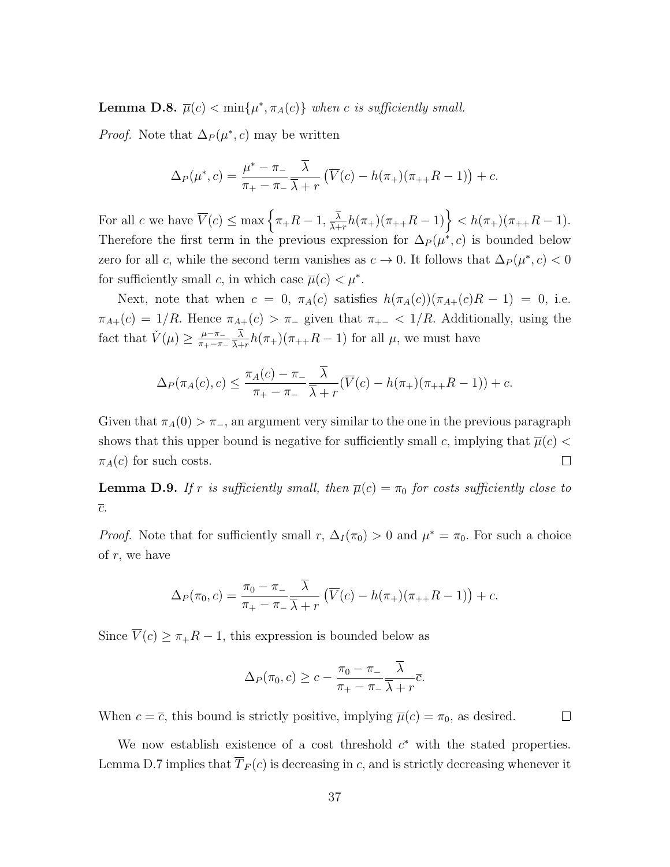<span id="page-36-0"></span>**Lemma D.8.**  $\overline{\mu}(c) < \min\{\mu^*, \pi_A(c)\}\$  when c is sufficiently small.

*Proof.* Note that  $\Delta_P(\mu^*, c)$  may be written

$$
\Delta_P(\mu^*, c) = \frac{\mu^* - \pi_-}{\pi_+ - \pi_-} \frac{\overline{\lambda}}{\overline{\lambda} + r} \left( \overline{V}(c) - h(\pi_+)(\pi_{++}R - 1) \right) + c.
$$

For all c we have  $\overline{V}(c) \leq \max\left\{\pi + R - 1, \frac{\overline{\lambda}}{\overline{\lambda}}\right\}$  $\frac{\overline{\lambda}}{\overline{\lambda}+r}h(\pi_+)(\pi_{++}R-1)\Big\}$ Therefore the first term in the previous expression for  $\Delta_P(\mu^*, c)$  is bounded below zero for all c, while the second term vanishes as  $c \to 0$ . It follows that  $\Delta_P(\mu^*, c) < 0$ for sufficiently small c, in which case  $\overline{\mu}(c) < \mu^*$ .

Next, note that when  $c = 0$ ,  $\pi_A(c)$  satisfies  $h(\pi_A(c))(\pi_{A+}(c)R - 1) = 0$ , i.e.  $\pi_{A+}(c) = 1/R$ . Hence  $\pi_{A+}(c) > \pi_{-}$  given that  $\pi_{+-} < 1/R$ . Additionally, using the fact that  $\check{V}(\mu) \geq \frac{\mu - \pi}{\pi}$  $\pi_+$  $\pi_$ λ  $\frac{\lambda}{\lambda+r}h(\pi_+)(\pi_{++}R-1)$  for all  $\mu$ , we must have

$$
\Delta_P(\pi_A(c), c) \le \frac{\pi_A(c) - \pi_-}{\pi_+ - \pi_-} \frac{\overline{\lambda}}{\overline{\lambda} + r} (\overline{V}(c) - h(\pi_+)(\pi_{++}R - 1)) + c.
$$

Given that  $\pi_A(0) > \pi_{-}$ , an argument very similar to the one in the previous paragraph shows that this upper bound is negative for sufficiently small c, implying that  $\overline{\mu}(c)$  $\Box$  $\pi_A(c)$  for such costs.

<span id="page-36-1"></span>**Lemma D.9.** If r is sufficiently small, then  $\overline{\mu}(c) = \pi_0$  for costs sufficiently close to  $\overline{c}.$ 

*Proof.* Note that for sufficiently small r,  $\Delta_I(\pi_0) > 0$  and  $\mu^* = \pi_0$ . For such a choice of  $r$ , we have

$$
\Delta_P(\pi_0, c) = \frac{\pi_0 - \pi_-}{\pi_+ - \pi_-} \frac{\overline{\lambda}}{\overline{\lambda} + r} \left( \overline{V}(c) - h(\pi_+) (\pi_{++} R - 1) \right) + c.
$$

Since  $\overline{V}(c) \geq \pi + R - 1$ , this expression is bounded below as

$$
\Delta_P(\pi_0, c) \ge c - \frac{\pi_0 - \pi_-}{\pi_+ - \pi_-} \frac{\lambda}{\overline{\lambda} + r} \overline{c}.
$$

When  $c = \overline{c}$ , this bound is strictly positive, implying  $\overline{\mu}(c) = \pi_0$ , as desired.  $\Box$ 

We now establish existence of a cost threshold  $c^*$  with the stated properties. Lemma [D.7](#page-35-0) implies that  $\overline{T}_F(c)$  is decreasing in c, and is strictly decreasing whenever it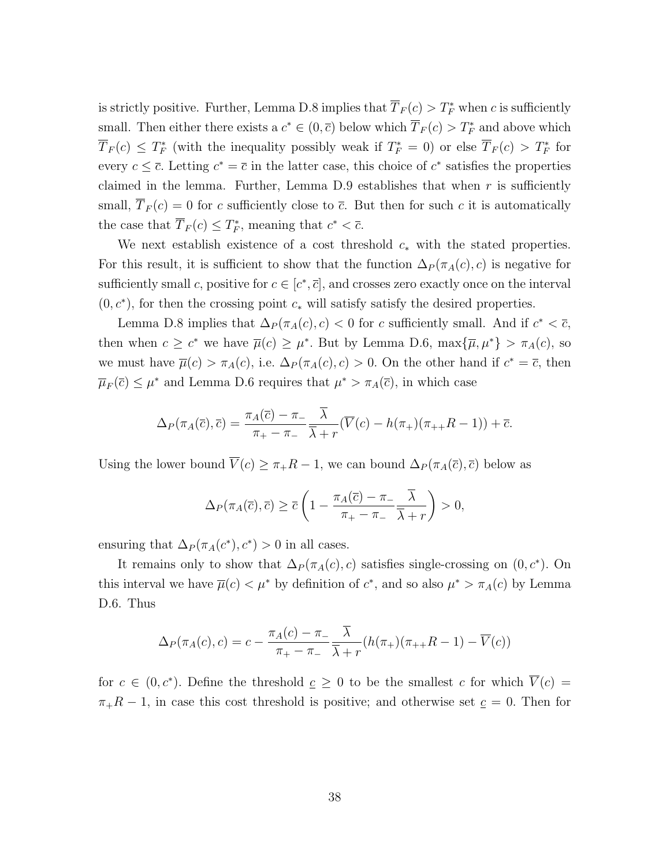is strictly positive. Further, Lemma [D.8](#page-36-0) implies that  $\overline{T}_F(c) > T_F^*$  when c is sufficiently small. Then either there exists a  $c^* \in (0, \overline{c})$  below which  $\overline{T}_F(c) > T_F^*$  and above which  $\overline{T}_F(c) \leq T_F^*$  (with the inequality possibly weak if  $T_F^* = 0$ ) or else  $\overline{T}_F(c) > T_F^*$  for every  $c \leq \overline{c}$ . Letting  $c^* = \overline{c}$  in the latter case, this choice of  $c^*$  satisfies the properties claimed in the lemma. Further, Lemma  $D.9$  establishes that when r is sufficiently small,  $\overline{T}_F(c) = 0$  for c sufficiently close to  $\overline{c}$ . But then for such c it is automatically the case that  $\overline{T}_F(c) \leq T_F^*$ , meaning that  $c^* < \overline{c}$ .

We next establish existence of a cost threshold  $c_*$  with the stated properties. For this result, it is sufficient to show that the function  $\Delta_P(\pi_A(c), c)$  is negative for sufficiently small c, positive for  $c \in [c^*, \overline{c}]$ , and crosses zero exactly once on the interval  $(0, c^*)$ , for then the crossing point  $c_*$  will satisfy satisfy the desired properties.

Lemma [D.8](#page-36-0) implies that  $\Delta_P(\pi_A(c), c) < 0$  for c sufficiently small. And if  $c^* < \overline{c}$ , then when  $c \geq c^*$  we have  $\overline{\mu}(c) \geq \mu^*$ . But by Lemma [D.6,](#page-35-1)  $\max{\{\overline{\mu}, \mu^*\}} > \pi_A(c)$ , so we must have  $\overline{\mu}(c) > \pi_A(c)$ , i.e.  $\Delta_P(\pi_A(c), c) > 0$ . On the other hand if  $c^* = \overline{c}$ , then  $\overline{\mu}_F(\overline{c}) \leq \mu^*$  and Lemma [D.6](#page-35-1) requires that  $\mu^* > \pi_A(\overline{c})$ , in which case

$$
\Delta_P(\pi_A(\overline{c}), \overline{c}) = \frac{\pi_A(\overline{c}) - \pi_-}{\pi_+ - \pi_-} \frac{\overline{\lambda}}{\overline{\lambda} + r} (\overline{V}(c) - h(\pi_+)(\pi_{++}R - 1)) + \overline{c}.
$$

Using the lower bound  $\overline{V}(c) \geq \pi + R - 1$ , we can bound  $\Delta_P(\pi_A(\overline{c}), \overline{c})$  below as

$$
\Delta_P(\pi_A(\overline{c}), \overline{c}) \ge \overline{c} \left(1 - \frac{\pi_A(\overline{c}) - \pi_-}{\pi_+ - \pi_-} \frac{\overline{\lambda}}{\overline{\lambda} + r}\right) > 0,
$$

ensuring that  $\Delta_P(\pi_A(c^*), c^*) > 0$  in all cases.

It remains only to show that  $\Delta_P(\pi_A(c), c)$  satisfies single-crossing on  $(0, c^*)$ . On this interval we have  $\overline{\mu}(c) < \mu^*$  by definition of  $c^*$ , and so also  $\mu^* > \pi_A(c)$  by Lemma [D.6.](#page-35-1) Thus

$$
\Delta_P(\pi_A(c), c) = c - \frac{\pi_A(c) - \pi_-}{\pi_+ - \pi_-} \frac{\overline{\lambda}}{\overline{\lambda} + r} (h(\pi_+)(\pi_{++}R - 1) - \overline{V}(c))
$$

for  $c \in (0, c^*)$ . Define the threshold  $c \geq 0$  to be the smallest c for which  $\overline{V}(c) =$  $\pi_{+}R - 1$ , in case this cost threshold is positive; and otherwise set  $c = 0$ . Then for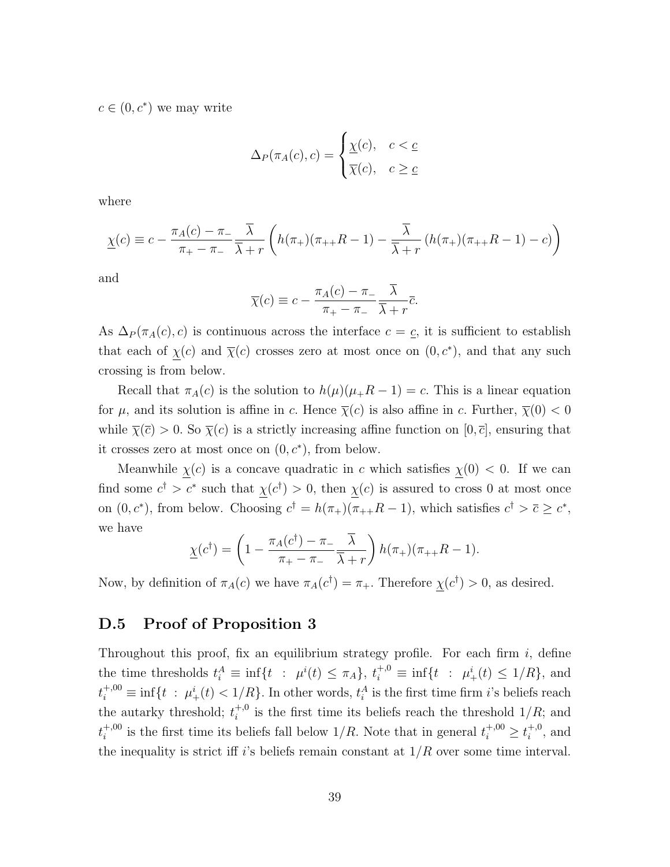$c \in (0, c^*)$  we may write

$$
\Delta_P(\pi_A(c), c) = \begin{cases} \underline{\chi}(c), & c < \underline{c} \\ \overline{\chi}(c), & c \ge \underline{c} \end{cases}
$$

where

$$
\underline{\chi}(c) \equiv c - \frac{\pi_A(c) - \pi_-}{\pi_+ - \pi_-} \frac{\overline{\lambda}}{\overline{\lambda} + r} \left( h(\pi_+)(\pi_{++}R - 1) - \frac{\overline{\lambda}}{\overline{\lambda} + r} \left( h(\pi_+)(\pi_{++}R - 1) - c \right) \right)
$$

and

$$
\overline{\chi}(c) \equiv c - \frac{\pi_A(c) - \pi_-}{\pi_+ - \pi_-} \frac{\overline{\lambda}}{\overline{\lambda} + r} \overline{c}.
$$

As  $\Delta_P(\pi_A(c), c)$  is continuous across the interface  $c = c$ , it is sufficient to establish that each of  $\chi(c)$  and  $\bar{\chi}(c)$  crosses zero at most once on  $(0, c^*)$ , and that any such crossing is from below.

Recall that  $\pi_A(c)$  is the solution to  $h(\mu)(\mu_+R-1)=c$ . This is a linear equation for  $\mu$ , and its solution is affine in c. Hence  $\overline{\chi}(c)$  is also affine in c. Further,  $\overline{\chi}(0) < 0$ while  $\overline{\chi}(\overline{c}) > 0$ . So  $\overline{\chi}(c)$  is a strictly increasing affine function on  $[0, \overline{c}]$ , ensuring that it crosses zero at most once on  $(0, c^*)$ , from below.

Meanwhile  $\chi(c)$  is a concave quadratic in c which satisfies  $\chi(0) < 0$ . If we can find some  $c^{\dagger} > c^*$  such that  $\chi(c^{\dagger}) > 0$ , then  $\chi(c)$  is assured to cross 0 at most once on  $(0, c^*)$ , from below. Choosing  $c^{\dagger} = h(\pi_+)(\pi_{++}R-1)$ , which satisfies  $c^{\dagger} > \overline{c} \geq c^*$ , we have

$$
\underline{\chi}(c^{\dagger}) = \left(1 - \frac{\pi_A(c^{\dagger}) - \pi_-}{\pi_+ - \pi_-} \frac{\overline{\lambda}}{\overline{\lambda} + r}\right) h(\pi_+)(\pi_{++}R - 1).
$$

Now, by definition of  $\pi_A(c)$  we have  $\pi_A(c^{\dagger}) = \pi_+$ . Therefore  $\chi(c^{\dagger}) > 0$ , as desired.

#### D.5 Proof of Proposition [3](#page-16-2)

Throughout this proof, fix an equilibrium strategy profile. For each firm  $i$ , define the time thresholds  $t_i^A \equiv \inf\{t : \mu^i(t) \leq \pi_A\}, t_i^{+,0} \equiv \inf\{t : \mu^i_+(t) \leq 1/R\},\$ and  $t_i^{+,00} \equiv \inf\{t \; : \; \mu^i_+(t) < 1/R\}$ . In other words,  $t_i^A$  is the first time firm *i*'s beliefs reach the autarky threshold;  $t_i^{+,0}$  $i_i^{\text{+},0}$  is the first time its beliefs reach the threshold  $1/R$ ; and  $t_i^{+,00}$ <sup>+,00</sup> is the first time its beliefs fall below  $1/R$ . Note that in general  $t_i^{+,00} \geq t_i^{+,0}$  $i^{+,0}$ , and the inequality is strict iff i's beliefs remain constant at  $1/R$  over some time interval.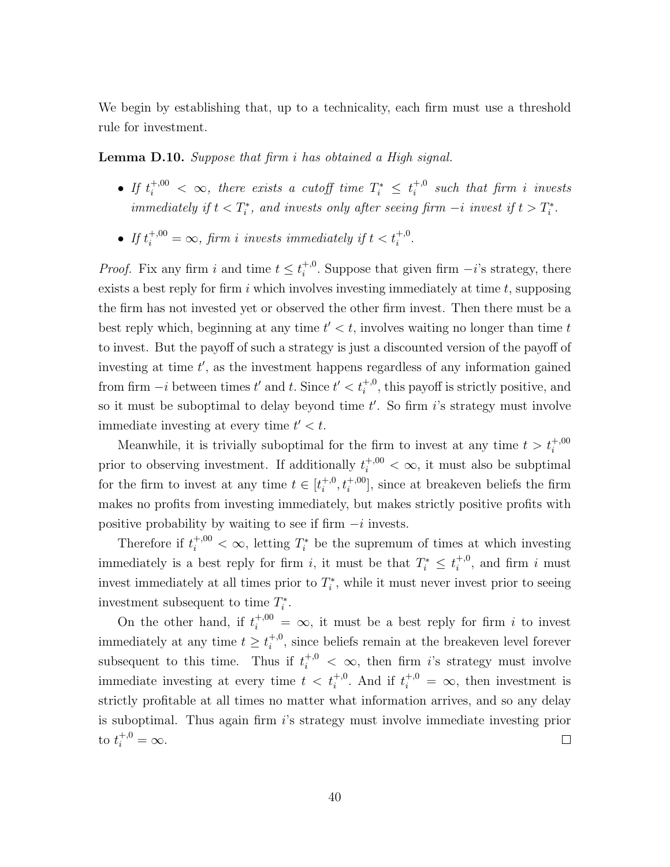We begin by establishing that, up to a technicality, each firm must use a threshold rule for investment.

<span id="page-39-0"></span>Lemma D.10. Suppose that firm i has obtained a High signal.

- If  $t_i^{+,00} < \infty$ , there exists a cutoff time  $T_i^* \leq t_i^{+,0}$  $i_i^{+,0}$  such that firm i invests immediately if  $t < T_i^*$ , and invests only after seeing firm  $-i$  invest if  $t > T_i^*$ .
- If  $t_i^{+,00} = \infty$ , firm i invests immediately if  $t < t_i^{+,0}$ .

*Proof.* Fix any firm i and time  $t \leq t_i^{+,0}$ <sup>+,0</sup>. Suppose that given firm  $-i$ 's strategy, there exists a best reply for firm  $i$  which involves investing immediately at time  $t$ , supposing the firm has not invested yet or observed the other firm invest. Then there must be a best reply which, beginning at any time  $t' < t$ , involves waiting no longer than time  $t$ to invest. But the payoff of such a strategy is just a discounted version of the payoff of investing at time  $t'$ , as the investment happens regardless of any information gained from firm  $-i$  between times  $t'$  and  $t$ . Since  $t' < t_i^{+,0}$ , this payoff is strictly positive, and so it must be suboptimal to delay beyond time  $t'$ . So firm  $i$ 's strategy must involve immediate investing at every time  $t' < t$ .

Meanwhile, it is trivially suboptimal for the firm to invest at any time  $t > t_i^{+,00}$ prior to observing investment. If additionally  $t_i^{+,00} < \infty$ , it must also be subptimal for the firm to invest at any time  $t \in [t_i^{+,0}]$  $\{t_i^{+,0}, t_i^{+,00}\}$ , since at breakeven beliefs the firm makes no profits from investing immediately, but makes strictly positive profits with positive probability by waiting to see if firm  $-i$  invests.

Therefore if  $t_i^{+,00} < \infty$ , letting  $T_i^*$  be the supremum of times at which investing immediately is a best reply for firm *i*, it must be that  $T_i^* \leq t_i^{+,0}$  $i^{+,0}$ , and firm i must invest immediately at all times prior to  $T_i^*$ , while it must never invest prior to seeing investment subsequent to time  $T_i^*$ .

On the other hand, if  $t_i^{+,00} = \infty$ , it must be a best reply for firm i to invest immediately at any time  $t \geq t_i^{+,0}$  $i^{+,0}$ , since beliefs remain at the breakeven level forever subsequent to this time. Thus if  $t_i^{+,0} < \infty$ , then firm i's strategy must involve immediate investing at every time  $t < t_i^{+,0}$ . And if  $t_i^{+,0} = \infty$ , then investment is strictly profitable at all times no matter what information arrives, and so any delay is suboptimal. Thus again firm i's strategy must involve immediate investing prior to  $t_i^{+,0} = \infty$ .  $\Box$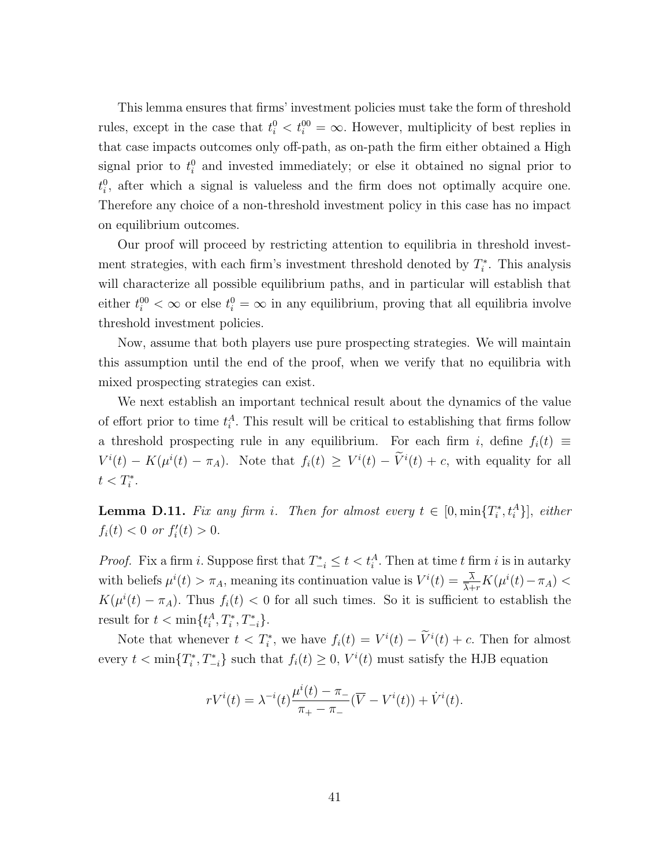This lemma ensures that firms' investment policies must take the form of threshold rules, except in the case that  $t_i^0 < t_i^{00} = \infty$ . However, multiplicity of best replies in that case impacts outcomes only off-path, as on-path the firm either obtained a High signal prior to  $t_i^0$  and invested immediately; or else it obtained no signal prior to  $t_i^0$ , after which a signal is valueless and the firm does not optimally acquire one. Therefore any choice of a non-threshold investment policy in this case has no impact on equilibrium outcomes.

Our proof will proceed by restricting attention to equilibria in threshold investment strategies, with each firm's investment threshold denoted by  $T_i^*$ . This analysis will characterize all possible equilibrium paths, and in particular will establish that either  $t_i^{00} < \infty$  or else  $t_i^{0} = \infty$  in any equilibrium, proving that all equilibria involve threshold investment policies.

Now, assume that both players use pure prospecting strategies. We will maintain this assumption until the end of the proof, when we verify that no equilibria with mixed prospecting strategies can exist.

We next establish an important technical result about the dynamics of the value of effort prior to time  $t_i^A$ . This result will be critical to establishing that firms follow a threshold prospecting rule in any equilibrium. For each firm i, define  $f_i(t) \equiv$  $V^{i}(t) - K(\mu^{i}(t) - \pi_{A})$ . Note that  $f_{i}(t) \geq V^{i}(t) - V^{i}(t) + c$ , with equality for all  $t < T_i^*$ .

<span id="page-40-0"></span>**Lemma D.11.** Fix any firm i. Then for almost every  $t \in [0, \min\{T_i^*, t_i^A\}]$ , either  $f_i(t) < 0 \text{ or } f'_i(t) > 0.$ 

*Proof.* Fix a firm *i*. Suppose first that  $T_{-i}^* \leq t < t_i^A$ . Then at time *t* firm *i* is in autarky with beliefs  $\mu^{i}(t) > \pi_A$ , meaning its continuation value is  $V^{i}(t) = \frac{\lambda}{\lambda + r} K(\mu^{i}(t) - \pi_A)$  $K(\mu^{i}(t) - \pi_{A})$ . Thus  $f_{i}(t) < 0$  for all such times. So it is sufficient to establish the result for  $t < \min\{t_i^A, T_i^*, T_{-i}^*\}.$ 

Note that whenever  $t < T_i^*$ , we have  $f_i(t) = V^i(t) - \tilde{V}^i(t) + c$ . Then for almost every  $t < \min\{T_i^*, T_{-i}^*\}$  such that  $f_i(t) \geq 0$ ,  $V^i(t)$  must satisfy the HJB equation

$$
rV^{i}(t) = \lambda^{-i}(t)\frac{\mu^{i}(t) - \pi_{-}}{\pi_{+} - \pi_{-}}(\overline{V} - V^{i}(t)) + \dot{V}^{i}(t).
$$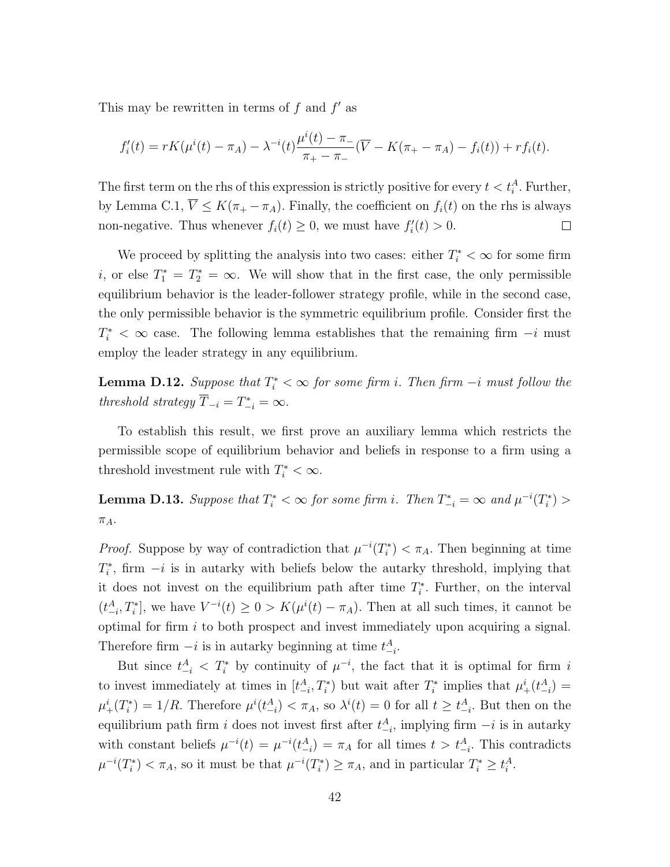This may be rewritten in terms of  $f$  and  $f'$  as

$$
f_i'(t) = rK(\mu^{i}(t) - \pi_A) - \lambda^{-i}(t)\frac{\mu^{i}(t) - \pi_{-}}{\pi_{+} - \pi_{-}}(\overline{V} - K(\pi_{+} - \pi_A) - f_i(t)) + rf_i(t).
$$

The first term on the rhs of this expression is strictly positive for every  $t < t_i^A$ . Further, by Lemma [C.1,](#page-27-0)  $\overline{V} \leq K(\pi_+ - \pi_A)$ . Finally, the coefficient on  $f_i(t)$  on the rhs is always non-negative. Thus whenever  $f_i(t) \geq 0$ , we must have  $f'_i(t) > 0$ .  $\Box$ 

We proceed by splitting the analysis into two cases: either  $T_i^* < \infty$  for some firm i, or else  $T_1^* = T_2^* = \infty$ . We will show that in the first case, the only permissible equilibrium behavior is the leader-follower strategy profile, while in the second case, the only permissible behavior is the symmetric equilibrium profile. Consider first the  $T_i^*$  < ∞ case. The following lemma establishes that the remaining firm  $-i$  must employ the leader strategy in any equilibrium.

<span id="page-41-0"></span>**Lemma D.12.** Suppose that  $T_i^* < \infty$  for some firm i. Then firm  $-i$  must follow the threshold strategy  $\overline{T}_{-i} = T_{-i}^* = \infty$ .

To establish this result, we first prove an auxiliary lemma which restricts the permissible scope of equilibrium behavior and beliefs in response to a firm using a threshold investment rule with  $T_i^* < \infty$ .

<span id="page-41-1"></span>**Lemma D.13.** Suppose that  $T_i^* < \infty$  for some firm i. Then  $T_{-i}^* = \infty$  and  $\mu^{-i}(T_i^*) >$  $\pi_A$ .

*Proof.* Suppose by way of contradiction that  $\mu^{-i}(T_i^*) < \pi_A$ . Then beginning at time  $T_i^*$ , firm  $-i$  is in autarky with beliefs below the autarky threshold, implying that it does not invest on the equilibrium path after time  $T_i^*$ . Further, on the interval  $(t_{-i}^A, T_i^*]$ , we have  $V^{-i}(t) \geq 0 > K(\mu^i(t) - \pi_A)$ . Then at all such times, it cannot be optimal for firm i to both prospect and invest immediately upon acquiring a signal. Therefore firm  $-i$  is in autarky beginning at time  $t_{-i}^A$ .

But since  $t^A_{-i} < T^*_i$  by continuity of  $\mu^{-i}$ , the fact that it is optimal for firm i to invest immediately at times in  $[t_{-i}^A, T_i^*]$  but wait after  $T_i^*$  implies that  $\mu_+^i(t_{-i}^A)$  $\mu^i_+(T_i^*) = 1/R$ . Therefore  $\mu^i(t^A_{-i}) < \pi_A$ , so  $\lambda^i(t) = 0$  for all  $t \geq t^A_{-i}$ . But then on the equilibrium path firm i does not invest first after  $t_{-i}^A$ , implying firm  $-i$  is in autarky with constant beliefs  $\mu^{-i}(t) = \mu^{-i}(t-1) = \pi_A$  for all times  $t > t-1$ . This contradicts  $\mu^{-i}(T_i^*) < \pi_A$ , so it must be that  $\mu^{-i}(T_i^*) \geq \pi_A$ , and in particular  $T_i^* \geq t_i^A$ .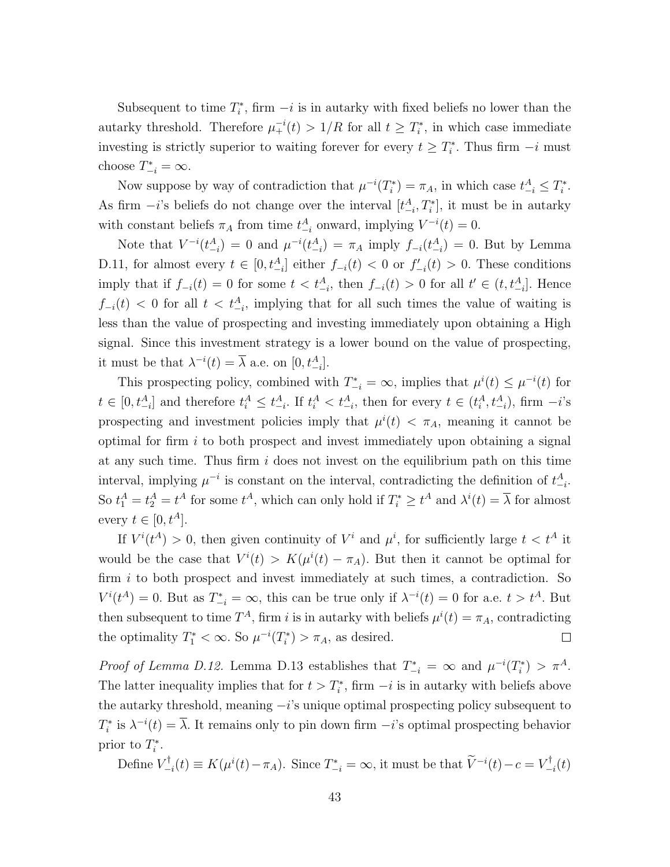Subsequent to time  $T_i^*$ , firm  $-i$  is in autarky with fixed beliefs no lower than the autarky threshold. Therefore  $\mu_{+}^{-i}(t) > 1/R$  for all  $t \geq T_i^*$ , in which case immediate investing is strictly superior to waiting forever for every  $t \geq T_i^*$ . Thus firm  $-i$  must choose  $T_{-i}^* = \infty$ .

Now suppose by way of contradiction that  $\mu^{-i}(T_i^*) = \pi_A$ , in which case  $t_{-i}^A \leq T_i^*$ . As firm  $-i$ 's beliefs do not change over the interval  $[t_{-i}^A, T_i^*]$ , it must be in autarky with constant beliefs  $\pi_A$  from time  $t_{-i}^A$  onward, implying  $V^{-i}(t) = 0$ .

Note that  $V^{-i}(t_{-i}^A) = 0$  and  $\mu^{-i}(t_{-i}^A) = \pi_A$  imply  $f_{-i}(t_{-i}^A) = 0$ . But by Lemma [D.11,](#page-40-0) for almost every  $t \in [0, t_{-i}^A]$  either  $f_{-i}(t) < 0$  or  $f'_{-i}(t) > 0$ . These conditions imply that if  $f_{-i}(t) = 0$  for some  $t < t_{-i}^A$ , then  $f_{-i}(t) > 0$  for all  $t' \in (t, t_{-i}^A]$ . Hence  $f_{-i}(t)$  < 0 for all  $t < t_{-i}^A$ , implying that for all such times the value of waiting is less than the value of prospecting and investing immediately upon obtaining a High signal. Since this investment strategy is a lower bound on the value of prospecting, it must be that  $\lambda^{-i}(t) = \overline{\lambda}$  a.e. on  $[0, t_{-i}^A]$ .

This prospecting policy, combined with  $T_{-i}^* = \infty$ , implies that  $\mu^{i}(t) \leq \mu^{-i}(t)$  for  $t \in [0, t_{-i}^A]$  and therefore  $t_i^A \leq t_{-i}^A$ . If  $t_i^A < t_{-i}^A$ , then for every  $t \in (t_i^A, t_{-i}^A)$ , firm  $-i$ 's prospecting and investment policies imply that  $\mu^{i}(t) < \pi_{A}$ , meaning it cannot be optimal for firm  $i$  to both prospect and invest immediately upon obtaining a signal at any such time. Thus firm  $i$  does not invest on the equilibrium path on this time interval, implying  $\mu^{-i}$  is constant on the interval, contradicting the definition of  $t_{-i}^A$ . So  $t_1^A = t_2^A = t^A$  for some  $t^A$ , which can only hold if  $T_i^* \geq t^A$  and  $\lambda^i(t) = \overline{\lambda}$  for almost every  $t \in [0, t^A]$ .

If  $V^{i}(t^{A}) > 0$ , then given continuity of  $V^{i}$  and  $\mu^{i}$ , for sufficiently large  $t < t^{A}$  it would be the case that  $V^{i}(t) > K(\mu^{i}(t) - \pi_{A})$ . But then it cannot be optimal for firm i to both prospect and invest immediately at such times, a contradiction. So  $V^{i}(t^{A}) = 0$ . But as  $T_{-i}^{*} = \infty$ , this can be true only if  $\lambda^{-i}(t) = 0$  for a.e.  $t > t^{A}$ . But then subsequent to time  $T^A$ , firm i is in autarky with beliefs  $\mu^i(t) = \pi_A$ , contradicting the optimality  $T_1^* < \infty$ . So  $\mu^{-i}(T_i^*) > \pi_A$ , as desired.  $\Box$ 

Proof of Lemma [D.12.](#page-41-0) Lemma [D.13](#page-41-1) establishes that  $T_{-i}^* = \infty$  and  $\mu^{-i}(T_i^*) > \pi^A$ . The latter inequality implies that for  $t > T_i^*$ , firm  $-i$  is in autarky with beliefs above the autarky threshold, meaning  $-i$ 's unique optimal prospecting policy subsequent to  $T_i^*$  is  $\lambda^{-i}(t) = \overline{\lambda}$ . It remains only to pin down firm  $-i$ 's optimal prospecting behavior prior to  $T_i^*$ .

Define  $V_{-}^{\dagger}$  $\mathcal{F}_{-i}^{\dagger}(t) \equiv K(\mu^{i}(t) - \pi_{A}).$  Since  $T_{-i}^{*} = \infty$ , it must be that  $\widetilde{V}^{-i}(t) - c = V_{-i}^{\dagger}$  $\mathcal{I}_{-i}^{\intercal}(t)$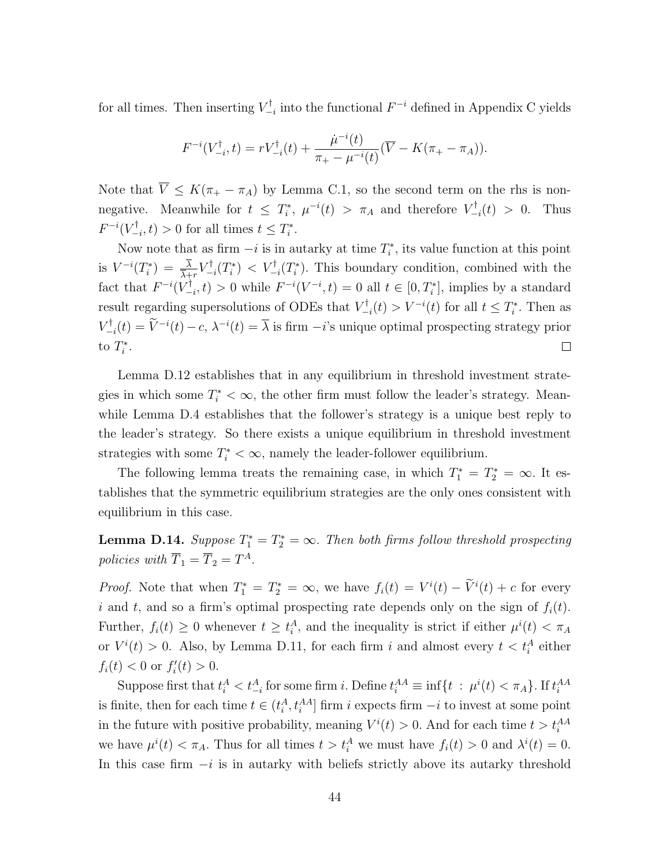for all times. Then inserting  $V_{-}^{\dagger}$  $\sum_{i=1}^{r}$  into the functional  $F^{-i}$  defined in Appendix [C](#page-26-0) yields

$$
F^{-i}(V_{-i}^{\dagger},t) = rV_{-i}^{\dagger}(t) + \frac{\dot{\mu}^{-i}(t)}{\pi_+ - \mu^{-i}(t)}(\overline{V} - K(\pi_+ - \pi_A)).
$$

Note that  $\overline{V} \leq K(\pi_+ - \pi_A)$  by Lemma [C.1,](#page-27-0) so the second term on the rhs is nonnegative. Meanwhile for  $t \leq T_i^*$ ,  $\mu^{-i}(t) > \pi_A$  and therefore  $V_{-}^{\dagger}$  $\sum_{i=1}^{r}$  (t) > 0. Thus  $F^{-i}(V_-^\dagger$  $\sum_{i=1}^{r} t(i) > 0$  for all times  $t \leq T_i^*$ .

Now note that as firm  $-i$  is in autarky at time  $T_i^*$ , its value function at this point is  $V^{-i}(T_i^*) = \frac{\overline{\lambda}}{\overline{\lambda}+r}V_{-}^{\dagger}$  $\sum_{i=1}^{r} (T_i^*)$  <  $V_{-i}^{\dagger} (T_i^*)$ . This boundary condition, combined with the fact that  $F^{-i}(V_{-}^{\dagger})$  $F_{-i}^{\dagger}$ , t) > 0 while  $F^{-i}(V^{-i}, t) = 0$  all  $t \in [0, T_i^*]$ , implies by a standard result regarding supersolutions of ODEs that  $V_{-}^{\dagger}$  $V_{-i}^{\dagger}(t) > V^{-i}(t)$  for all  $t \leq T_i^*$ . Then as  $V_-^\dagger$  $\nabla_{-i}^{\dagger}(t) = \overline{V}^{-i}(t) - c, \ \lambda^{-i}(t) = \overline{\lambda}$  is firm  $-i$ 's unique optimal prospecting strategy prior to  $T_i^*$ .  $\Box$ 

Lemma [D.12](#page-41-0) establishes that in any equilibrium in threshold investment strategies in which some  $T_i^* < \infty$ , the other firm must follow the leader's strategy. Meanwhile Lemma [D.4](#page-32-0) establishes that the follower's strategy is a unique best reply to the leader's strategy. So there exists a unique equilibrium in threshold investment strategies with some  $T_i^* < \infty$ , namely the leader-follower equilibrium.

The following lemma treats the remaining case, in which  $T_1^* = T_2^* = \infty$ . It establishes that the symmetric equilibrium strategies are the only ones consistent with equilibrium in this case.

**Lemma D.14.** Suppose  $T_1^* = T_2^* = \infty$ . Then both firms follow threshold prospecting policies with  $\overline{T}_1 = \overline{T}_2 = T^A$ .

*Proof.* Note that when  $T_1^* = T_2^* = \infty$ , we have  $f_i(t) = V^i(t) - \tilde{V}^i(t) + c$  for every i and t, and so a firm's optimal prospecting rate depends only on the sign of  $f_i(t)$ . Further,  $f_i(t) \geq 0$  whenever  $t \geq t_i^A$ , and the inequality is strict if either  $\mu^i(t) < \pi_A$ or  $V^i(t) > 0$ . Also, by Lemma [D.11,](#page-40-0) for each firm i and almost every  $t < t_i^A$  either  $f_i(t) < 0$  or  $f'_i(t) > 0$ .

Suppose first that  $t_i^A < t_{-i}^A$  for some firm i. Define  $t_i^{AA} \equiv \inf\{t : \mu^i(t) < \pi_A\}$ . If  $t_i^{AA}$ is finite, then for each time  $t \in (t_i^A, t_i^{AA}]$  firm i expects firm  $-i$  to invest at some point in the future with positive probability, meaning  $V^{i}(t) > 0$ . And for each time  $t > t_i^{AA}$ we have  $\mu^{i}(t) < \pi_{A}$ . Thus for all times  $t > t_{i}^{A}$  we must have  $f_{i}(t) > 0$  and  $\lambda^{i}(t) = 0$ . In this case firm  $-i$  is in autarky with beliefs strictly above its autarky threshold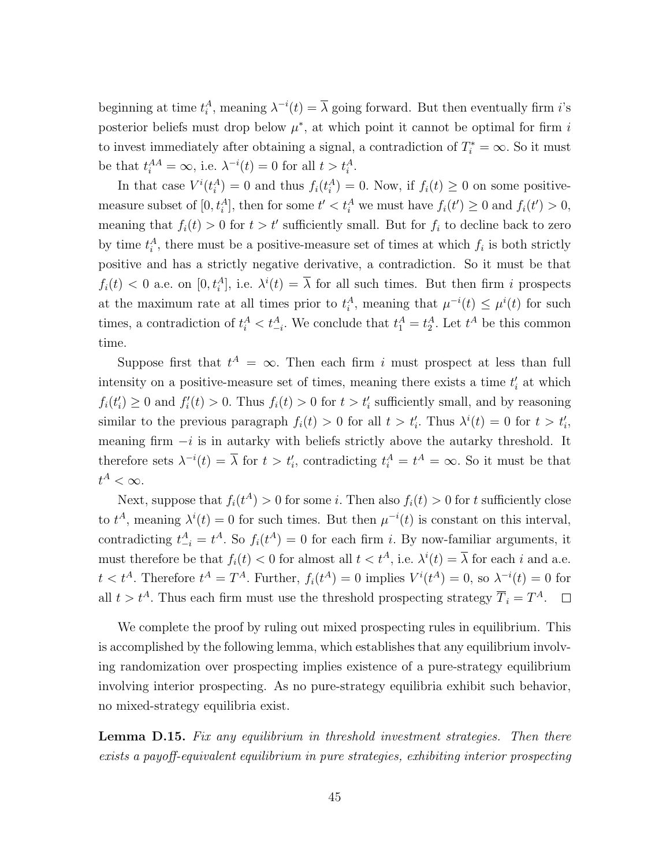beginning at time  $t_i^A$ , meaning  $\lambda^{-i}(t) = \overline{\lambda}$  going forward. But then eventually firm *i*'s posterior beliefs must drop below  $\mu^*$ , at which point it cannot be optimal for firm i to invest immediately after obtaining a signal, a contradiction of  $T_i^* = \infty$ . So it must be that  $t_i^{AA} = \infty$ , i.e.  $\lambda^{-i}(t) = 0$  for all  $t > t_i^A$ .

In that case  $V^{i}(t_i^A) = 0$  and thus  $f_i(t_i^A) = 0$ . Now, if  $f_i(t) \geq 0$  on some positivemeasure subset of  $[0, t_i^A]$ , then for some  $t' < t_i^A$  we must have  $f_i(t') \ge 0$  and  $f_i(t') > 0$ , meaning that  $f_i(t) > 0$  for  $t > t'$  sufficiently small. But for  $f_i$  to decline back to zero by time  $t_i^A$ , there must be a positive-measure set of times at which  $f_i$  is both strictly positive and has a strictly negative derivative, a contradiction. So it must be that  $f_i(t) < 0$  a.e. on  $[0, t_i^A]$ , i.e.  $\lambda^i(t) = \overline{\lambda}$  for all such times. But then firm i prospects at the maximum rate at all times prior to  $t_i^A$ , meaning that  $\mu^{-i}(t) \leq \mu^{i}(t)$  for such times, a contradiction of  $t_i^A < t_{-i}^A$ . We conclude that  $t_1^A = t_2^A$ . Let  $t^A$  be this common time.

Suppose first that  $t^A = \infty$ . Then each firm i must prospect at less than full intensity on a positive-measure set of times, meaning there exists a time  $t_i$  at which  $f_i(t'_i) \geq 0$  and  $f'_i(t) > 0$ . Thus  $f_i(t) > 0$  for  $t > t'_i$  sufficiently small, and by reasoning similar to the previous paragraph  $f_i(t) > 0$  for all  $t > t'_i$ . Thus  $\lambda^i(t) = 0$  for  $t > t'_i$ , meaning firm  $-i$  is in autarky with beliefs strictly above the autarky threshold. It therefore sets  $\lambda^{-i}(t) = \overline{\lambda}$  for  $t > t'_{i}$ , contradicting  $t_{i}^{A} = t^{A} = \infty$ . So it must be that  $t^A < \infty$ .

Next, suppose that  $f_i(t^A) > 0$  for some *i*. Then also  $f_i(t) > 0$  for *t* sufficiently close to  $t^A$ , meaning  $\lambda^i(t) = 0$  for such times. But then  $\mu^{-i}(t)$  is constant on this interval, contradicting  $t_{-i}^A = t^A$ . So  $f_i(t^A) = 0$  for each firm *i*. By now-familiar arguments, it must therefore be that  $f_i(t) < 0$  for almost all  $t < t^A$ , i.e.  $\lambda^i(t) = \overline{\lambda}$  for each i and a.e.  $t < t^A$ . Therefore  $t^A = T^A$ . Further,  $f_i(t^A) = 0$  implies  $V^i(t^A) = 0$ , so  $\lambda^{-i}(t) = 0$  for all  $t > t^A$ . Thus each firm must use the threshold prospecting strategy  $\overline{T}_i = T^A$ .

We complete the proof by ruling out mixed prospecting rules in equilibrium. This is accomplished by the following lemma, which establishes that any equilibrium involving randomization over prospecting implies existence of a pure-strategy equilibrium involving interior prospecting. As no pure-strategy equilibria exhibit such behavior, no mixed-strategy equilibria exist.

Lemma D.15. Fix any equilibrium in threshold investment strategies. Then there exists a payoff-equivalent equilibrium in pure strategies, exhibiting interior prospecting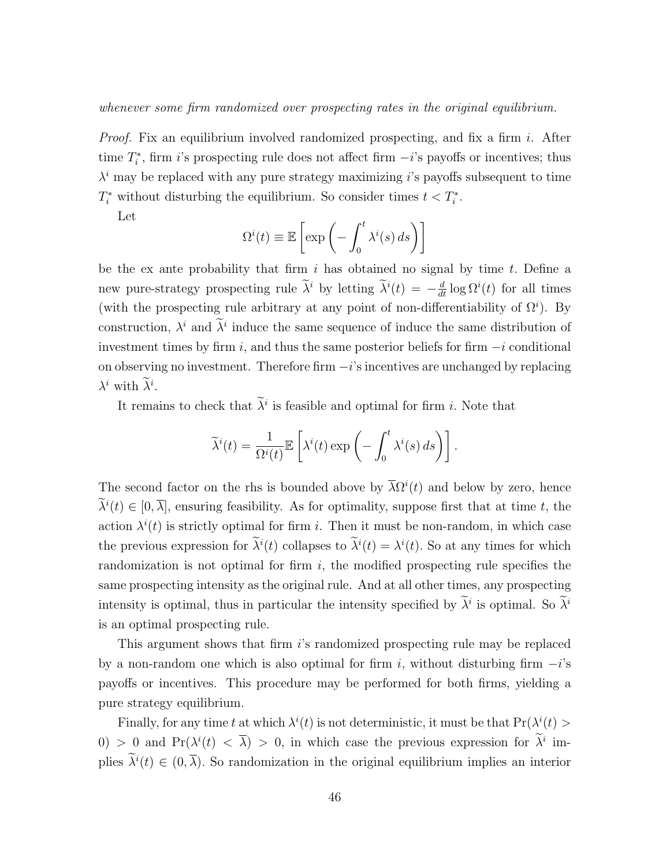whenever some firm randomized over prospecting rates in the original equilibrium.

*Proof.* Fix an equilibrium involved randomized prospecting, and fix a firm i. After time  $T_i^*$ , firm i's prospecting rule does not affect firm  $-i$ 's payoffs or incentives; thus  $\lambda^{i}$  may be replaced with any pure strategy maximizing i's payoffs subsequent to time  $T_i^*$  without disturbing the equilibrium. So consider times  $t < T_i^*$ .

Let

$$
\Omega^{i}(t) \equiv \mathbb{E}\left[\exp\left(-\int_{0}^{t} \lambda^{i}(s) ds\right)\right]
$$

be the ex ante probability that firm  $i$  has obtained no signal by time  $t$ . Define a new pure-strategy prospecting rule  $\tilde{\lambda}^i$  by letting  $\tilde{\lambda}^i(t) = -\frac{d}{dt} \log \Omega^i(t)$  for all times (with the prospecting rule arbitrary at any point of non-differentiability of  $\Omega^i$ ). By construction,  $\lambda^i$  and  $\tilde{\lambda}^i$  induce the same sequence of induce the same distribution of investment times by firm i, and thus the same posterior beliefs for firm  $-i$  conditional on observing no investment. Therefore firm  $-i$ 's incentives are unchanged by replacing  $\lambda^i$  with  $\lambda^i$ .

It remains to check that  $\lambda^i$  is feasible and optimal for firm *i*. Note that

$$
\widetilde{\lambda}^{i}(t) = \frac{1}{\Omega^{i}(t)} \mathbb{E}\left[\lambda^{i}(t) \exp\left(-\int_{0}^{t} \lambda^{i}(s) ds\right)\right].
$$

The second factor on the rhs is bounded above by  $\overline{\lambda} \Omega^{i}(t)$  and below by zero, hence  $\lambda^{i}(t) \in [0, \overline{\lambda}]$ , ensuring feasibility. As for optimality, suppose first that at time t, the action  $\lambda^{i}(t)$  is strictly optimal for firm i. Then it must be non-random, in which case the previous expression for  $\lambda^{i}(t)$  collapses to  $\lambda^{i}(t) = \lambda^{i}(t)$ . So at any times for which randomization is not optimal for firm  $i$ , the modified prospecting rule specifies the same prospecting intensity as the original rule. And at all other times, any prospecting intensity is optimal, thus in particular the intensity specified by  $\lambda^i$  is optimal. So  $\lambda^i$ is an optimal prospecting rule.

This argument shows that firm i's randomized prospecting rule may be replaced by a non-random one which is also optimal for firm i, without disturbing firm  $-i$ 's payoffs or incentives. This procedure may be performed for both firms, yielding a pure strategy equilibrium.

Finally, for any time t at which  $\lambda^{i}(t)$  is not deterministic, it must be that  $Pr(\lambda^{i}(t))$ 0) > 0 and Pr( $\lambda^{i}(t) < \overline{\lambda}$ ) > 0, in which case the previous expression for  $\lambda^{i}$  implies  $\tilde{\lambda}^i(t) \in (0, \overline{\lambda})$ . So randomization in the original equilibrium implies an interior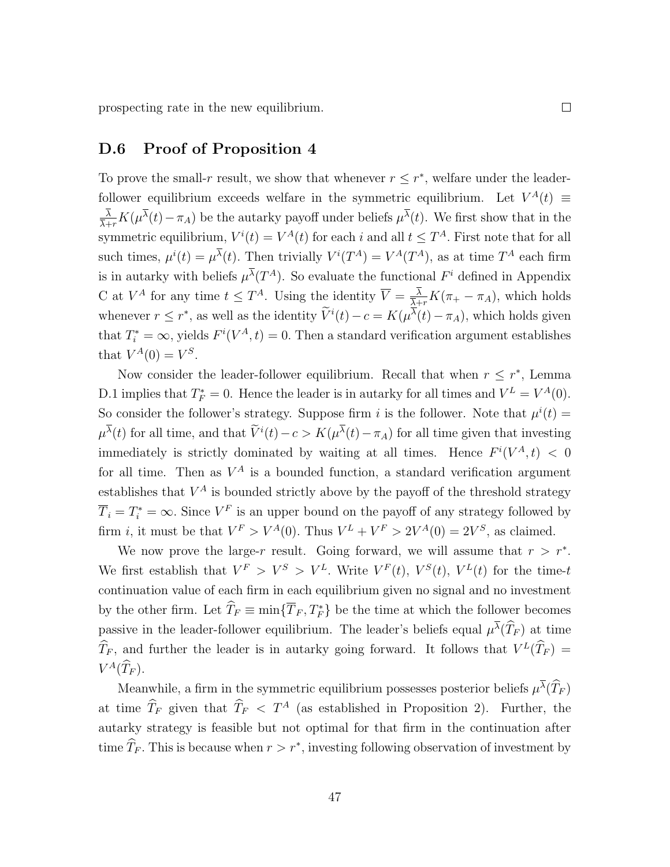prospecting rate in the new equilibrium.

#### D.6 Proof of Proposition [4](#page-18-1)

To prove the small-r result, we show that whenever  $r \leq r^*$ , welfare under the leaderfollower equilibrium exceeds welfare in the symmetric equilibrium. Let  $V^A(t) \equiv$ λ  $\frac{\lambda}{\lambda+r}K(\mu^{\lambda}(t)-\pi_A)$  be the autarky payoff under beliefs  $\mu^{\lambda}(t)$ . We first show that in the symmetric equilibrium,  $V^{i}(t) = V^{A}(t)$  for each i and all  $t \leq T^{A}$ . First note that for all such times,  $\mu^{i}(t) = \mu^{\lambda}(t)$ . Then trivially  $V^{i}(T^{A}) = V^{A}(T^{A})$ , as at time  $T^{A}$  each firm is in autarky with beliefs  $\mu^{\lambda}(T^A)$ . So evaluate the functional  $F^i$  defined in Appendix [C](#page-26-0) at  $V^A$  for any time  $t \leq T^A$ . Using the identity  $\overline{V} = \frac{\lambda}{\lambda}$ .  $\frac{\lambda}{\overline{\lambda}+r}K(\pi_+ - \pi_A)$ , which holds whenever  $r \leq r^*$ , as well as the identity  $\tilde{V}^i(t) - c = K(\mu^{\lambda}(t) - \pi_A)$ , which holds given that  $T_i^* = \infty$ , yields  $F^i(V^A, t) = 0$ . Then a standard verification argument establishes that  $V^A(0) = V^S$ .

Now consider the leader-follower equilibrium. Recall that when  $r \leq r^*$ , Lemma [D.1](#page-29-0) implies that  $T_F^* = 0$ . Hence the leader is in autarky for all times and  $V^L = V^A(0)$ . So consider the follower's strategy. Suppose firm i is the follower. Note that  $\mu^{i}(t) =$  $\mu^{\lambda}(t)$  for all time, and that  $\tilde{V}^{i}(t) - c > K(\mu^{\lambda}(t) - \pi_A)$  for all time given that investing immediately is strictly dominated by waiting at all times. Hence  $F^{i}(V^{A}, t) < 0$ for all time. Then as  $V^A$  is a bounded function, a standard verification argument establishes that  $V^A$  is bounded strictly above by the payoff of the threshold strategy  $\overline{T}_i = T_i^* = \infty$ . Since  $V^F$  is an upper bound on the payoff of any strategy followed by firm *i*, it must be that  $V^F > V^A(0)$ . Thus  $V^L + V^F > 2V^A(0) = 2V^S$ , as claimed.

We now prove the large-r result. Going forward, we will assume that  $r > r^*$ . We first establish that  $V^F > V^S > V^L$ . Write  $V^F(t)$ ,  $V^S(t)$ ,  $V^L(t)$  for the time-t continuation value of each firm in each equilibrium given no signal and no investment by the other firm. Let  $\widehat{T}_F \equiv \min{\{\overline{T}_F, T_F^*\}}$  be the time at which the follower becomes passive in the leader-follower equilibrium. The leader's beliefs equal  $\mu^{\lambda}(\widehat{T}_F)$  at time  $\widehat{T}_F$ , and further the leader is in autarky going forward. It follows that  $V^L(\widehat{T}_F) =$  $V^A(\hat{T}_F).$ 

Meanwhile, a firm in the symmetric equilibrium possesses posterior beliefs  $\mu^{\lambda}(\hat{T}_F)$ at time  $\widehat{T}_F$  given that  $\widehat{T}_F < T^A$  (as established in Proposition [2\)](#page-13-1). Further, the autarky strategy is feasible but not optimal for that firm in the continuation after time  $\hat{T}_F$ . This is because when  $r > r^*$ , investing following observation of investment by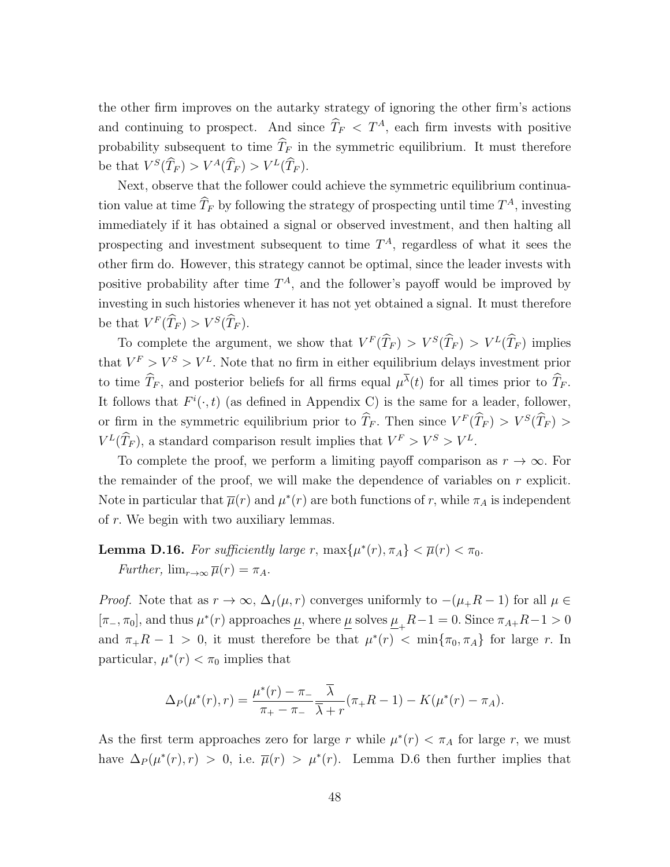the other firm improves on the autarky strategy of ignoring the other firm's actions and continuing to prospect. And since  $\widehat{T}_F < T^A$ , each firm invests with positive probability subsequent to time  $\widehat{T}_F$  in the symmetric equilibrium. It must therefore be that  $V^S(\hat{T}_F) > V^A(\hat{T}_F) > V^L(\hat{T}_F)$ .

Next, observe that the follower could achieve the symmetric equilibrium continuation value at time  $\widehat{T}_F$  by following the strategy of prospecting until time  $T^A$ , investing immediately if it has obtained a signal or observed investment, and then halting all prospecting and investment subsequent to time  $T<sup>A</sup>$ , regardless of what it sees the other firm do. However, this strategy cannot be optimal, since the leader invests with positive probability after time  $T^A$ , and the follower's payoff would be improved by investing in such histories whenever it has not yet obtained a signal. It must therefore be that  $V^F(\hat{T}_F) > V^S(\hat{T}_F)$ .

To complete the argument, we show that  $V^F(\hat{T}_F) > V^S(\hat{T}_F) > V^L(\hat{T}_F)$  implies that  $V^F > V^S > V^L$ . Note that no firm in either equilibrium delays investment prior to time  $\hat{T}_F$ , and posterior beliefs for all firms equal  $\mu^{\lambda}(t)$  for all times prior to  $\hat{T}_F$ . It follows that  $F^i(\cdot, t)$  (as defined in Appendix [C\)](#page-26-0) is the same for a leader, follower, or firm in the symmetric equilibrium prior to  $\hat{T}_F$ . Then since  $V^F(\hat{T}_F) > V^S(\hat{T}_F) >$  $V^L(\hat{T}_F)$ , a standard comparison result implies that  $V^F > V^S > V^L$ .

To complete the proof, we perform a limiting payoff comparison as  $r \to \infty$ . For the remainder of the proof, we will make the dependence of variables on  $r$  explicit. Note in particular that  $\bar{\mu}(r)$  and  $\mu^*(r)$  are both functions of r, while  $\pi_A$  is independent of r. We begin with two auxiliary lemmas.

### <span id="page-47-0"></span>**Lemma D.16.** For sufficiently large r,  $\max\{\mu^*(r), \pi_A\} < \overline{\mu}(r) < \pi_0$ . Further,  $\lim_{r\to\infty} \overline{\mu}(r) = \pi_A$ .

*Proof.* Note that as  $r \to \infty$ ,  $\Delta_I(\mu, r)$  converges uniformly to  $-(\mu_+ R - 1)$  for all  $\mu \in$  $[\pi_-,\pi_0]$ , and thus  $\mu^*(r)$  approaches  $\underline{\mu}$ , where  $\underline{\mu}$  solves  $\underline{\mu}_+R-1=0$ . Since  $\pi_{A+}R-1>0$ and  $\pi_+ R - 1 > 0$ , it must therefore be that  $\mu^*(r) < \min\{\pi_0, \pi_A\}$  for large r. In particular,  $\mu^*(r) < \pi_0$  implies that

$$
\Delta_P(\mu^*(r), r) = \frac{\mu^*(r) - \pi_-}{\pi_+ - \pi_-} \frac{\overline{\lambda}}{\overline{\lambda} + r} (\pi_+ R - 1) - K(\mu^*(r) - \pi_A).
$$

As the first term approaches zero for large r while  $\mu^*(r) < \pi_A$  for large r, we must have  $\Delta_P(\mu^*(r), r) > 0$ , i.e.  $\bar{\mu}(r) > \mu^*(r)$ . Lemma [D.6](#page-35-1) then further implies that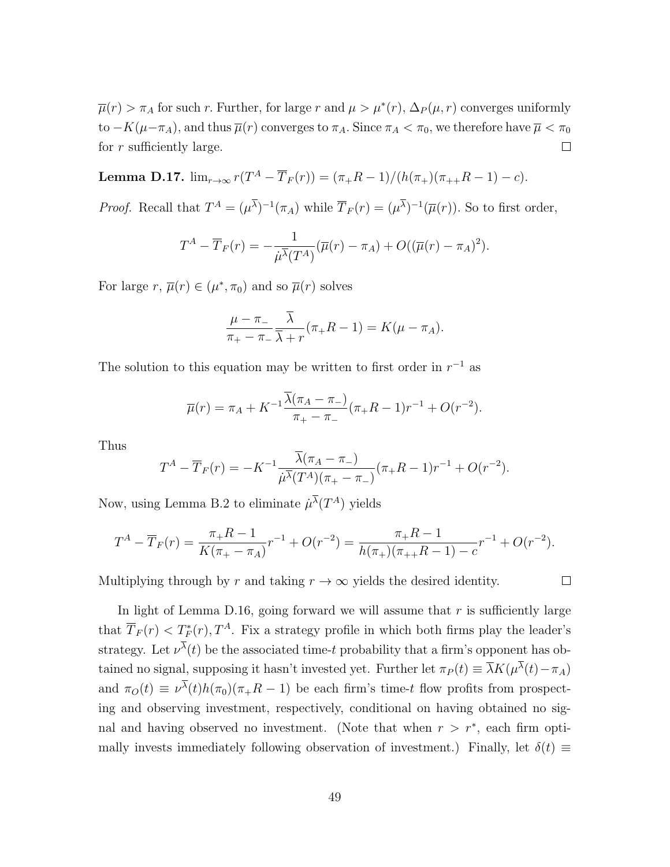$\overline{\mu}(r) > \pi_A$  for such r. Further, for large r and  $\mu > \mu^*(r)$ ,  $\Delta_P(\mu, r)$  converges uniformly to  $-K(\mu-\pi_A)$ , and thus  $\overline{\mu}(r)$  converges to  $\pi_A$ . Since  $\pi_A < \pi_0$ , we therefore have  $\overline{\mu} < \pi_0$ for r sufficiently large.  $\Box$ 

<span id="page-48-0"></span>**Lemma D.17.**  $\lim_{r \to \infty} r(T^A - \overline{T}_F(r)) = (\pi_+ R - 1)/(h(\pi_+)(\pi_{++} R - 1) - c).$ 

*Proof.* Recall that  $T^A = (\mu^\lambda)^{-1} (\pi_A)$  while  $\overline{T}_F(r) = (\mu^\lambda)^{-1} (\overline{\mu}(r))$ . So to first order,

$$
T^{A} - \overline{T}_{F}(r) = -\frac{1}{\mu \overline{\lambda}(T^{A})} (\overline{\mu}(r) - \pi_{A}) + O((\overline{\mu}(r) - \pi_{A})^{2}).
$$

For large  $r, \overline{\mu}(r) \in (\mu^*, \pi_0)$  and so  $\overline{\mu}(r)$  solves

$$
\frac{\mu - \pi_-}{\pi_+ - \pi_-} \frac{\overline{\lambda}}{\overline{\lambda} + r} (\pi_+ R - 1) = K(\mu - \pi_A).
$$

The solution to this equation may be written to first order in  $r^{-1}$  as

$$
\overline{\mu}(r) = \pi_A + K^{-1} \frac{\overline{\lambda}(\pi_A - \pi_-)}{\pi_+ - \pi_-} (\pi_+ R - 1) r^{-1} + O(r^{-2}).
$$

Thus

$$
T^{A} - \overline{T}_{F}(r) = -K^{-1} \frac{\lambda(\pi_{A} - \pi_{-})}{\mu \overline{\lambda}(T^{A})(\pi_{+} - \pi_{-})} (\pi_{+}R - 1)r^{-1} + O(r^{-2}).
$$

Now, using Lemma [B.2](#page-25-1) to eliminate  $\mu^{\lambda}(T^A)$  yields

$$
T^{A} - \overline{T}_{F}(r) = \frac{\pi_{+}R - 1}{K(\pi_{+} - \pi_{A})}r^{-1} + O(r^{-2}) = \frac{\pi_{+}R - 1}{h(\pi_{+})(\pi_{+} + R - 1) - c}r^{-1} + O(r^{-2}).
$$

 $\Box$ 

Multiplying through by r and taking  $r \to \infty$  yields the desired identity.

In light of Lemma [D.16,](#page-47-0) going forward we will assume that  $r$  is sufficiently large that  $\overline{T}_F(r) < T_F^*(r)$ ,  $T^A$ . Fix a strategy profile in which both firms play the leader's strategy. Let  $\nu^{\lambda}(t)$  be the associated time-t probability that a firm's opponent has obtained no signal, supposing it hasn't invested yet. Further let  $\pi_P(t) \equiv \overline{\lambda}K(\mu^{\lambda}(t) - \pi_A)$ and  $\pi_O(t) \equiv \nu^{\lambda}(t)h(\pi_0)(\pi_+R-1)$  be each firm's time-t flow profits from prospecting and observing investment, respectively, conditional on having obtained no signal and having observed no investment. (Note that when  $r > r^*$ , each firm optimally invests immediately following observation of investment.) Finally, let  $\delta(t) \equiv$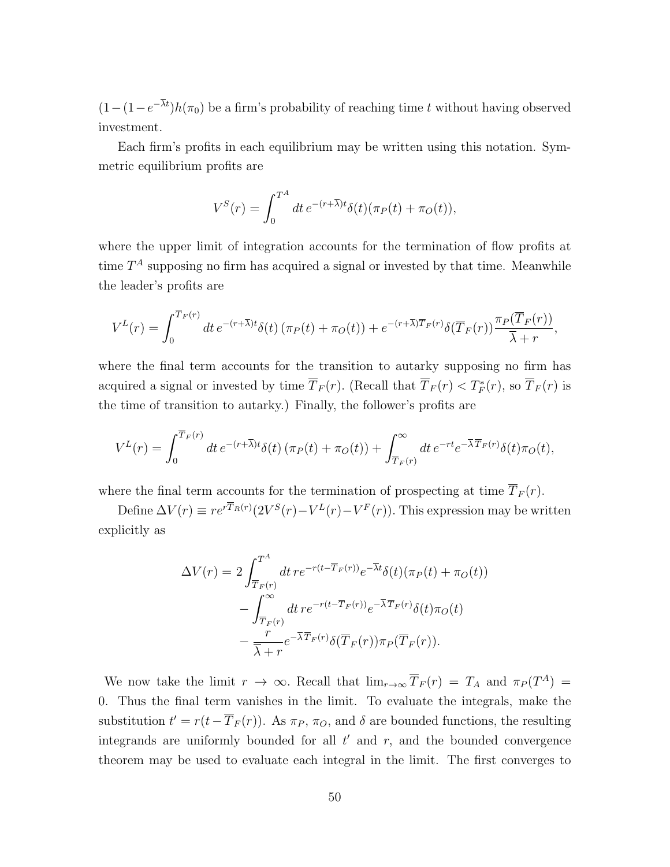$(1-(1-e^{-\lambda t})h(\pi_0))$  be a firm's probability of reaching time t without having observed investment.

Each firm's profits in each equilibrium may be written using this notation. Symmetric equilibrium profits are

$$
V^{S}(r) = \int_0^{T^A} dt \, e^{-(r+\overline{\lambda})t} \delta(t) (\pi_P(t) + \pi_O(t)),
$$

where the upper limit of integration accounts for the termination of flow profits at time  $T^A$  supposing no firm has acquired a signal or invested by that time. Meanwhile the leader's profits are

$$
V^{L}(r) = \int_{0}^{\overline{T}_{F}(r)} dt \, e^{-(r+\overline{\lambda})t} \delta(t) \left(\pi_{P}(t) + \pi_{O}(t)\right) + e^{-(r+\overline{\lambda})\overline{T}_{F}(r)} \delta(\overline{T}_{F}(r)) \frac{\pi_{P}(\overline{T}_{F}(r))}{\overline{\lambda} + r},
$$

where the final term accounts for the transition to autarky supposing no firm has acquired a signal or invested by time  $\overline{T}_F(r)$ . (Recall that  $\overline{T}_F(r) < T_F^*(r)$ , so  $\overline{T}_F(r)$  is the time of transition to autarky.) Finally, the follower's profits are

$$
V^{L}(r) = \int_{0}^{\overline{T}_{F}(r)} dt e^{-(r+\overline{\lambda})t} \delta(t) \left(\pi_{P}(t) + \pi_{O}(t)\right) + \int_{\overline{T}_{F}(r)}^{\infty} dt e^{-rt} e^{-\overline{\lambda}\overline{T}_{F}(r)} \delta(t)\pi_{O}(t),
$$

where the final term accounts for the termination of prospecting at time  $\overline{T}_F(r)$ .

Define  $\Delta V(r) \equiv r e^{rT_R(r)} (2V^S(r) - V^L(r) - V^F(r))$ . This expression may be written explicitly as

$$
\Delta V(r) = 2 \int_{\overline{T}_F(r)}^{T^A} dt \, r e^{-r(t-\overline{T}_F(r))} e^{-\overline{\lambda}t} \delta(t) (\pi_P(t) + \pi_O(t))
$$

$$
- \int_{\overline{T}_F(r)}^{\infty} dt \, r e^{-r(t-\overline{T}_F(r))} e^{-\overline{\lambda}\overline{T}_F(r)} \delta(t) \pi_O(t)
$$

$$
- \frac{r}{\overline{\lambda} + r} e^{-\overline{\lambda}\overline{T}_F(r)} \delta(\overline{T}_F(r)) \pi_P(\overline{T}_F(r)).
$$

We now take the limit  $r \to \infty$ . Recall that  $\lim_{r \to \infty} \overline{T}_F(r) = T_A$  and  $\pi_P(T^A) =$ 0. Thus the final term vanishes in the limit. To evaluate the integrals, make the substitution  $t' = r(t - \overline{T}_F(r))$ . As  $\pi_P$ ,  $\pi_O$ , and  $\delta$  are bounded functions, the resulting integrands are uniformly bounded for all  $t'$  and  $r$ , and the bounded convergence theorem may be used to evaluate each integral in the limit. The first converges to